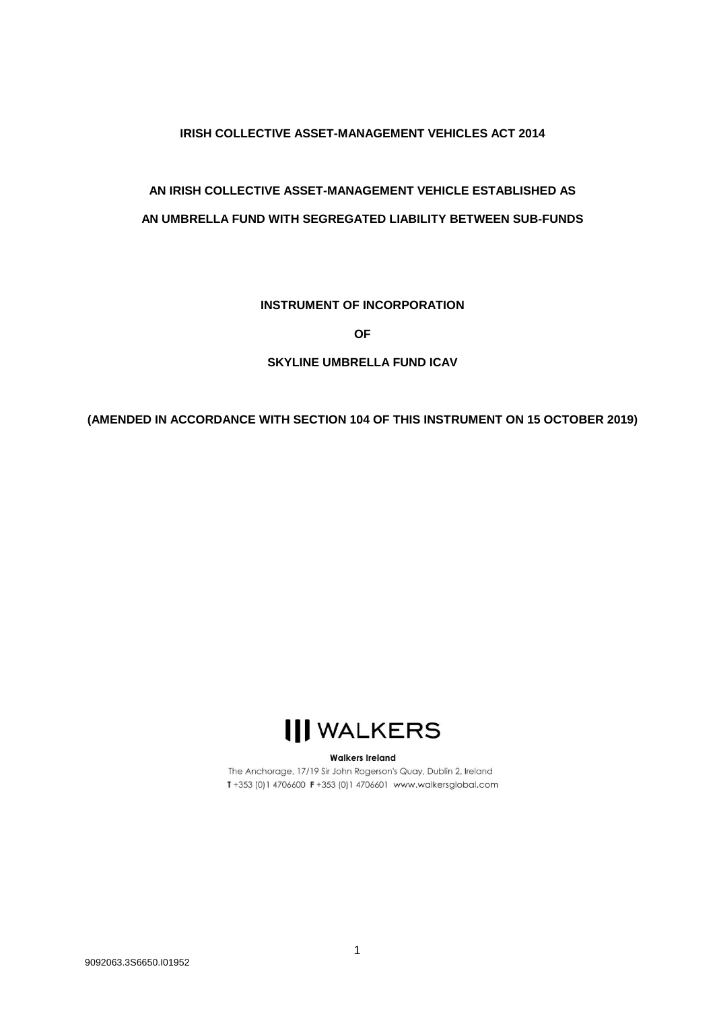## **IRISH COLLECTIVE ASSET-MANAGEMENT VEHICLES ACT 2014**

## **AN IRISH COLLECTIVE ASSET-MANAGEMENT VEHICLE ESTABLISHED AS AN UMBRELLA FUND WITH SEGREGATED LIABILITY BETWEEN SUB-FUNDS**

## **INSTRUMENT OF INCORPORATION**

**OF**

## **SKYLINE UMBRELLA FUND ICAV**

**(AMENDED IN ACCORDANCE WITH SECTION 104 OF THIS INSTRUMENT ON 15 OCTOBER 2019)**

# **III WALKERS**

#### **Walkers Ireland**

The Anchorage, 17/19 Sir John Rogerson's Quay, Dublin 2, Ireland T+353 (0)1 4706600 F+353 (0)1 4706601 www.walkersglobal.com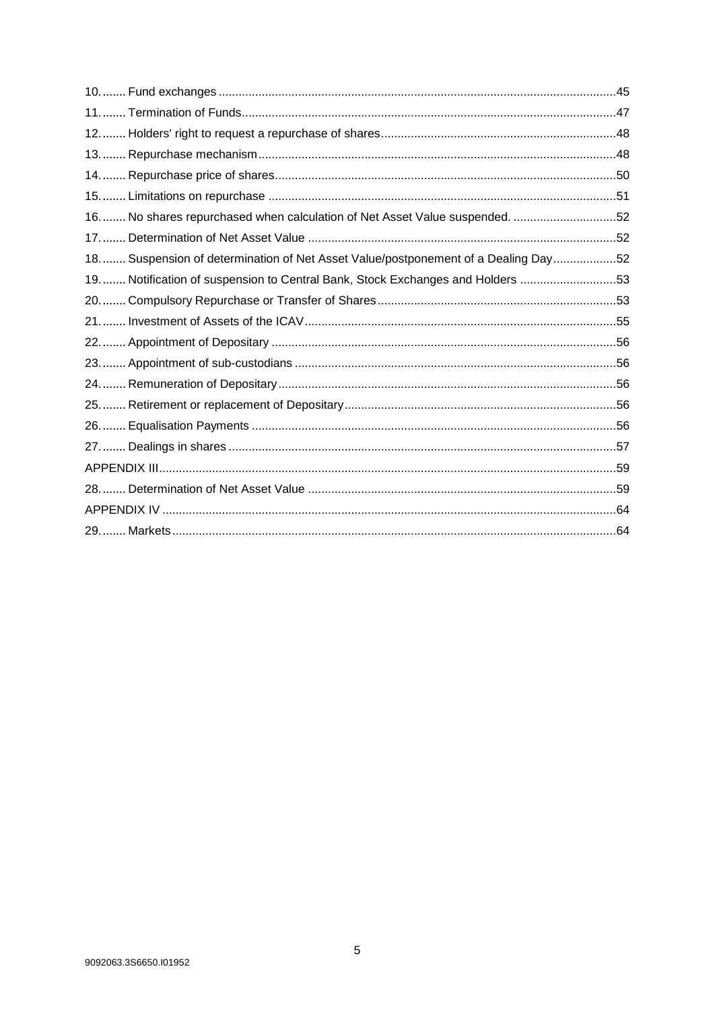| 16 No shares repurchased when calculation of Net Asset Value suspended. 52        |  |
|-----------------------------------------------------------------------------------|--|
|                                                                                   |  |
| 18 Suspension of determination of Net Asset Value/postponement of a Dealing Day52 |  |
| 19 Notification of suspension to Central Bank, Stock Exchanges and Holders 53     |  |
|                                                                                   |  |
|                                                                                   |  |
|                                                                                   |  |
|                                                                                   |  |
|                                                                                   |  |
|                                                                                   |  |
|                                                                                   |  |
|                                                                                   |  |
|                                                                                   |  |
|                                                                                   |  |
|                                                                                   |  |
|                                                                                   |  |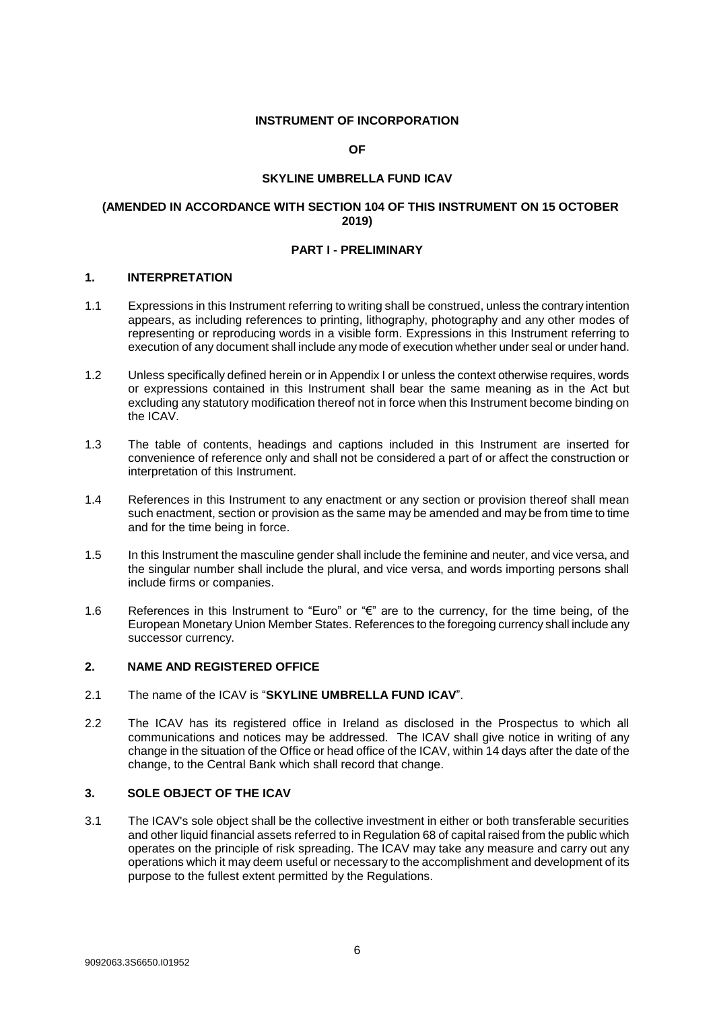#### **INSTRUMENT OF INCORPORATION**

#### **OF**

## **SKYLINE UMBRELLA FUND ICAV**

## **(AMENDED IN ACCORDANCE WITH SECTION 104 OF THIS INSTRUMENT ON 15 OCTOBER 2019)**

#### **PART I - PRELIMINARY**

#### <span id="page-5-0"></span>**1. INTERPRETATION**

- 1.1 Expressions in this Instrument referring to writing shall be construed, unless the contrary intention appears, as including references to printing, lithography, photography and any other modes of representing or reproducing words in a visible form. Expressions in this Instrument referring to execution of any document shall include any mode of execution whether under seal or under hand.
- 1.2 Unless specifically defined herein or in Appendix I or unless the context otherwise requires, words or expressions contained in this Instrument shall bear the same meaning as in the Act but excluding any statutory modification thereof not in force when this Instrument become binding on the ICAV.
- 1.3 The table of contents, headings and captions included in this Instrument are inserted for convenience of reference only and shall not be considered a part of or affect the construction or interpretation of this Instrument.
- 1.4 References in this Instrument to any enactment or any section or provision thereof shall mean such enactment, section or provision as the same may be amended and may be from time to time and for the time being in force.
- 1.5 In this Instrument the masculine gender shall include the feminine and neuter, and vice versa, and the singular number shall include the plural, and vice versa, and words importing persons shall include firms or companies.
- 1.6 References in this Instrument to "Euro" or "€" are to the currency, for the time being, of the European Monetary Union Member States. References to the foregoing currency shall include any successor currency.

#### <span id="page-5-1"></span>**2. NAME AND REGISTERED OFFICE**

- 2.1 The name of the ICAV is "**SKYLINE UMBRELLA FUND ICAV**".
- 2.2 The ICAV has its registered office in Ireland as disclosed in the Prospectus to which all communications and notices may be addressed. The ICAV shall give notice in writing of any change in the situation of the Office or head office of the ICAV, within 14 days after the date of the change, to the Central Bank which shall record that change.

#### <span id="page-5-2"></span>**3. SOLE OBJECT OF THE ICAV**

3.1 The ICAV's sole object shall be the collective investment in either or both transferable securities and other liquid financial assets referred to in Regulation 68 of capital raised from the public which operates on the principle of risk spreading. The ICAV may take any measure and carry out any operations which it may deem useful or necessary to the accomplishment and development of its purpose to the fullest extent permitted by the Regulations.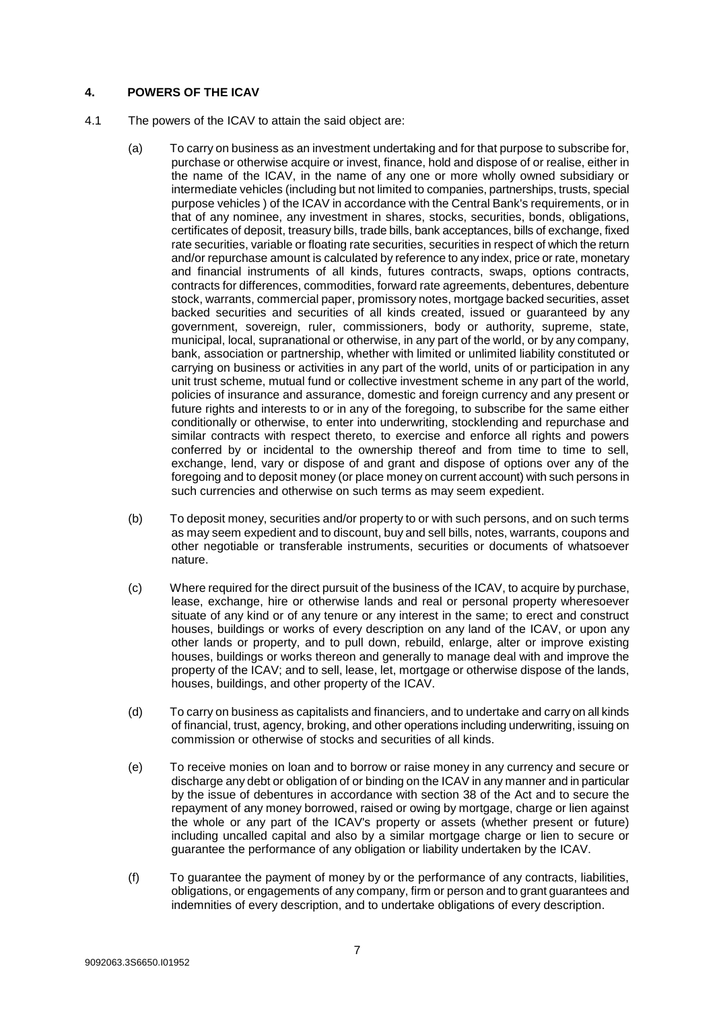## <span id="page-6-0"></span>**4. POWERS OF THE ICAV**

- 4.1 The powers of the ICAV to attain the said object are:
	- (a) To carry on business as an investment undertaking and for that purpose to subscribe for, purchase or otherwise acquire or invest, finance, hold and dispose of or realise, either in the name of the ICAV, in the name of any one or more wholly owned subsidiary or intermediate vehicles (including but not limited to companies, partnerships, trusts, special purpose vehicles ) of the ICAV in accordance with the Central Bank's requirements, or in that of any nominee, any investment in shares, stocks, securities, bonds, obligations, certificates of deposit, treasury bills, trade bills, bank acceptances, bills of exchange, fixed rate securities, variable or floating rate securities, securities in respect of which the return and/or repurchase amount is calculated by reference to any index, price or rate, monetary and financial instruments of all kinds, futures contracts, swaps, options contracts, contracts for differences, commodities, forward rate agreements, debentures, debenture stock, warrants, commercial paper, promissory notes, mortgage backed securities, asset backed securities and securities of all kinds created, issued or guaranteed by any government, sovereign, ruler, commissioners, body or authority, supreme, state, municipal, local, supranational or otherwise, in any part of the world, or by any company, bank, association or partnership, whether with limited or unlimited liability constituted or carrying on business or activities in any part of the world, units of or participation in any unit trust scheme, mutual fund or collective investment scheme in any part of the world, policies of insurance and assurance, domestic and foreign currency and any present or future rights and interests to or in any of the foregoing, to subscribe for the same either conditionally or otherwise, to enter into underwriting, stocklending and repurchase and similar contracts with respect thereto, to exercise and enforce all rights and powers conferred by or incidental to the ownership thereof and from time to time to sell, exchange, lend, vary or dispose of and grant and dispose of options over any of the foregoing and to deposit money (or place money on current account) with such persons in such currencies and otherwise on such terms as may seem expedient.
	- (b) To deposit money, securities and/or property to or with such persons, and on such terms as may seem expedient and to discount, buy and sell bills, notes, warrants, coupons and other negotiable or transferable instruments, securities or documents of whatsoever nature.
	- (c) Where required for the direct pursuit of the business of the ICAV, to acquire by purchase, lease, exchange, hire or otherwise lands and real or personal property wheresoever situate of any kind or of any tenure or any interest in the same; to erect and construct houses, buildings or works of every description on any land of the ICAV, or upon any other lands or property, and to pull down, rebuild, enlarge, alter or improve existing houses, buildings or works thereon and generally to manage deal with and improve the property of the ICAV; and to sell, lease, let, mortgage or otherwise dispose of the lands, houses, buildings, and other property of the ICAV.
	- (d) To carry on business as capitalists and financiers, and to undertake and carry on all kinds of financial, trust, agency, broking, and other operations including underwriting, issuing on commission or otherwise of stocks and securities of all kinds.
	- (e) To receive monies on loan and to borrow or raise money in any currency and secure or discharge any debt or obligation of or binding on the ICAV in any manner and in particular by the issue of debentures in accordance with section 38 of the Act and to secure the repayment of any money borrowed, raised or owing by mortgage, charge or lien against the whole or any part of the ICAV's property or assets (whether present or future) including uncalled capital and also by a similar mortgage charge or lien to secure or guarantee the performance of any obligation or liability undertaken by the ICAV.
	- (f) To guarantee the payment of money by or the performance of any contracts, liabilities, obligations, or engagements of any company, firm or person and to grant guarantees and indemnities of every description, and to undertake obligations of every description.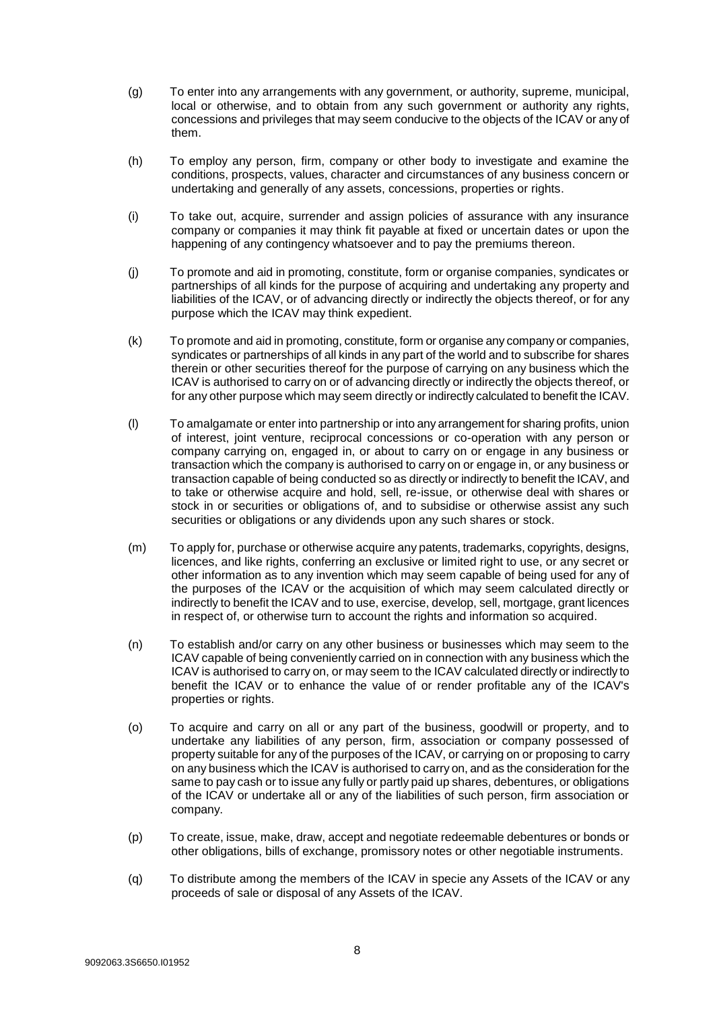- (g) To enter into any arrangements with any government, or authority, supreme, municipal, local or otherwise, and to obtain from any such government or authority any rights, concessions and privileges that may seem conducive to the objects of the ICAV or any of them.
- (h) To employ any person, firm, company or other body to investigate and examine the conditions, prospects, values, character and circumstances of any business concern or undertaking and generally of any assets, concessions, properties or rights.
- (i) To take out, acquire, surrender and assign policies of assurance with any insurance company or companies it may think fit payable at fixed or uncertain dates or upon the happening of any contingency whatsoever and to pay the premiums thereon.
- (j) To promote and aid in promoting, constitute, form or organise companies, syndicates or partnerships of all kinds for the purpose of acquiring and undertaking any property and liabilities of the ICAV, or of advancing directly or indirectly the objects thereof, or for any purpose which the ICAV may think expedient.
- (k) To promote and aid in promoting, constitute, form or organise any company or companies, syndicates or partnerships of all kinds in any part of the world and to subscribe for shares therein or other securities thereof for the purpose of carrying on any business which the ICAV is authorised to carry on or of advancing directly or indirectly the objects thereof, or for any other purpose which may seem directly or indirectly calculated to benefit the ICAV.
- (l) To amalgamate or enter into partnership or into any arrangement for sharing profits, union of interest, joint venture, reciprocal concessions or co-operation with any person or company carrying on, engaged in, or about to carry on or engage in any business or transaction which the company is authorised to carry on or engage in, or any business or transaction capable of being conducted so as directly or indirectly to benefit the ICAV, and to take or otherwise acquire and hold, sell, re-issue, or otherwise deal with shares or stock in or securities or obligations of, and to subsidise or otherwise assist any such securities or obligations or any dividends upon any such shares or stock.
- (m) To apply for, purchase or otherwise acquire any patents, trademarks, copyrights, designs, licences, and like rights, conferring an exclusive or limited right to use, or any secret or other information as to any invention which may seem capable of being used for any of the purposes of the ICAV or the acquisition of which may seem calculated directly or indirectly to benefit the ICAV and to use, exercise, develop, sell, mortgage, grant licences in respect of, or otherwise turn to account the rights and information so acquired.
- (n) To establish and/or carry on any other business or businesses which may seem to the ICAV capable of being conveniently carried on in connection with any business which the ICAV is authorised to carry on, or may seem to the ICAV calculated directly or indirectly to benefit the ICAV or to enhance the value of or render profitable any of the ICAV's properties or rights.
- (o) To acquire and carry on all or any part of the business, goodwill or property, and to undertake any liabilities of any person, firm, association or company possessed of property suitable for any of the purposes of the ICAV, or carrying on or proposing to carry on any business which the ICAV is authorised to carry on, and as the consideration for the same to pay cash or to issue any fully or partly paid up shares, debentures, or obligations of the ICAV or undertake all or any of the liabilities of such person, firm association or company.
- (p) To create, issue, make, draw, accept and negotiate redeemable debentures or bonds or other obligations, bills of exchange, promissory notes or other negotiable instruments.
- (q) To distribute among the members of the ICAV in specie any Assets of the ICAV or any proceeds of sale or disposal of any Assets of the ICAV.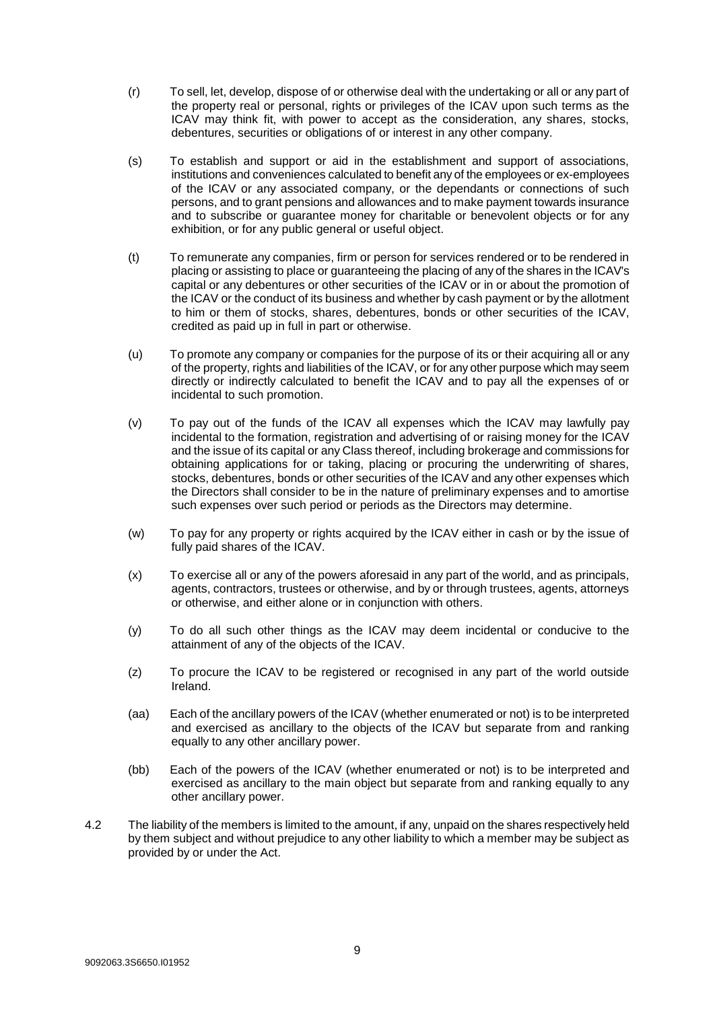- (r) To sell, let, develop, dispose of or otherwise deal with the undertaking or all or any part of the property real or personal, rights or privileges of the ICAV upon such terms as the ICAV may think fit, with power to accept as the consideration, any shares, stocks, debentures, securities or obligations of or interest in any other company.
- (s) To establish and support or aid in the establishment and support of associations, institutions and conveniences calculated to benefit any of the employees or ex-employees of the ICAV or any associated company, or the dependants or connections of such persons, and to grant pensions and allowances and to make payment towards insurance and to subscribe or guarantee money for charitable or benevolent objects or for any exhibition, or for any public general or useful object.
- (t) To remunerate any companies, firm or person for services rendered or to be rendered in placing or assisting to place or guaranteeing the placing of any of the shares in the ICAV's capital or any debentures or other securities of the ICAV or in or about the promotion of the ICAV or the conduct of its business and whether by cash payment or by the allotment to him or them of stocks, shares, debentures, bonds or other securities of the ICAV, credited as paid up in full in part or otherwise.
- (u) To promote any company or companies for the purpose of its or their acquiring all or any of the property, rights and liabilities of the ICAV, or for any other purpose which may seem directly or indirectly calculated to benefit the ICAV and to pay all the expenses of or incidental to such promotion.
- (v) To pay out of the funds of the ICAV all expenses which the ICAV may lawfully pay incidental to the formation, registration and advertising of or raising money for the ICAV and the issue of its capital or any Class thereof, including brokerage and commissions for obtaining applications for or taking, placing or procuring the underwriting of shares, stocks, debentures, bonds or other securities of the ICAV and any other expenses which the Directors shall consider to be in the nature of preliminary expenses and to amortise such expenses over such period or periods as the Directors may determine.
- (w) To pay for any property or rights acquired by the ICAV either in cash or by the issue of fully paid shares of the ICAV.
- (x) To exercise all or any of the powers aforesaid in any part of the world, and as principals, agents, contractors, trustees or otherwise, and by or through trustees, agents, attorneys or otherwise, and either alone or in conjunction with others.
- (y) To do all such other things as the ICAV may deem incidental or conducive to the attainment of any of the objects of the ICAV.
- (z) To procure the ICAV to be registered or recognised in any part of the world outside Ireland.
- (aa) Each of the ancillary powers of the ICAV (whether enumerated or not) is to be interpreted and exercised as ancillary to the objects of the ICAV but separate from and ranking equally to any other ancillary power.
- (bb) Each of the powers of the ICAV (whether enumerated or not) is to be interpreted and exercised as ancillary to the main object but separate from and ranking equally to any other ancillary power.
- 4.2 The liability of the members is limited to the amount, if any, unpaid on the shares respectively held by them subject and without prejudice to any other liability to which a member may be subject as provided by or under the Act.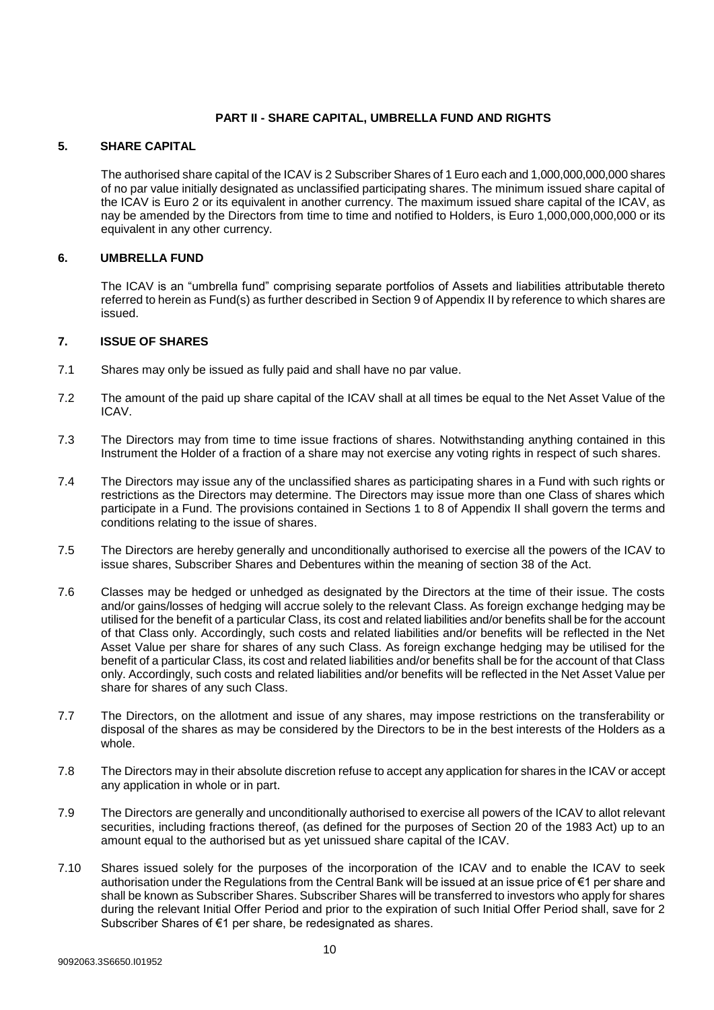## **PART II - SHARE CAPITAL, UMBRELLA FUND AND RIGHTS**

## <span id="page-9-0"></span>**5. SHARE CAPITAL**

The authorised share capital of the ICAV is 2 Subscriber Shares of 1 Euro each and 1,000,000,000,000 shares of no par value initially designated as unclassified participating shares. The minimum issued share capital of the ICAV is Euro 2 or its equivalent in another currency. The maximum issued share capital of the ICAV, as nay be amended by the Directors from time to time and notified to Holders, is Euro 1,000,000,000,000 or its equivalent in any other currency.

## <span id="page-9-1"></span>**6. UMBRELLA FUND**

The ICAV is an "umbrella fund" comprising separate portfolios of Assets and liabilities attributable thereto referred to herein as Fund(s) as further described in Section 9 of Appendix II by reference to which shares are issued.

## <span id="page-9-2"></span>**7. ISSUE OF SHARES**

- 7.1 Shares may only be issued as fully paid and shall have no par value.
- 7.2 The amount of the paid up share capital of the ICAV shall at all times be equal to the Net Asset Value of the ICAV.
- 7.3 The Directors may from time to time issue fractions of shares. Notwithstanding anything contained in this Instrument the Holder of a fraction of a share may not exercise any voting rights in respect of such shares.
- 7.4 The Directors may issue any of the unclassified shares as participating shares in a Fund with such rights or restrictions as the Directors may determine. The Directors may issue more than one Class of shares which participate in a Fund. The provisions contained in Sections 1 to 8 of Appendix II shall govern the terms and conditions relating to the issue of shares.
- 7.5 The Directors are hereby generally and unconditionally authorised to exercise all the powers of the ICAV to issue shares, Subscriber Shares and Debentures within the meaning of section 38 of the Act.
- 7.6 Classes may be hedged or unhedged as designated by the Directors at the time of their issue. The costs and/or gains/losses of hedging will accrue solely to the relevant Class. As foreign exchange hedging may be utilised for the benefit of a particular Class, its cost and related liabilities and/or benefits shall be for the account of that Class only. Accordingly, such costs and related liabilities and/or benefits will be reflected in the Net Asset Value per share for shares of any such Class. As foreign exchange hedging may be utilised for the benefit of a particular Class, its cost and related liabilities and/or benefits shall be for the account of that Class only. Accordingly, such costs and related liabilities and/or benefits will be reflected in the Net Asset Value per share for shares of any such Class.
- 7.7 The Directors, on the allotment and issue of any shares, may impose restrictions on the transferability or disposal of the shares as may be considered by the Directors to be in the best interests of the Holders as a whole.
- 7.8 The Directors may in their absolute discretion refuse to accept any application for shares in the ICAV or accept any application in whole or in part.
- 7.9 The Directors are generally and unconditionally authorised to exercise all powers of the ICAV to allot relevant securities, including fractions thereof, (as defined for the purposes of Section 20 of the 1983 Act) up to an amount equal to the authorised but as yet unissued share capital of the ICAV.
- 7.10 Shares issued solely for the purposes of the incorporation of the ICAV and to enable the ICAV to seek authorisation under the Regulations from the Central Bank will be issued at an issue price of €1 per share and shall be known as Subscriber Shares. Subscriber Shares will be transferred to investors who apply for shares during the relevant Initial Offer Period and prior to the expiration of such Initial Offer Period shall, save for 2 Subscriber Shares of €1 per share, be redesignated as shares.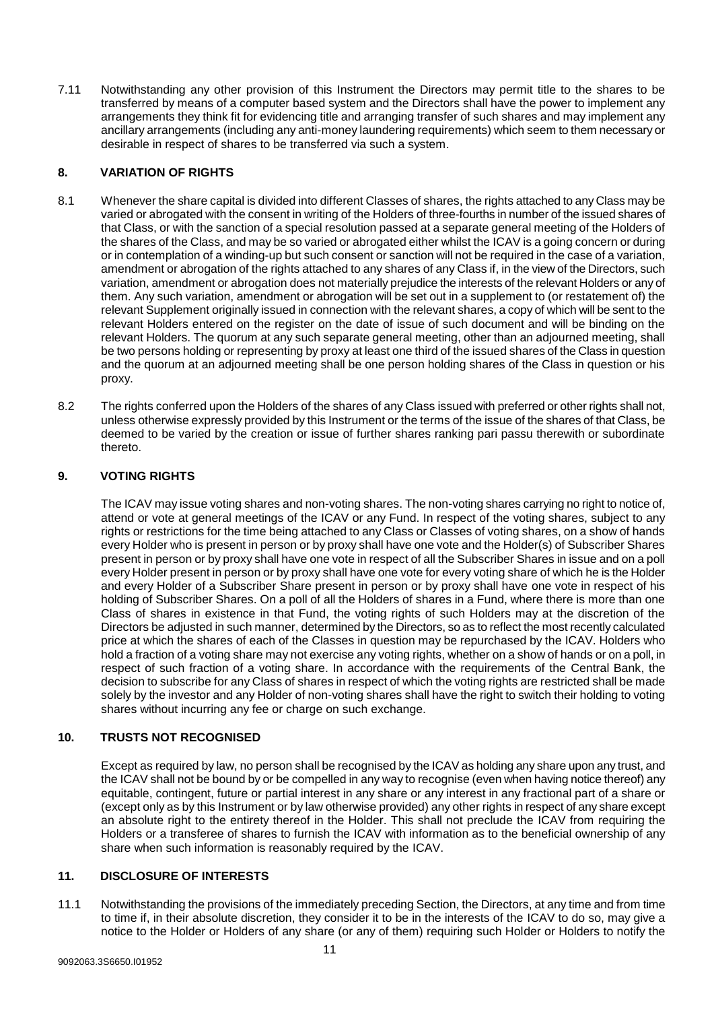7.11 Notwithstanding any other provision of this Instrument the Directors may permit title to the shares to be transferred by means of a computer based system and the Directors shall have the power to implement any arrangements they think fit for evidencing title and arranging transfer of such shares and may implement any ancillary arrangements (including any anti-money laundering requirements) which seem to them necessary or desirable in respect of shares to be transferred via such a system.

## <span id="page-10-0"></span>**8. VARIATION OF RIGHTS**

- 8.1 Whenever the share capital is divided into different Classes of shares, the rights attached to any Class may be varied or abrogated with the consent in writing of the Holders of three-fourths in number of the issued shares of that Class, or with the sanction of a special resolution passed at a separate general meeting of the Holders of the shares of the Class, and may be so varied or abrogated either whilst the ICAV is a going concern or during or in contemplation of a winding-up but such consent or sanction will not be required in the case of a variation, amendment or abrogation of the rights attached to any shares of any Class if, in the view of the Directors, such variation, amendment or abrogation does not materially prejudice the interests of the relevant Holders or any of them. Any such variation, amendment or abrogation will be set out in a supplement to (or restatement of) the relevant Supplement originally issued in connection with the relevant shares, a copy of which will be sent to the relevant Holders entered on the register on the date of issue of such document and will be binding on the relevant Holders. The quorum at any such separate general meeting, other than an adjourned meeting, shall be two persons holding or representing by proxy at least one third of the issued shares of the Class in question and the quorum at an adjourned meeting shall be one person holding shares of the Class in question or his proxy.
- 8.2 The rights conferred upon the Holders of the shares of any Class issued with preferred or other rights shall not, unless otherwise expressly provided by this Instrument or the terms of the issue of the shares of that Class, be deemed to be varied by the creation or issue of further shares ranking pari passu therewith or subordinate thereto.

## <span id="page-10-1"></span>**9. VOTING RIGHTS**

The ICAV may issue voting shares and non-voting shares. The non-voting shares carrying no right to notice of, attend or vote at general meetings of the ICAV or any Fund. In respect of the voting shares, subject to any rights or restrictions for the time being attached to any Class or Classes of voting shares, on a show of hands every Holder who is present in person or by proxy shall have one vote and the Holder(s) of Subscriber Shares present in person or by proxy shall have one vote in respect of all the Subscriber Shares in issue and on a poll every Holder present in person or by proxy shall have one vote for every voting share of which he is the Holder and every Holder of a Subscriber Share present in person or by proxy shall have one vote in respect of his holding of Subscriber Shares. On a poll of all the Holders of shares in a Fund, where there is more than one Class of shares in existence in that Fund, the voting rights of such Holders may at the discretion of the Directors be adjusted in such manner, determined by the Directors, so as to reflect the most recently calculated price at which the shares of each of the Classes in question may be repurchased by the ICAV. Holders who hold a fraction of a voting share may not exercise any voting rights, whether on a show of hands or on a poll, in respect of such fraction of a voting share. In accordance with the requirements of the Central Bank, the decision to subscribe for any Class of shares in respect of which the voting rights are restricted shall be made solely by the investor and any Holder of non-voting shares shall have the right to switch their holding to voting shares without incurring any fee or charge on such exchange.

## <span id="page-10-2"></span>**10. TRUSTS NOT RECOGNISED**

Except as required by law, no person shall be recognised by the ICAV as holding any share upon any trust, and the ICAV shall not be bound by or be compelled in any way to recognise (even when having notice thereof) any equitable, contingent, future or partial interest in any share or any interest in any fractional part of a share or (except only as by this Instrument or by law otherwise provided) any other rights in respect of any share except an absolute right to the entirety thereof in the Holder. This shall not preclude the ICAV from requiring the Holders or a transferee of shares to furnish the ICAV with information as to the beneficial ownership of any share when such information is reasonably required by the ICAV.

## <span id="page-10-3"></span>**11. DISCLOSURE OF INTERESTS**

<span id="page-10-4"></span>11.1 Notwithstanding the provisions of the immediately preceding Section, the Directors, at any time and from time to time if, in their absolute discretion, they consider it to be in the interests of the ICAV to do so, may give a notice to the Holder or Holders of any share (or any of them) requiring such Holder or Holders to notify the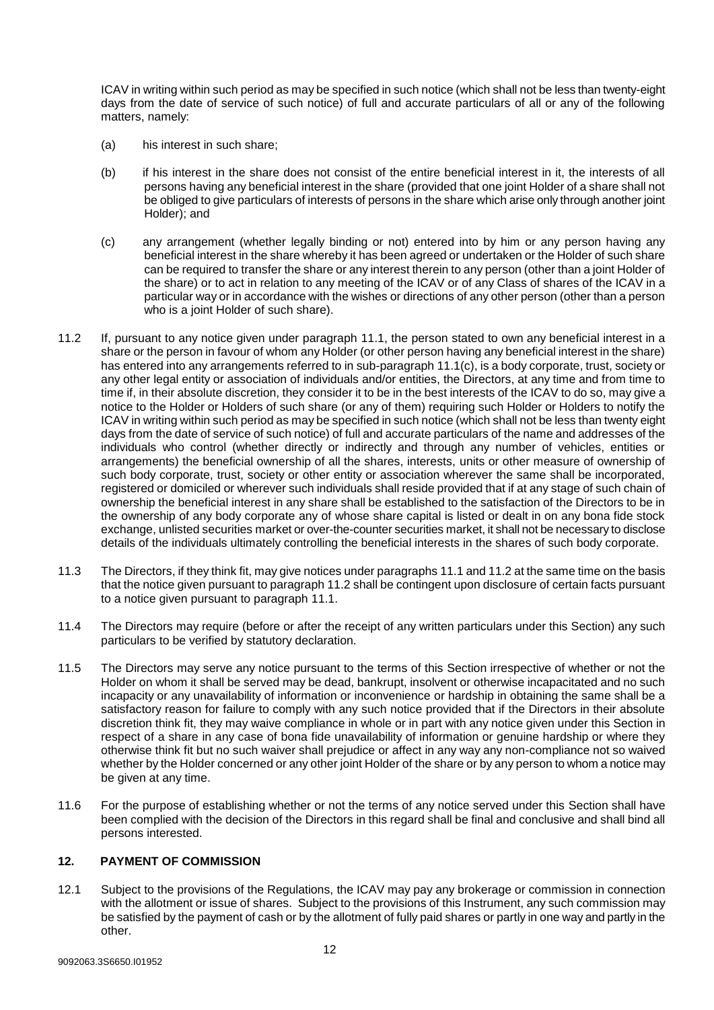ICAV in writing within such period as may be specified in such notice (which shall not be less than twenty-eight days from the date of service of such notice) of full and accurate particulars of all or any of the following matters, namely:

- (a) his interest in such share;
- (b) if his interest in the share does not consist of the entire beneficial interest in it, the interests of all persons having any beneficial interest in the share (provided that one joint Holder of a share shall not be obliged to give particulars of interests of persons in the share which arise only through another joint Holder); and
- <span id="page-11-1"></span>(c) any arrangement (whether legally binding or not) entered into by him or any person having any beneficial interest in the share whereby it has been agreed or undertaken or the Holder of such share can be required to transfer the share or any interest therein to any person (other than a joint Holder of the share) or to act in relation to any meeting of the ICAV or of any Class of shares of the ICAV in a particular way or in accordance with the wishes or directions of any other person (other than a person who is a joint Holder of such share).
- <span id="page-11-2"></span>11.2 If, pursuant to any notice given under paragraph [11.1,](#page-10-4) the person stated to own any beneficial interest in a share or the person in favour of whom any Holder (or other person having any beneficial interest in the share) has entered into any arrangements referred to in sub-paragraph [11.1\(c\),](#page-11-1) is a body corporate, trust, society or any other legal entity or association of individuals and/or entities, the Directors, at any time and from time to time if, in their absolute discretion, they consider it to be in the best interests of the ICAV to do so, may give a notice to the Holder or Holders of such share (or any of them) requiring such Holder or Holders to notify the ICAV in writing within such period as may be specified in such notice (which shall not be less than twenty eight days from the date of service of such notice) of full and accurate particulars of the name and addresses of the individuals who control (whether directly or indirectly and through any number of vehicles, entities or arrangements) the beneficial ownership of all the shares, interests, units or other measure of ownership of such body corporate, trust, society or other entity or association wherever the same shall be incorporated, registered or domiciled or wherever such individuals shall reside provided that if at any stage of such chain of ownership the beneficial interest in any share shall be established to the satisfaction of the Directors to be in the ownership of any body corporate any of whose share capital is listed or dealt in on any bona fide stock exchange, unlisted securities market or over-the-counter securities market, it shall not be necessary to disclose details of the individuals ultimately controlling the beneficial interests in the shares of such body corporate.
- 11.3 The Directors, if they think fit, may give notices under paragraph[s 11.1](#page-10-4) an[d 11.2](#page-11-2) at the same time on the basis that the notice given pursuant to paragraph [11.2](#page-11-2) shall be contingent upon disclosure of certain facts pursuant to a notice given pursuant to paragraph [11.1.](#page-10-4)
- 11.4 The Directors may require (before or after the receipt of any written particulars under this Section) any such particulars to be verified by statutory declaration.
- 11.5 The Directors may serve any notice pursuant to the terms of this Section irrespective of whether or not the Holder on whom it shall be served may be dead, bankrupt, insolvent or otherwise incapacitated and no such incapacity or any unavailability of information or inconvenience or hardship in obtaining the same shall be a satisfactory reason for failure to comply with any such notice provided that if the Directors in their absolute discretion think fit, they may waive compliance in whole or in part with any notice given under this Section in respect of a share in any case of bona fide unavailability of information or genuine hardship or where they otherwise think fit but no such waiver shall prejudice or affect in any way any non-compliance not so waived whether by the Holder concerned or any other joint Holder of the share or by any person to whom a notice may be given at any time.
- 11.6 For the purpose of establishing whether or not the terms of any notice served under this Section shall have been complied with the decision of the Directors in this regard shall be final and conclusive and shall bind all persons interested.

## <span id="page-11-0"></span>**12. PAYMENT OF COMMISSION**

12.1 Subject to the provisions of the Regulations, the ICAV may pay any brokerage or commission in connection with the allotment or issue of shares. Subject to the provisions of this Instrument, any such commission may be satisfied by the payment of cash or by the allotment of fully paid shares or partly in one way and partly in the other.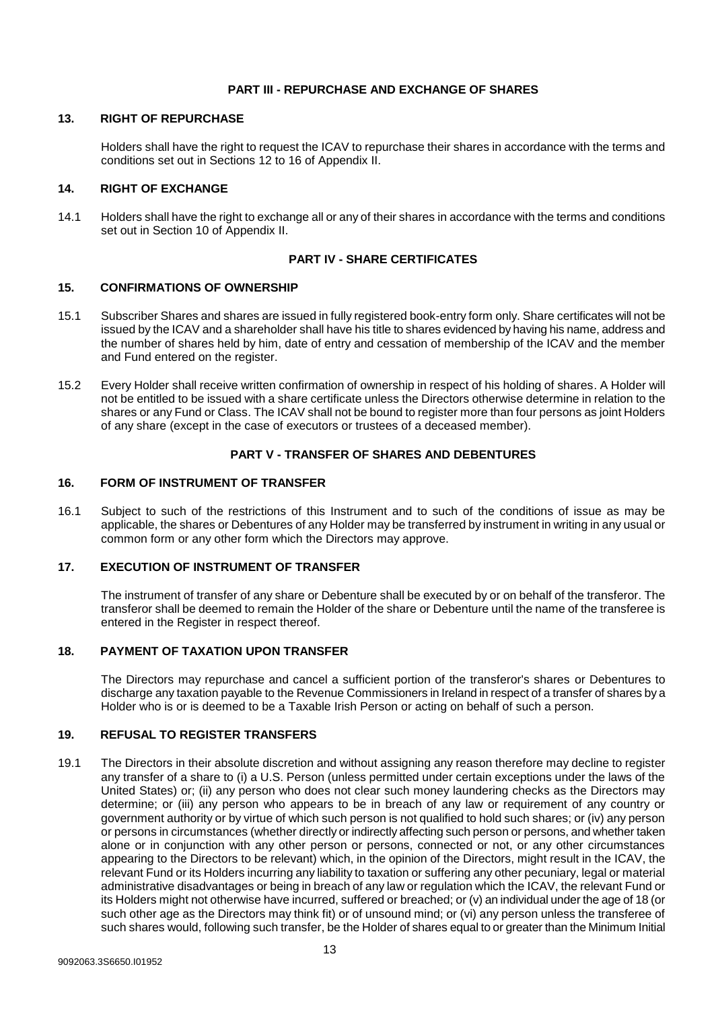## **PART III - REPURCHASE AND EXCHANGE OF SHARES**

#### <span id="page-12-0"></span>**13. RIGHT OF REPURCHASE**

Holders shall have the right to request the ICAV to repurchase their shares in accordance with the terms and conditions set out in Sections 12 to 16 of Appendix II.

## <span id="page-12-1"></span>**14. RIGHT OF EXCHANGE**

14.1 Holders shall have the right to exchange all or any of their shares in accordance with the terms and conditions set out in Section 10 of Appendix II.

## **PART IV - SHARE CERTIFICATES**

## <span id="page-12-2"></span>**15. CONFIRMATIONS OF OWNERSHIP**

- 15.1 Subscriber Shares and shares are issued in fully registered book-entry form only. Share certificates will not be issued by the ICAV and a shareholder shall have his title to shares evidenced by having his name, address and the number of shares held by him, date of entry and cessation of membership of the ICAV and the member and Fund entered on the register.
- 15.2 Every Holder shall receive written confirmation of ownership in respect of his holding of shares. A Holder will not be entitled to be issued with a share certificate unless the Directors otherwise determine in relation to the shares or any Fund or Class. The ICAV shall not be bound to register more than four persons as joint Holders of any share (except in the case of executors or trustees of a deceased member).

## **PART V - TRANSFER OF SHARES AND DEBENTURES**

## <span id="page-12-3"></span>**16. FORM OF INSTRUMENT OF TRANSFER**

16.1 Subject to such of the restrictions of this Instrument and to such of the conditions of issue as may be applicable, the shares or Debentures of any Holder may be transferred by instrument in writing in any usual or common form or any other form which the Directors may approve.

## <span id="page-12-4"></span>**17. EXECUTION OF INSTRUMENT OF TRANSFER**

The instrument of transfer of any share or Debenture shall be executed by or on behalf of the transferor. The transferor shall be deemed to remain the Holder of the share or Debenture until the name of the transferee is entered in the Register in respect thereof.

## <span id="page-12-5"></span>**18. PAYMENT OF TAXATION UPON TRANSFER**

The Directors may repurchase and cancel a sufficient portion of the transferor's shares or Debentures to discharge any taxation payable to the Revenue Commissioners in Ireland in respect of a transfer of shares by a Holder who is or is deemed to be a Taxable Irish Person or acting on behalf of such a person.

## <span id="page-12-6"></span>**19. REFUSAL TO REGISTER TRANSFERS**

19.1 The Directors in their absolute discretion and without assigning any reason therefore may decline to register any transfer of a share to (i) a U.S. Person (unless permitted under certain exceptions under the laws of the United States) or; (ii) any person who does not clear such money laundering checks as the Directors may determine; or (iii) any person who appears to be in breach of any law or requirement of any country or government authority or by virtue of which such person is not qualified to hold such shares; or (iv) any person or persons in circumstances (whether directly or indirectly affecting such person or persons, and whether taken alone or in conjunction with any other person or persons, connected or not, or any other circumstances appearing to the Directors to be relevant) which, in the opinion of the Directors, might result in the ICAV, the relevant Fund or its Holders incurring any liability to taxation or suffering any other pecuniary, legal or material administrative disadvantages or being in breach of any law or regulation which the ICAV, the relevant Fund or its Holders might not otherwise have incurred, suffered or breached; or (v) an individual under the age of 18 (or such other age as the Directors may think fit) or of unsound mind; or (vi) any person unless the transferee of such shares would, following such transfer, be the Holder of shares equal to or greater than the Minimum Initial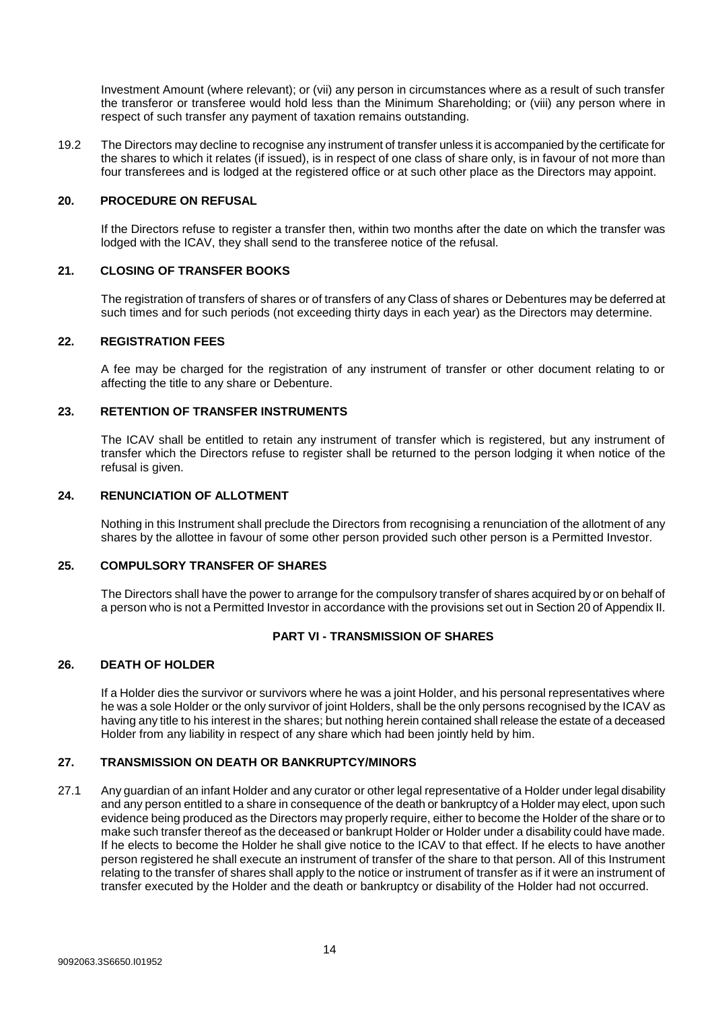Investment Amount (where relevant); or (vii) any person in circumstances where as a result of such transfer the transferor or transferee would hold less than the Minimum Shareholding; or (viii) any person where in respect of such transfer any payment of taxation remains outstanding.

19.2 The Directors may decline to recognise any instrument of transfer unless it is accompanied by the certificate for the shares to which it relates (if issued), is in respect of one class of share only, is in favour of not more than four transferees and is lodged at the registered office or at such other place as the Directors may appoint.

## <span id="page-13-0"></span>**20. PROCEDURE ON REFUSAL**

If the Directors refuse to register a transfer then, within two months after the date on which the transfer was lodged with the ICAV, they shall send to the transferee notice of the refusal.

#### <span id="page-13-1"></span>**21. CLOSING OF TRANSFER BOOKS**

The registration of transfers of shares or of transfers of any Class of shares or Debentures may be deferred at such times and for such periods (not exceeding thirty days in each year) as the Directors may determine.

#### <span id="page-13-2"></span>**22. REGISTRATION FEES**

A fee may be charged for the registration of any instrument of transfer or other document relating to or affecting the title to any share or Debenture.

## <span id="page-13-3"></span>**23. RETENTION OF TRANSFER INSTRUMENTS**

The ICAV shall be entitled to retain any instrument of transfer which is registered, but any instrument of transfer which the Directors refuse to register shall be returned to the person lodging it when notice of the refusal is given.

## <span id="page-13-4"></span>**24. RENUNCIATION OF ALLOTMENT**

Nothing in this Instrument shall preclude the Directors from recognising a renunciation of the allotment of any shares by the allottee in favour of some other person provided such other person is a Permitted Investor.

## <span id="page-13-5"></span>**25. COMPULSORY TRANSFER OF SHARES**

The Directors shall have the power to arrange for the compulsory transfer of shares acquired by or on behalf of a person who is not a Permitted Investor in accordance with the provisions set out in Section 20 of Appendix II.

#### **PART VI - TRANSMISSION OF SHARES**

#### <span id="page-13-6"></span>**26. DEATH OF HOLDER**

If a Holder dies the survivor or survivors where he was a joint Holder, and his personal representatives where he was a sole Holder or the only survivor of joint Holders, shall be the only persons recognised by the ICAV as having any title to his interest in the shares; but nothing herein contained shall release the estate of a deceased Holder from any liability in respect of any share which had been jointly held by him.

#### <span id="page-13-7"></span>**27. TRANSMISSION ON DEATH OR BANKRUPTCY/MINORS**

27.1 Any guardian of an infant Holder and any curator or other legal representative of a Holder under legal disability and any person entitled to a share in consequence of the death or bankruptcy of a Holder may elect, upon such evidence being produced as the Directors may properly require, either to become the Holder of the share or to make such transfer thereof as the deceased or bankrupt Holder or Holder under a disability could have made. If he elects to become the Holder he shall give notice to the ICAV to that effect. If he elects to have another person registered he shall execute an instrument of transfer of the share to that person. All of this Instrument relating to the transfer of shares shall apply to the notice or instrument of transfer as if it were an instrument of transfer executed by the Holder and the death or bankruptcy or disability of the Holder had not occurred.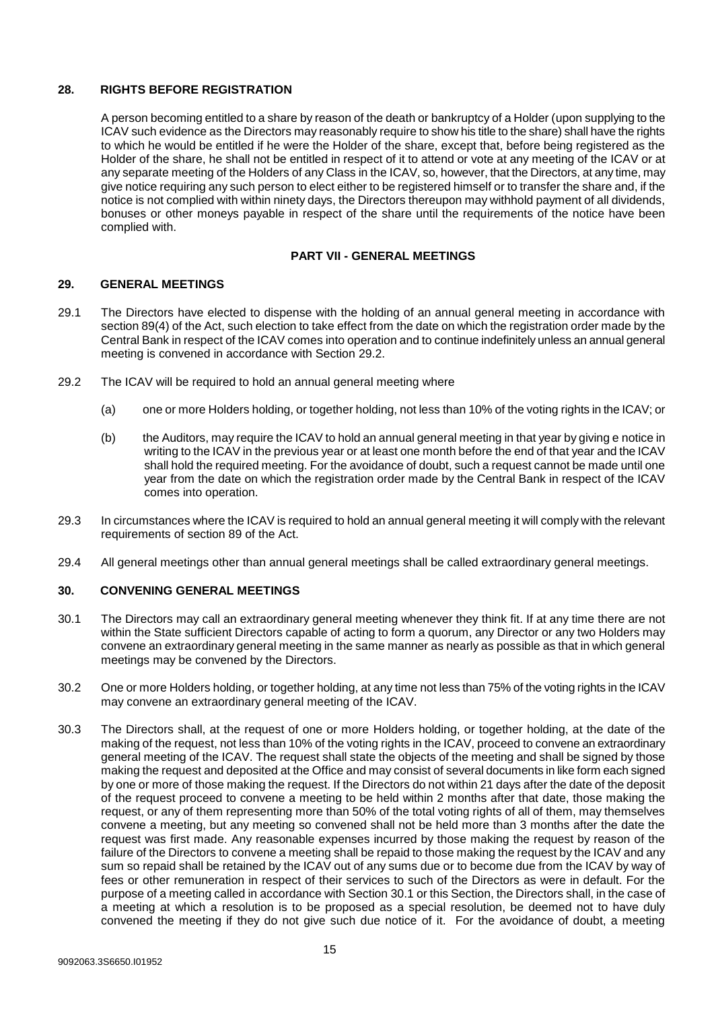## <span id="page-14-0"></span>**28. RIGHTS BEFORE REGISTRATION**

A person becoming entitled to a share by reason of the death or bankruptcy of a Holder (upon supplying to the ICAV such evidence as the Directors may reasonably require to show his title to the share) shall have the rights to which he would be entitled if he were the Holder of the share, except that, before being registered as the Holder of the share, he shall not be entitled in respect of it to attend or vote at any meeting of the ICAV or at any separate meeting of the Holders of any Class in the ICAV, so, however, that the Directors, at any time, may give notice requiring any such person to elect either to be registered himself or to transfer the share and, if the notice is not complied with within ninety days, the Directors thereupon may withhold payment of all dividends, bonuses or other moneys payable in respect of the share until the requirements of the notice have been complied with.

## **PART VII - GENERAL MEETINGS**

#### <span id="page-14-1"></span>**29. GENERAL MEETINGS**

- 29.1 The Directors have elected to dispense with the holding of an annual general meeting in accordance with section 89(4) of the Act, such election to take effect from the date on which the registration order made by the Central Bank in respect of the ICAV comes into operation and to continue indefinitely unless an annual general meeting is convened in accordance with Section [29.2.](#page-14-3)
- <span id="page-14-3"></span>29.2 The ICAV will be required to hold an annual general meeting where
	- (a) one or more Holders holding, or together holding, not less than 10% of the voting rights in the ICAV; or
	- (b) the Auditors, may require the ICAV to hold an annual general meeting in that year by giving e notice in writing to the ICAV in the previous year or at least one month before the end of that year and the ICAV shall hold the required meeting. For the avoidance of doubt, such a request cannot be made until one year from the date on which the registration order made by the Central Bank in respect of the ICAV comes into operation.
- 29.3 In circumstances where the ICAV is required to hold an annual general meeting it will comply with the relevant requirements of section 89 of the Act.
- 29.4 All general meetings other than annual general meetings shall be called extraordinary general meetings.

## <span id="page-14-2"></span>**30. CONVENING GENERAL MEETINGS**

- 30.1 The Directors may call an extraordinary general meeting whenever they think fit. If at any time there are not within the State sufficient Directors capable of acting to form a quorum, any Director or any two Holders may convene an extraordinary general meeting in the same manner as nearly as possible as that in which general meetings may be convened by the Directors.
- <span id="page-14-4"></span>30.2 One or more Holders holding, or together holding, at any time not less than 75% of the voting rights in the ICAV may convene an extraordinary general meeting of the ICAV.
- 30.3 The Directors shall, at the request of one or more Holders holding, or together holding, at the date of the making of the request, not less than 10% of the voting rights in the ICAV, proceed to convene an extraordinary general meeting of the ICAV. The request shall state the objects of the meeting and shall be signed by those making the request and deposited at the Office and may consist of several documents in like form each signed by one or more of those making the request. If the Directors do not within 21 days after the date of the deposit of the request proceed to convene a meeting to be held within 2 months after that date, those making the request, or any of them representing more than 50% of the total voting rights of all of them, may themselves convene a meeting, but any meeting so convened shall not be held more than 3 months after the date the request was first made. Any reasonable expenses incurred by those making the request by reason of the failure of the Directors to convene a meeting shall be repaid to those making the request by the ICAV and any sum so repaid shall be retained by the ICAV out of any sums due or to become due from the ICAV by way of fees or other remuneration in respect of their services to such of the Directors as were in default. For the purpose of a meeting called in accordance with Section 30.1 or this Section, the Directors shall, in the case of a meeting at which a resolution is to be proposed as a special resolution, be deemed not to have duly convened the meeting if they do not give such due notice of it. For the avoidance of doubt, a meeting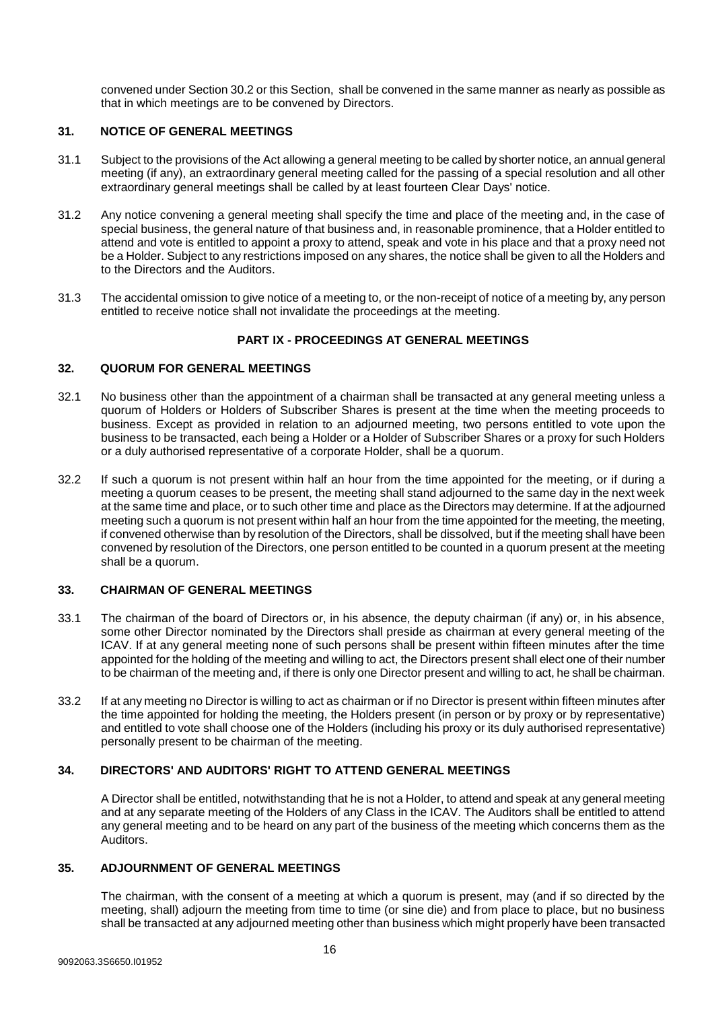convened under Sectio[n 30.2](#page-14-4) or this Section, shall be convened in the same manner as nearly as possible as that in which meetings are to be convened by Directors.

## <span id="page-15-0"></span>**31. NOTICE OF GENERAL MEETINGS**

- 31.1 Subject to the provisions of the Act allowing a general meeting to be called by shorter notice, an annual general meeting (if any), an extraordinary general meeting called for the passing of a special resolution and all other extraordinary general meetings shall be called by at least fourteen Clear Days' notice.
- 31.2 Any notice convening a general meeting shall specify the time and place of the meeting and, in the case of special business, the general nature of that business and, in reasonable prominence, that a Holder entitled to attend and vote is entitled to appoint a proxy to attend, speak and vote in his place and that a proxy need not be a Holder. Subject to any restrictions imposed on any shares, the notice shall be given to all the Holders and to the Directors and the Auditors.
- 31.3 The accidental omission to give notice of a meeting to, or the non-receipt of notice of a meeting by, any person entitled to receive notice shall not invalidate the proceedings at the meeting.

## **PART IX - PROCEEDINGS AT GENERAL MEETINGS**

## <span id="page-15-1"></span>**32. QUORUM FOR GENERAL MEETINGS**

- 32.1 No business other than the appointment of a chairman shall be transacted at any general meeting unless a quorum of Holders or Holders of Subscriber Shares is present at the time when the meeting proceeds to business. Except as provided in relation to an adjourned meeting, two persons entitled to vote upon the business to be transacted, each being a Holder or a Holder of Subscriber Shares or a proxy for such Holders or a duly authorised representative of a corporate Holder, shall be a quorum.
- 32.2 If such a quorum is not present within half an hour from the time appointed for the meeting, or if during a meeting a quorum ceases to be present, the meeting shall stand adjourned to the same day in the next week at the same time and place, or to such other time and place as the Directors may determine. If at the adjourned meeting such a quorum is not present within half an hour from the time appointed for the meeting, the meeting, if convened otherwise than by resolution of the Directors, shall be dissolved, but if the meeting shall have been convened by resolution of the Directors, one person entitled to be counted in a quorum present at the meeting shall be a quorum.

#### <span id="page-15-2"></span>**33. CHAIRMAN OF GENERAL MEETINGS**

- 33.1 The chairman of the board of Directors or, in his absence, the deputy chairman (if any) or, in his absence, some other Director nominated by the Directors shall preside as chairman at every general meeting of the ICAV. If at any general meeting none of such persons shall be present within fifteen minutes after the time appointed for the holding of the meeting and willing to act, the Directors present shall elect one of their number to be chairman of the meeting and, if there is only one Director present and willing to act, he shall be chairman.
- 33.2 If at any meeting no Director is willing to act as chairman or if no Director is present within fifteen minutes after the time appointed for holding the meeting, the Holders present (in person or by proxy or by representative) and entitled to vote shall choose one of the Holders (including his proxy or its duly authorised representative) personally present to be chairman of the meeting.

## <span id="page-15-3"></span>**34. DIRECTORS' AND AUDITORS' RIGHT TO ATTEND GENERAL MEETINGS**

A Director shall be entitled, notwithstanding that he is not a Holder, to attend and speak at any general meeting and at any separate meeting of the Holders of any Class in the ICAV. The Auditors shall be entitled to attend any general meeting and to be heard on any part of the business of the meeting which concerns them as the Auditors.

## <span id="page-15-4"></span>**35. ADJOURNMENT OF GENERAL MEETINGS**

The chairman, with the consent of a meeting at which a quorum is present, may (and if so directed by the meeting, shall) adjourn the meeting from time to time (or sine die) and from place to place, but no business shall be transacted at any adjourned meeting other than business which might properly have been transacted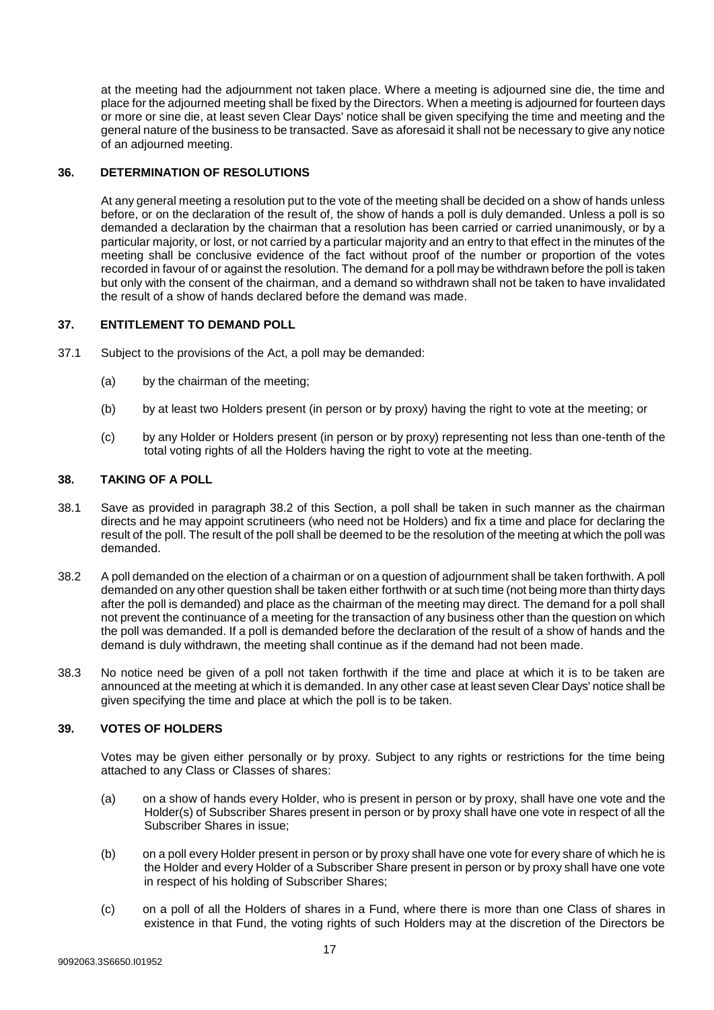at the meeting had the adjournment not taken place. Where a meeting is adjourned sine die, the time and place for the adjourned meeting shall be fixed by the Directors. When a meeting is adjourned for fourteen days or more or sine die, at least seven Clear Days' notice shall be given specifying the time and meeting and the general nature of the business to be transacted. Save as aforesaid it shall not be necessary to give any notice of an adjourned meeting.

## <span id="page-16-0"></span>**36. DETERMINATION OF RESOLUTIONS**

At any general meeting a resolution put to the vote of the meeting shall be decided on a show of hands unless before, or on the declaration of the result of, the show of hands a poll is duly demanded. Unless a poll is so demanded a declaration by the chairman that a resolution has been carried or carried unanimously, or by a particular majority, or lost, or not carried by a particular majority and an entry to that effect in the minutes of the meeting shall be conclusive evidence of the fact without proof of the number or proportion of the votes recorded in favour of or against the resolution. The demand for a poll may be withdrawn before the poll is taken but only with the consent of the chairman, and a demand so withdrawn shall not be taken to have invalidated the result of a show of hands declared before the demand was made.

## <span id="page-16-1"></span>**37. ENTITLEMENT TO DEMAND POLL**

- 37.1 Subject to the provisions of the Act, a poll may be demanded:
	- (a) by the chairman of the meeting;
	- (b) by at least two Holders present (in person or by proxy) having the right to vote at the meeting; or
	- (c) by any Holder or Holders present (in person or by proxy) representing not less than one-tenth of the total voting rights of all the Holders having the right to vote at the meeting.

## <span id="page-16-2"></span>**38. TAKING OF A POLL**

- 38.1 Save as provided in paragraph [38.2](#page-16-4) of this Section, a poll shall be taken in such manner as the chairman directs and he may appoint scrutineers (who need not be Holders) and fix a time and place for declaring the result of the poll. The result of the poll shall be deemed to be the resolution of the meeting at which the poll was demanded.
- <span id="page-16-4"></span>38.2 A poll demanded on the election of a chairman or on a question of adjournment shall be taken forthwith. A poll demanded on any other question shall be taken either forthwith or at such time (not being more than thirty days after the poll is demanded) and place as the chairman of the meeting may direct. The demand for a poll shall not prevent the continuance of a meeting for the transaction of any business other than the question on which the poll was demanded. If a poll is demanded before the declaration of the result of a show of hands and the demand is duly withdrawn, the meeting shall continue as if the demand had not been made.
- 38.3 No notice need be given of a poll not taken forthwith if the time and place at which it is to be taken are announced at the meeting at which it is demanded. In any other case at least seven Clear Days' notice shall be given specifying the time and place at which the poll is to be taken.

## <span id="page-16-3"></span>**39. VOTES OF HOLDERS**

Votes may be given either personally or by proxy. Subject to any rights or restrictions for the time being attached to any Class or Classes of shares:

- (a) on a show of hands every Holder, who is present in person or by proxy, shall have one vote and the Holder(s) of Subscriber Shares present in person or by proxy shall have one vote in respect of all the Subscriber Shares in issue;
- (b) on a poll every Holder present in person or by proxy shall have one vote for every share of which he is the Holder and every Holder of a Subscriber Share present in person or by proxy shall have one vote in respect of his holding of Subscriber Shares;
- (c) on a poll of all the Holders of shares in a Fund, where there is more than one Class of shares in existence in that Fund, the voting rights of such Holders may at the discretion of the Directors be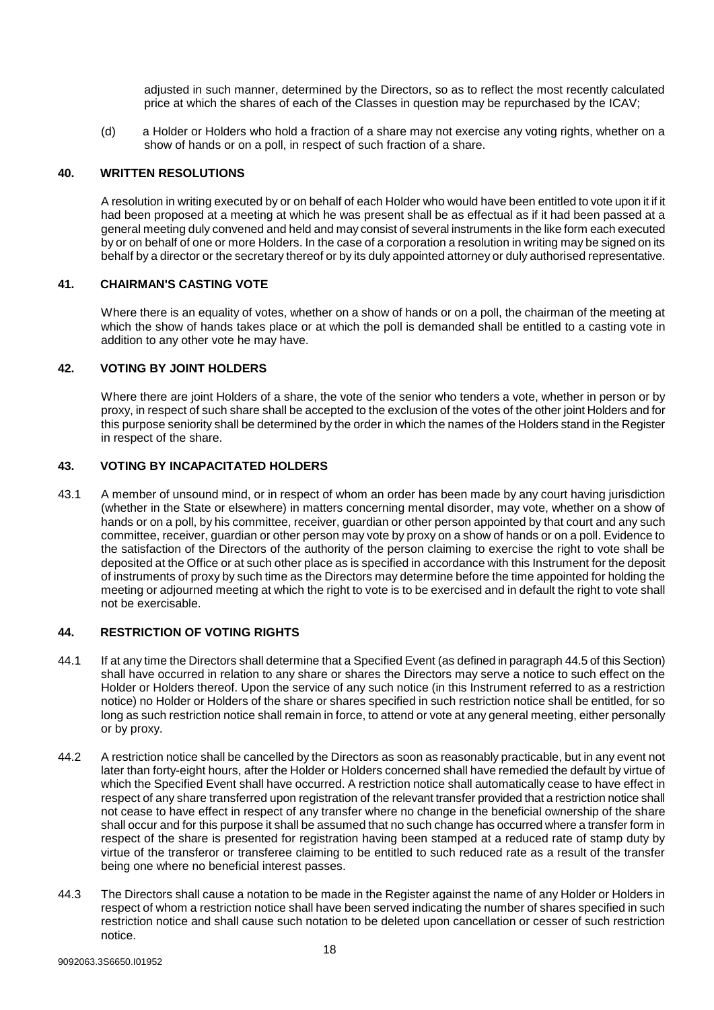adjusted in such manner, determined by the Directors, so as to reflect the most recently calculated price at which the shares of each of the Classes in question may be repurchased by the ICAV;

(d) a Holder or Holders who hold a fraction of a share may not exercise any voting rights, whether on a show of hands or on a poll, in respect of such fraction of a share.

#### <span id="page-17-0"></span>**40. WRITTEN RESOLUTIONS**

A resolution in writing executed by or on behalf of each Holder who would have been entitled to vote upon it if it had been proposed at a meeting at which he was present shall be as effectual as if it had been passed at a general meeting duly convened and held and may consist of several instruments in the like form each executed by or on behalf of one or more Holders. In the case of a corporation a resolution in writing may be signed on its behalf by a director or the secretary thereof or by its duly appointed attorney or duly authorised representative.

#### <span id="page-17-1"></span>**41. CHAIRMAN'S CASTING VOTE**

Where there is an equality of votes, whether on a show of hands or on a poll, the chairman of the meeting at which the show of hands takes place or at which the poll is demanded shall be entitled to a casting vote in addition to any other vote he may have.

## <span id="page-17-2"></span>**42. VOTING BY JOINT HOLDERS**

Where there are joint Holders of a share, the vote of the senior who tenders a vote, whether in person or by proxy, in respect of such share shall be accepted to the exclusion of the votes of the other joint Holders and for this purpose seniority shall be determined by the order in which the names of the Holders stand in the Register in respect of the share.

## <span id="page-17-3"></span>**43. VOTING BY INCAPACITATED HOLDERS**

43.1 A member of unsound mind, or in respect of whom an order has been made by any court having jurisdiction (whether in the State or elsewhere) in matters concerning mental disorder, may vote, whether on a show of hands or on a poll, by his committee, receiver, guardian or other person appointed by that court and any such committee, receiver, guardian or other person may vote by proxy on a show of hands or on a poll. Evidence to the satisfaction of the Directors of the authority of the person claiming to exercise the right to vote shall be deposited at the Office or at such other place as is specified in accordance with this Instrument for the deposit of instruments of proxy by such time as the Directors may determine before the time appointed for holding the meeting or adjourned meeting at which the right to vote is to be exercised and in default the right to vote shall not be exercisable.

## <span id="page-17-4"></span>**44. RESTRICTION OF VOTING RIGHTS**

- 44.1 If at any time the Directors shall determine that a Specified Event (as defined in paragrap[h 44.5](#page-18-6) of this Section) shall have occurred in relation to any share or shares the Directors may serve a notice to such effect on the Holder or Holders thereof. Upon the service of any such notice (in this Instrument referred to as a restriction notice) no Holder or Holders of the share or shares specified in such restriction notice shall be entitled, for so long as such restriction notice shall remain in force, to attend or vote at any general meeting, either personally or by proxy.
- 44.2 A restriction notice shall be cancelled by the Directors as soon as reasonably practicable, but in any event not later than forty-eight hours, after the Holder or Holders concerned shall have remedied the default by virtue of which the Specified Event shall have occurred. A restriction notice shall automatically cease to have effect in respect of any share transferred upon registration of the relevant transfer provided that a restriction notice shall not cease to have effect in respect of any transfer where no change in the beneficial ownership of the share shall occur and for this purpose it shall be assumed that no such change has occurred where a transfer form in respect of the share is presented for registration having been stamped at a reduced rate of stamp duty by virtue of the transferor or transferee claiming to be entitled to such reduced rate as a result of the transfer being one where no beneficial interest passes.
- 44.3 The Directors shall cause a notation to be made in the Register against the name of any Holder or Holders in respect of whom a restriction notice shall have been served indicating the number of shares specified in such restriction notice and shall cause such notation to be deleted upon cancellation or cesser of such restriction notice.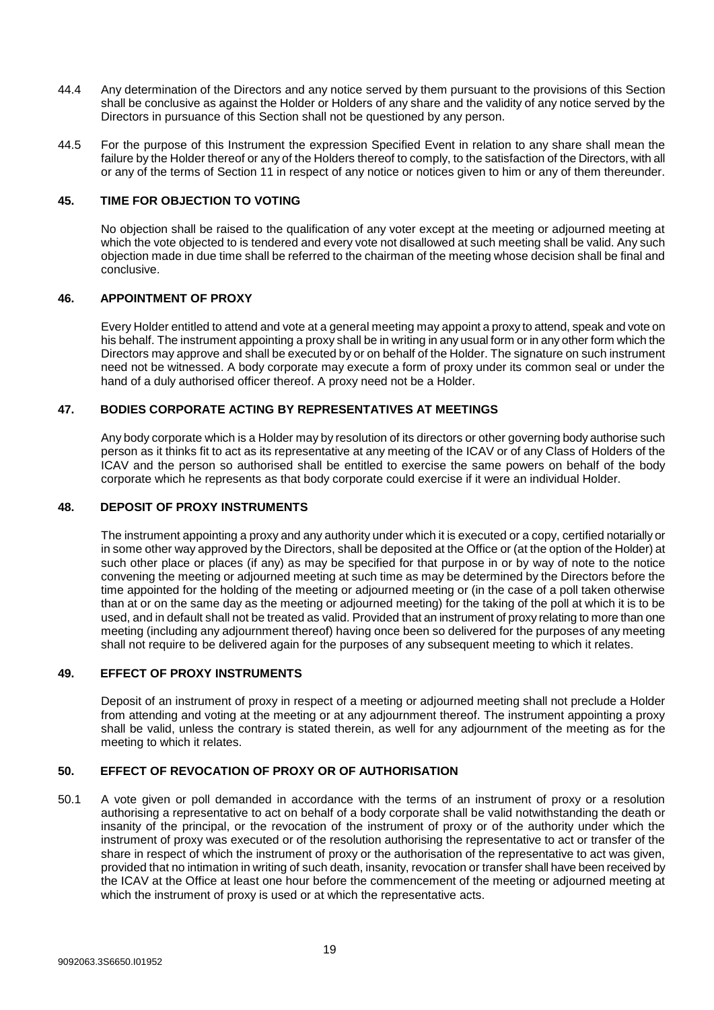- 44.4 Any determination of the Directors and any notice served by them pursuant to the provisions of this Section shall be conclusive as against the Holder or Holders of any share and the validity of any notice served by the Directors in pursuance of this Section shall not be questioned by any person.
- <span id="page-18-6"></span>44.5 For the purpose of this Instrument the expression Specified Event in relation to any share shall mean the failure by the Holder thereof or any of the Holders thereof to comply, to the satisfaction of the Directors, with all or any of the terms of Section 11 in respect of any notice or notices given to him or any of them thereunder.

## <span id="page-18-0"></span>**45. TIME FOR OBJECTION TO VOTING**

No objection shall be raised to the qualification of any voter except at the meeting or adjourned meeting at which the vote objected to is tendered and every vote not disallowed at such meeting shall be valid. Any such objection made in due time shall be referred to the chairman of the meeting whose decision shall be final and conclusive.

#### <span id="page-18-1"></span>**46. APPOINTMENT OF PROXY**

Every Holder entitled to attend and vote at a general meeting may appoint a proxy to attend, speak and vote on his behalf. The instrument appointing a proxy shall be in writing in any usual form or in any other form which the Directors may approve and shall be executed by or on behalf of the Holder. The signature on such instrument need not be witnessed. A body corporate may execute a form of proxy under its common seal or under the hand of a duly authorised officer thereof. A proxy need not be a Holder.

## <span id="page-18-2"></span>**47. BODIES CORPORATE ACTING BY REPRESENTATIVES AT MEETINGS**

Any body corporate which is a Holder may by resolution of its directors or other governing body authorise such person as it thinks fit to act as its representative at any meeting of the ICAV or of any Class of Holders of the ICAV and the person so authorised shall be entitled to exercise the same powers on behalf of the body corporate which he represents as that body corporate could exercise if it were an individual Holder.

#### <span id="page-18-3"></span>**48. DEPOSIT OF PROXY INSTRUMENTS**

The instrument appointing a proxy and any authority under which it is executed or a copy, certified notarially or in some other way approved by the Directors, shall be deposited at the Office or (at the option of the Holder) at such other place or places (if any) as may be specified for that purpose in or by way of note to the notice convening the meeting or adjourned meeting at such time as may be determined by the Directors before the time appointed for the holding of the meeting or adjourned meeting or (in the case of a poll taken otherwise than at or on the same day as the meeting or adjourned meeting) for the taking of the poll at which it is to be used, and in default shall not be treated as valid. Provided that an instrument of proxy relating to more than one meeting (including any adjournment thereof) having once been so delivered for the purposes of any meeting shall not require to be delivered again for the purposes of any subsequent meeting to which it relates.

## <span id="page-18-4"></span>**49. EFFECT OF PROXY INSTRUMENTS**

Deposit of an instrument of proxy in respect of a meeting or adjourned meeting shall not preclude a Holder from attending and voting at the meeting or at any adjournment thereof. The instrument appointing a proxy shall be valid, unless the contrary is stated therein, as well for any adjournment of the meeting as for the meeting to which it relates.

#### <span id="page-18-5"></span>**50. EFFECT OF REVOCATION OF PROXY OR OF AUTHORISATION**

50.1 A vote given or poll demanded in accordance with the terms of an instrument of proxy or a resolution authorising a representative to act on behalf of a body corporate shall be valid notwithstanding the death or insanity of the principal, or the revocation of the instrument of proxy or of the authority under which the instrument of proxy was executed or of the resolution authorising the representative to act or transfer of the share in respect of which the instrument of proxy or the authorisation of the representative to act was given, provided that no intimation in writing of such death, insanity, revocation or transfer shall have been received by the ICAV at the Office at least one hour before the commencement of the meeting or adjourned meeting at which the instrument of proxy is used or at which the representative acts.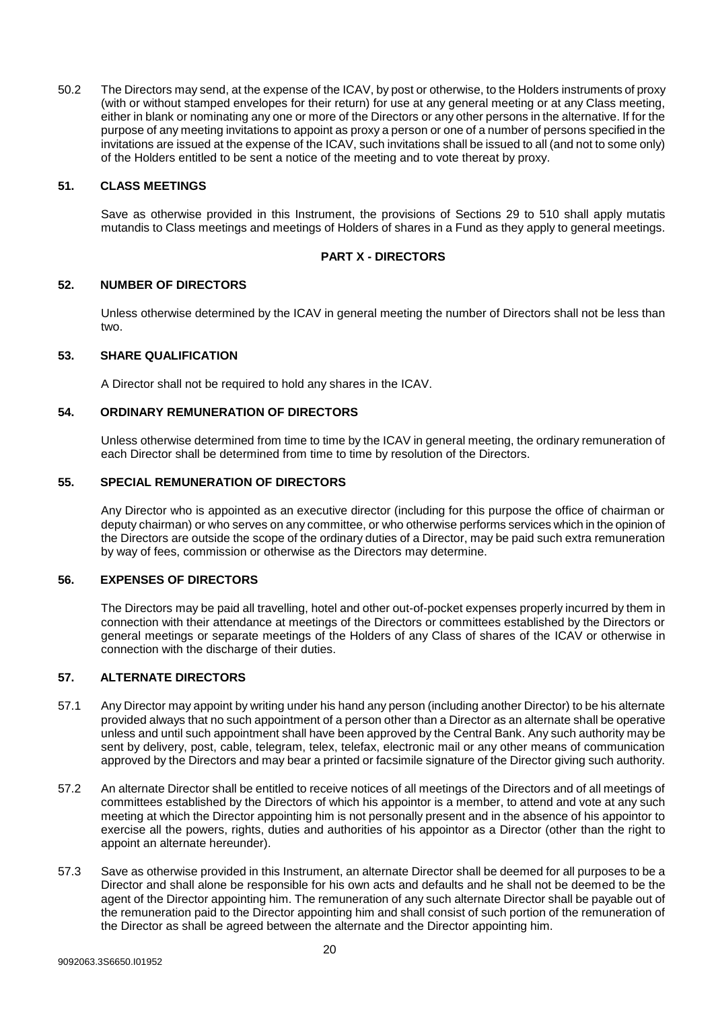50.2 The Directors may send, at the expense of the ICAV, by post or otherwise, to the Holders instruments of proxy (with or without stamped envelopes for their return) for use at any general meeting or at any Class meeting, either in blank or nominating any one or more of the Directors or any other persons in the alternative. If for the purpose of any meeting invitations to appoint as proxy a person or one of a number of persons specified in the invitations are issued at the expense of the ICAV, such invitations shall be issued to all (and not to some only) of the Holders entitled to be sent a notice of the meeting and to vote thereat by proxy.

## <span id="page-19-7"></span><span id="page-19-0"></span>**51. CLASS MEETINGS**

Save as otherwise provided in this Instrument, the provisions of Sections 29 to [510](#page-19-7) shall apply mutatis mutandis to Class meetings and meetings of Holders of shares in a Fund as they apply to general meetings.

## **PART X - DIRECTORS**

## <span id="page-19-1"></span>**52. NUMBER OF DIRECTORS**

Unless otherwise determined by the ICAV in general meeting the number of Directors shall not be less than two.

## <span id="page-19-2"></span>**53. SHARE QUALIFICATION**

A Director shall not be required to hold any shares in the ICAV.

#### <span id="page-19-3"></span>**54. ORDINARY REMUNERATION OF DIRECTORS**

Unless otherwise determined from time to time by the ICAV in general meeting, the ordinary remuneration of each Director shall be determined from time to time by resolution of the Directors.

#### <span id="page-19-4"></span>**55. SPECIAL REMUNERATION OF DIRECTORS**

Any Director who is appointed as an executive director (including for this purpose the office of chairman or deputy chairman) or who serves on any committee, or who otherwise performs services which in the opinion of the Directors are outside the scope of the ordinary duties of a Director, may be paid such extra remuneration by way of fees, commission or otherwise as the Directors may determine.

## <span id="page-19-5"></span>**56. EXPENSES OF DIRECTORS**

The Directors may be paid all travelling, hotel and other out-of-pocket expenses properly incurred by them in connection with their attendance at meetings of the Directors or committees established by the Directors or general meetings or separate meetings of the Holders of any Class of shares of the ICAV or otherwise in connection with the discharge of their duties.

#### <span id="page-19-6"></span>**57. ALTERNATE DIRECTORS**

- 57.1 Any Director may appoint by writing under his hand any person (including another Director) to be his alternate provided always that no such appointment of a person other than a Director as an alternate shall be operative unless and until such appointment shall have been approved by the Central Bank. Any such authority may be sent by delivery, post, cable, telegram, telex, telefax, electronic mail or any other means of communication approved by the Directors and may bear a printed or facsimile signature of the Director giving such authority.
- 57.2 An alternate Director shall be entitled to receive notices of all meetings of the Directors and of all meetings of committees established by the Directors of which his appointor is a member, to attend and vote at any such meeting at which the Director appointing him is not personally present and in the absence of his appointor to exercise all the powers, rights, duties and authorities of his appointor as a Director (other than the right to appoint an alternate hereunder).
- 57.3 Save as otherwise provided in this Instrument, an alternate Director shall be deemed for all purposes to be a Director and shall alone be responsible for his own acts and defaults and he shall not be deemed to be the agent of the Director appointing him. The remuneration of any such alternate Director shall be payable out of the remuneration paid to the Director appointing him and shall consist of such portion of the remuneration of the Director as shall be agreed between the alternate and the Director appointing him.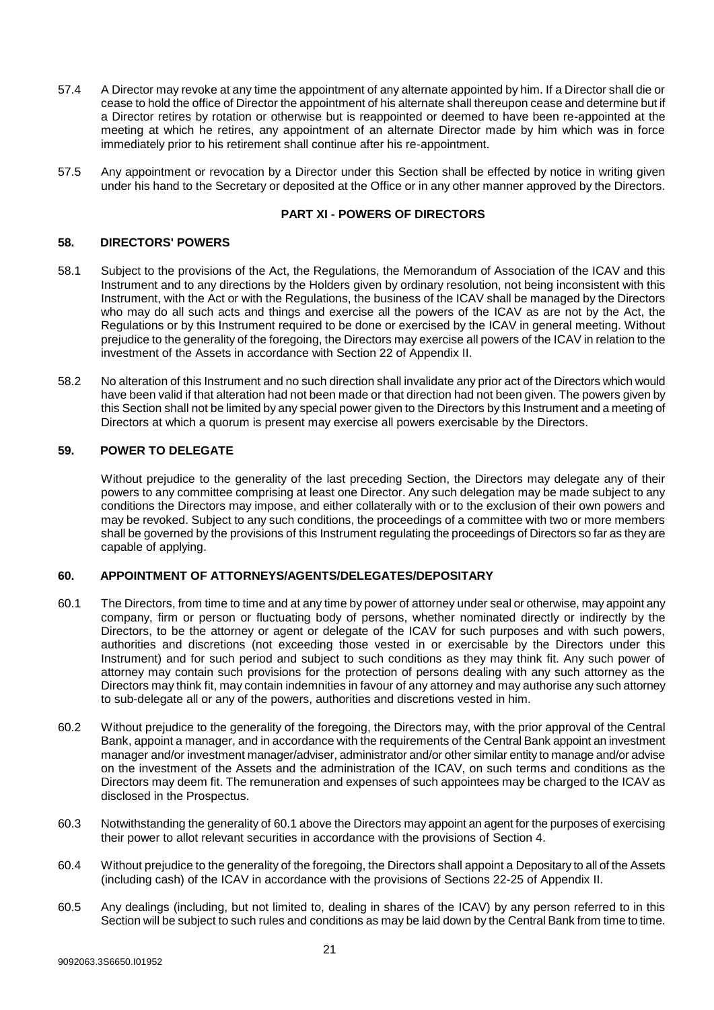- 57.4 A Director may revoke at any time the appointment of any alternate appointed by him. If a Director shall die or cease to hold the office of Director the appointment of his alternate shall thereupon cease and determine but if a Director retires by rotation or otherwise but is reappointed or deemed to have been re-appointed at the meeting at which he retires, any appointment of an alternate Director made by him which was in force immediately prior to his retirement shall continue after his re-appointment.
- 57.5 Any appointment or revocation by a Director under this Section shall be effected by notice in writing given under his hand to the Secretary or deposited at the Office or in any other manner approved by the Directors.

## **PART XI - POWERS OF DIRECTORS**

#### <span id="page-20-0"></span>**58. DIRECTORS' POWERS**

- 58.1 Subject to the provisions of the Act, the Regulations, the Memorandum of Association of the ICAV and this Instrument and to any directions by the Holders given by ordinary resolution, not being inconsistent with this Instrument, with the Act or with the Regulations, the business of the ICAV shall be managed by the Directors who may do all such acts and things and exercise all the powers of the ICAV as are not by the Act, the Regulations or by this Instrument required to be done or exercised by the ICAV in general meeting. Without prejudice to the generality of the foregoing, the Directors may exercise all powers of the ICAV in relation to the investment of the Assets in accordance with Section 22 of Appendix II.
- 58.2 No alteration of this Instrument and no such direction shall invalidate any prior act of the Directors which would have been valid if that alteration had not been made or that direction had not been given. The powers given by this Section shall not be limited by any special power given to the Directors by this Instrument and a meeting of Directors at which a quorum is present may exercise all powers exercisable by the Directors.

## <span id="page-20-1"></span>**59. POWER TO DELEGATE**

Without prejudice to the generality of the last preceding Section, the Directors may delegate any of their powers to any committee comprising at least one Director. Any such delegation may be made subject to any conditions the Directors may impose, and either collaterally with or to the exclusion of their own powers and may be revoked. Subject to any such conditions, the proceedings of a committee with two or more members shall be governed by the provisions of this Instrument regulating the proceedings of Directors so far as they are capable of applying.

#### <span id="page-20-2"></span>**60. APPOINTMENT OF ATTORNEYS/AGENTS/DELEGATES/DEPOSITARY**

- <span id="page-20-3"></span>60.1 The Directors, from time to time and at any time by power of attorney under seal or otherwise, may appoint any company, firm or person or fluctuating body of persons, whether nominated directly or indirectly by the Directors, to be the attorney or agent or delegate of the ICAV for such purposes and with such powers, authorities and discretions (not exceeding those vested in or exercisable by the Directors under this Instrument) and for such period and subject to such conditions as they may think fit. Any such power of attorney may contain such provisions for the protection of persons dealing with any such attorney as the Directors may think fit, may contain indemnities in favour of any attorney and may authorise any such attorney to sub-delegate all or any of the powers, authorities and discretions vested in him.
- 60.2 Without prejudice to the generality of the foregoing, the Directors may, with the prior approval of the Central Bank, appoint a manager, and in accordance with the requirements of the Central Bank appoint an investment manager and/or investment manager/adviser, administrator and/or other similar entity to manage and/or advise on the investment of the Assets and the administration of the ICAV, on such terms and conditions as the Directors may deem fit. The remuneration and expenses of such appointees may be charged to the ICAV as disclosed in the Prospectus.
- 60.3 Notwithstanding the generality o[f 60.1](#page-20-3) above the Directors may appoint an agent for the purposes of exercising their power to allot relevant securities in accordance with the provisions of Section 4.
- 60.4 Without prejudice to the generality of the foregoing, the Directors shall appoint a Depositary to all of the Assets (including cash) of the ICAV in accordance with the provisions of Sections 22-25 of Appendix II.
- 60.5 Any dealings (including, but not limited to, dealing in shares of the ICAV) by any person referred to in this Section will be subject to such rules and conditions as may be laid down by the Central Bank from time to time.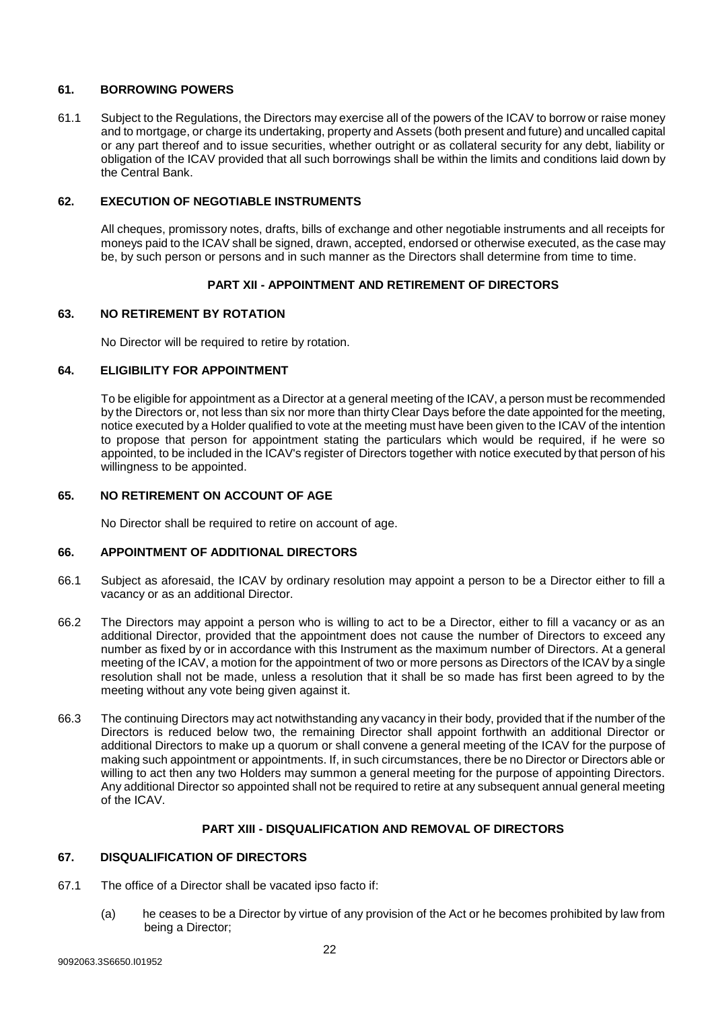## <span id="page-21-0"></span>**61. BORROWING POWERS**

61.1 Subject to the Regulations, the Directors may exercise all of the powers of the ICAV to borrow or raise money and to mortgage, or charge its undertaking, property and Assets (both present and future) and uncalled capital or any part thereof and to issue securities, whether outright or as collateral security for any debt, liability or obligation of the ICAV provided that all such borrowings shall be within the limits and conditions laid down by the Central Bank.

## <span id="page-21-1"></span>**62. EXECUTION OF NEGOTIABLE INSTRUMENTS**

All cheques, promissory notes, drafts, bills of exchange and other negotiable instruments and all receipts for moneys paid to the ICAV shall be signed, drawn, accepted, endorsed or otherwise executed, as the case may be, by such person or persons and in such manner as the Directors shall determine from time to time.

## **PART XII - APPOINTMENT AND RETIREMENT OF DIRECTORS**

## <span id="page-21-2"></span>**63. NO RETIREMENT BY ROTATION**

No Director will be required to retire by rotation.

#### <span id="page-21-3"></span>**64. ELIGIBILITY FOR APPOINTMENT**

To be eligible for appointment as a Director at a general meeting of the ICAV, a person must be recommended by the Directors or, not less than six nor more than thirty Clear Days before the date appointed for the meeting, notice executed by a Holder qualified to vote at the meeting must have been given to the ICAV of the intention to propose that person for appointment stating the particulars which would be required, if he were so appointed, to be included in the ICAV's register of Directors together with notice executed by that person of his willingness to be appointed.

#### <span id="page-21-4"></span>**65. NO RETIREMENT ON ACCOUNT OF AGE**

No Director shall be required to retire on account of age.

## <span id="page-21-5"></span>**66. APPOINTMENT OF ADDITIONAL DIRECTORS**

- 66.1 Subject as aforesaid, the ICAV by ordinary resolution may appoint a person to be a Director either to fill a vacancy or as an additional Director.
- 66.2 The Directors may appoint a person who is willing to act to be a Director, either to fill a vacancy or as an additional Director, provided that the appointment does not cause the number of Directors to exceed any number as fixed by or in accordance with this Instrument as the maximum number of Directors. At a general meeting of the ICAV, a motion for the appointment of two or more persons as Directors of the ICAV by a single resolution shall not be made, unless a resolution that it shall be so made has first been agreed to by the meeting without any vote being given against it.
- 66.3 The continuing Directors may act notwithstanding any vacancy in their body, provided that if the number of the Directors is reduced below two, the remaining Director shall appoint forthwith an additional Director or additional Directors to make up a quorum or shall convene a general meeting of the ICAV for the purpose of making such appointment or appointments. If, in such circumstances, there be no Director or Directors able or willing to act then any two Holders may summon a general meeting for the purpose of appointing Directors. Any additional Director so appointed shall not be required to retire at any subsequent annual general meeting of the ICAV.

#### **PART XIII - DISQUALIFICATION AND REMOVAL OF DIRECTORS**

#### <span id="page-21-6"></span>**67. DISQUALIFICATION OF DIRECTORS**

- 67.1 The office of a Director shall be vacated ipso facto if:
	- (a) he ceases to be a Director by virtue of any provision of the Act or he becomes prohibited by law from being a Director;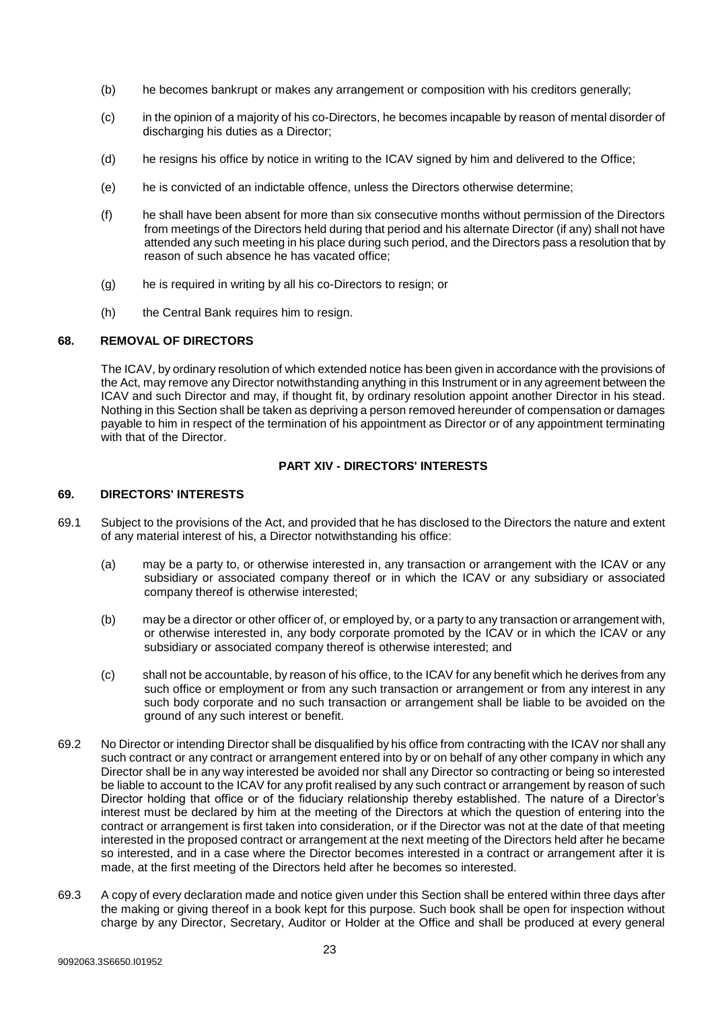- (b) he becomes bankrupt or makes any arrangement or composition with his creditors generally;
- (c) in the opinion of a majority of his co-Directors, he becomes incapable by reason of mental disorder of discharging his duties as a Director;
- (d) he resigns his office by notice in writing to the ICAV signed by him and delivered to the Office;
- (e) he is convicted of an indictable offence, unless the Directors otherwise determine;
- (f) he shall have been absent for more than six consecutive months without permission of the Directors from meetings of the Directors held during that period and his alternate Director (if any) shall not have attended any such meeting in his place during such period, and the Directors pass a resolution that by reason of such absence he has vacated office;
- (g) he is required in writing by all his co-Directors to resign; or
- (h) the Central Bank requires him to resign.

## <span id="page-22-0"></span>**68. REMOVAL OF DIRECTORS**

The ICAV, by ordinary resolution of which extended notice has been given in accordance with the provisions of the Act, may remove any Director notwithstanding anything in this Instrument or in any agreement between the ICAV and such Director and may, if thought fit, by ordinary resolution appoint another Director in his stead. Nothing in this Section shall be taken as depriving a person removed hereunder of compensation or damages payable to him in respect of the termination of his appointment as Director or of any appointment terminating with that of the Director.

## **PART XIV - DIRECTORS' INTERESTS**

#### <span id="page-22-1"></span>**69. DIRECTORS' INTERESTS**

- 69.1 Subject to the provisions of the Act, and provided that he has disclosed to the Directors the nature and extent of any material interest of his, a Director notwithstanding his office:
	- (a) may be a party to, or otherwise interested in, any transaction or arrangement with the ICAV or any subsidiary or associated company thereof or in which the ICAV or any subsidiary or associated company thereof is otherwise interested;
	- (b) may be a director or other officer of, or employed by, or a party to any transaction or arrangement with, or otherwise interested in, any body corporate promoted by the ICAV or in which the ICAV or any subsidiary or associated company thereof is otherwise interested; and
	- (c) shall not be accountable, by reason of his office, to the ICAV for any benefit which he derives from any such office or employment or from any such transaction or arrangement or from any interest in any such body corporate and no such transaction or arrangement shall be liable to be avoided on the ground of any such interest or benefit.
- 69.2 No Director or intending Director shall be disqualified by his office from contracting with the ICAV nor shall any such contract or any contract or arrangement entered into by or on behalf of any other company in which any Director shall be in any way interested be avoided nor shall any Director so contracting or being so interested be liable to account to the ICAV for any profit realised by any such contract or arrangement by reason of such Director holding that office or of the fiduciary relationship thereby established. The nature of a Director's interest must be declared by him at the meeting of the Directors at which the question of entering into the contract or arrangement is first taken into consideration, or if the Director was not at the date of that meeting interested in the proposed contract or arrangement at the next meeting of the Directors held after he became so interested, and in a case where the Director becomes interested in a contract or arrangement after it is made, at the first meeting of the Directors held after he becomes so interested.
- 69.3 A copy of every declaration made and notice given under this Section shall be entered within three days after the making or giving thereof in a book kept for this purpose. Such book shall be open for inspection without charge by any Director, Secretary, Auditor or Holder at the Office and shall be produced at every general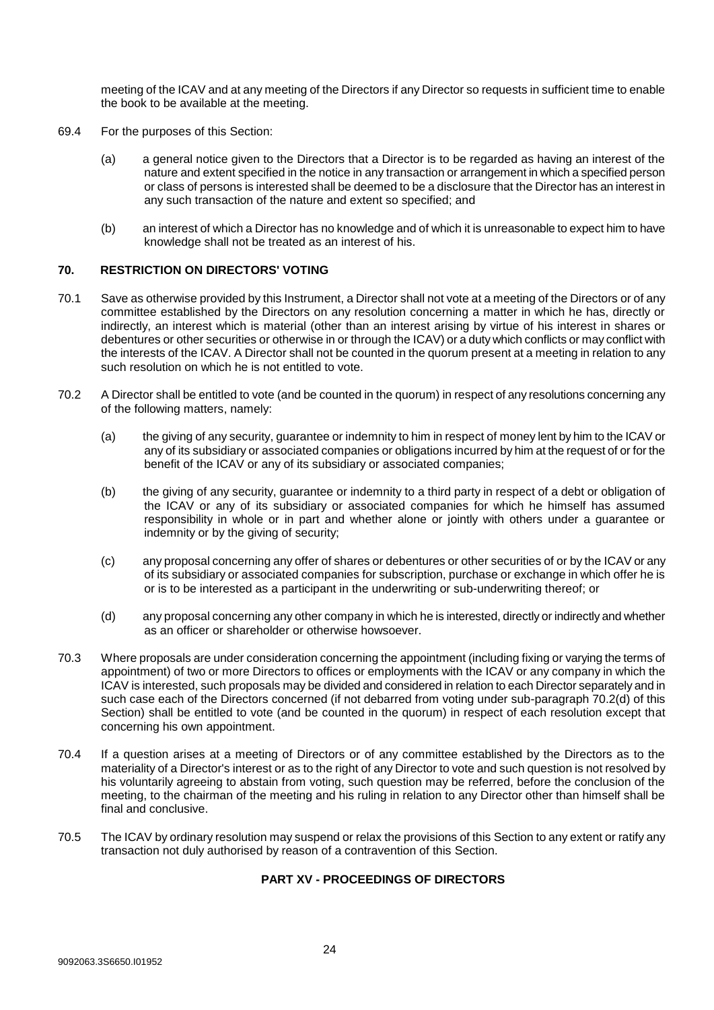meeting of the ICAV and at any meeting of the Directors if any Director so requests in sufficient time to enable the book to be available at the meeting.

- 69.4 For the purposes of this Section:
	- (a) a general notice given to the Directors that a Director is to be regarded as having an interest of the nature and extent specified in the notice in any transaction or arrangement in which a specified person or class of persons is interested shall be deemed to be a disclosure that the Director has an interest in any such transaction of the nature and extent so specified; and
	- (b) an interest of which a Director has no knowledge and of which it is unreasonable to expect him to have knowledge shall not be treated as an interest of his.

## <span id="page-23-0"></span>**70. RESTRICTION ON DIRECTORS' VOTING**

- 70.1 Save as otherwise provided by this Instrument, a Director shall not vote at a meeting of the Directors or of any committee established by the Directors on any resolution concerning a matter in which he has, directly or indirectly, an interest which is material (other than an interest arising by virtue of his interest in shares or debentures or other securities or otherwise in or through the ICAV) or a duty which conflicts or may conflict with the interests of the ICAV. A Director shall not be counted in the quorum present at a meeting in relation to any such resolution on which he is not entitled to vote.
- 70.2 A Director shall be entitled to vote (and be counted in the quorum) in respect of any resolutions concerning any of the following matters, namely:
	- (a) the giving of any security, guarantee or indemnity to him in respect of money lent by him to the ICAV or any of its subsidiary or associated companies or obligations incurred by him at the request of or for the benefit of the ICAV or any of its subsidiary or associated companies;
	- (b) the giving of any security, guarantee or indemnity to a third party in respect of a debt or obligation of the ICAV or any of its subsidiary or associated companies for which he himself has assumed responsibility in whole or in part and whether alone or jointly with others under a guarantee or indemnity or by the giving of security;
	- (c) any proposal concerning any offer of shares or debentures or other securities of or by the ICAV or any of its subsidiary or associated companies for subscription, purchase or exchange in which offer he is or is to be interested as a participant in the underwriting or sub-underwriting thereof; or
	- (d) any proposal concerning any other company in which he is interested, directly or indirectly and whether as an officer or shareholder or otherwise howsoever.
- 70.3 Where proposals are under consideration concerning the appointment (including fixing or varying the terms of appointment) of two or more Directors to offices or employments with the ICAV or any company in which the ICAV is interested, such proposals may be divided and considered in relation to each Director separately and in such case each of the Directors concerned (if not debarred from voting under sub-paragraph 70.2(d) of this Section) shall be entitled to vote (and be counted in the quorum) in respect of each resolution except that concerning his own appointment.
- 70.4 If a question arises at a meeting of Directors or of any committee established by the Directors as to the materiality of a Director's interest or as to the right of any Director to vote and such question is not resolved by his voluntarily agreeing to abstain from voting, such question may be referred, before the conclusion of the meeting, to the chairman of the meeting and his ruling in relation to any Director other than himself shall be final and conclusive.
- 70.5 The ICAV by ordinary resolution may suspend or relax the provisions of this Section to any extent or ratify any transaction not duly authorised by reason of a contravention of this Section.

## **PART XV - PROCEEDINGS OF DIRECTORS**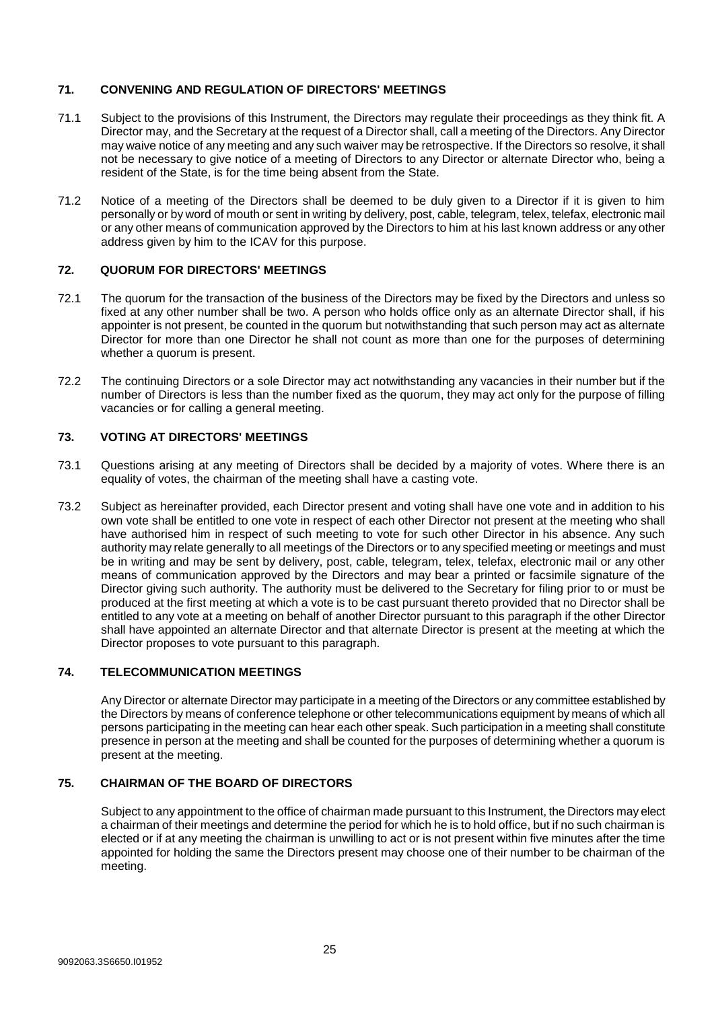## <span id="page-24-0"></span>**71. CONVENING AND REGULATION OF DIRECTORS' MEETINGS**

- 71.1 Subject to the provisions of this Instrument, the Directors may regulate their proceedings as they think fit. A Director may, and the Secretary at the request of a Director shall, call a meeting of the Directors. Any Director may waive notice of any meeting and any such waiver may be retrospective. If the Directors so resolve, it shall not be necessary to give notice of a meeting of Directors to any Director or alternate Director who, being a resident of the State, is for the time being absent from the State.
- 71.2 Notice of a meeting of the Directors shall be deemed to be duly given to a Director if it is given to him personally or by word of mouth or sent in writing by delivery, post, cable, telegram, telex, telefax, electronic mail or any other means of communication approved by the Directors to him at his last known address or any other address given by him to the ICAV for this purpose.

## <span id="page-24-1"></span>**72. QUORUM FOR DIRECTORS' MEETINGS**

- 72.1 The quorum for the transaction of the business of the Directors may be fixed by the Directors and unless so fixed at any other number shall be two. A person who holds office only as an alternate Director shall, if his appointer is not present, be counted in the quorum but notwithstanding that such person may act as alternate Director for more than one Director he shall not count as more than one for the purposes of determining whether a quorum is present.
- 72.2 The continuing Directors or a sole Director may act notwithstanding any vacancies in their number but if the number of Directors is less than the number fixed as the quorum, they may act only for the purpose of filling vacancies or for calling a general meeting.

## <span id="page-24-2"></span>**73. VOTING AT DIRECTORS' MEETINGS**

- 73.1 Questions arising at any meeting of Directors shall be decided by a majority of votes. Where there is an equality of votes, the chairman of the meeting shall have a casting vote.
- 73.2 Subject as hereinafter provided, each Director present and voting shall have one vote and in addition to his own vote shall be entitled to one vote in respect of each other Director not present at the meeting who shall have authorised him in respect of such meeting to vote for such other Director in his absence. Any such authority may relate generally to all meetings of the Directors or to any specified meeting or meetings and must be in writing and may be sent by delivery, post, cable, telegram, telex, telefax, electronic mail or any other means of communication approved by the Directors and may bear a printed or facsimile signature of the Director giving such authority. The authority must be delivered to the Secretary for filing prior to or must be produced at the first meeting at which a vote is to be cast pursuant thereto provided that no Director shall be entitled to any vote at a meeting on behalf of another Director pursuant to this paragraph if the other Director shall have appointed an alternate Director and that alternate Director is present at the meeting at which the Director proposes to vote pursuant to this paragraph.

## <span id="page-24-3"></span>**74. TELECOMMUNICATION MEETINGS**

Any Director or alternate Director may participate in a meeting of the Directors or any committee established by the Directors by means of conference telephone or other telecommunications equipment by means of which all persons participating in the meeting can hear each other speak. Such participation in a meeting shall constitute presence in person at the meeting and shall be counted for the purposes of determining whether a quorum is present at the meeting.

## <span id="page-24-4"></span>**75. CHAIRMAN OF THE BOARD OF DIRECTORS**

Subject to any appointment to the office of chairman made pursuant to this Instrument, the Directors may elect a chairman of their meetings and determine the period for which he is to hold office, but if no such chairman is elected or if at any meeting the chairman is unwilling to act or is not present within five minutes after the time appointed for holding the same the Directors present may choose one of their number to be chairman of the meeting.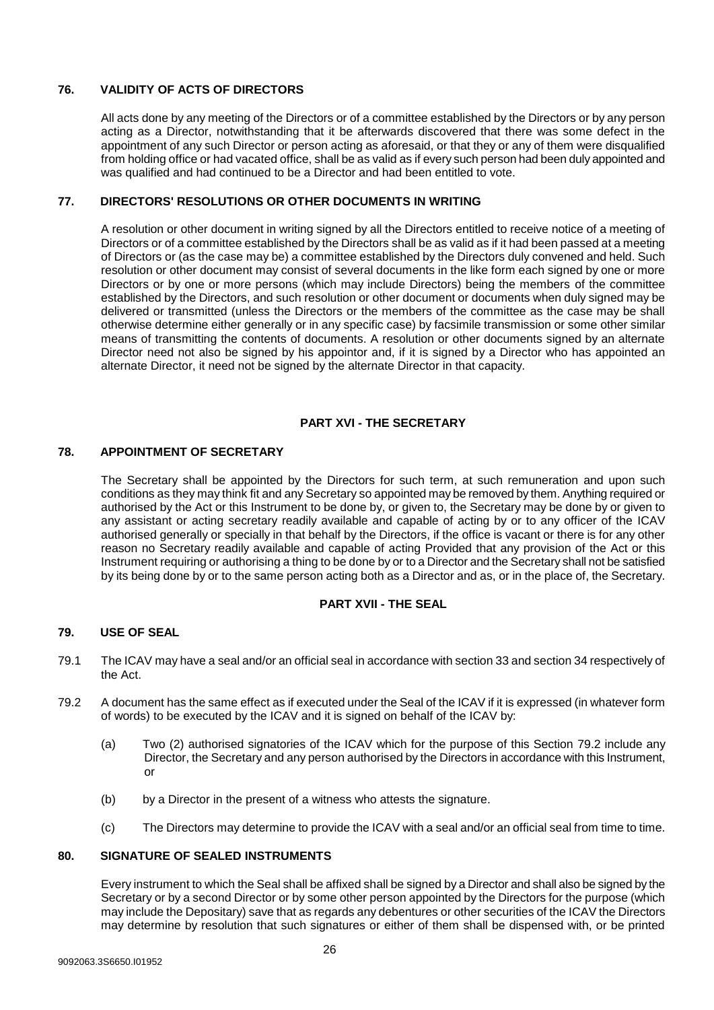## <span id="page-25-0"></span>**76. VALIDITY OF ACTS OF DIRECTORS**

All acts done by any meeting of the Directors or of a committee established by the Directors or by any person acting as a Director, notwithstanding that it be afterwards discovered that there was some defect in the appointment of any such Director or person acting as aforesaid, or that they or any of them were disqualified from holding office or had vacated office, shall be as valid as if every such person had been duly appointed and was qualified and had continued to be a Director and had been entitled to vote.

## <span id="page-25-1"></span>**77. DIRECTORS' RESOLUTIONS OR OTHER DOCUMENTS IN WRITING**

A resolution or other document in writing signed by all the Directors entitled to receive notice of a meeting of Directors or of a committee established by the Directors shall be as valid as if it had been passed at a meeting of Directors or (as the case may be) a committee established by the Directors duly convened and held. Such resolution or other document may consist of several documents in the like form each signed by one or more Directors or by one or more persons (which may include Directors) being the members of the committee established by the Directors, and such resolution or other document or documents when duly signed may be delivered or transmitted (unless the Directors or the members of the committee as the case may be shall otherwise determine either generally or in any specific case) by facsimile transmission or some other similar means of transmitting the contents of documents. A resolution or other documents signed by an alternate Director need not also be signed by his appointor and, if it is signed by a Director who has appointed an alternate Director, it need not be signed by the alternate Director in that capacity.

## **PART XVI - THE SECRETARY**

## <span id="page-25-2"></span>**78. APPOINTMENT OF SECRETARY**

The Secretary shall be appointed by the Directors for such term, at such remuneration and upon such conditions as they may think fit and any Secretary so appointed may be removed by them. Anything required or authorised by the Act or this Instrument to be done by, or given to, the Secretary may be done by or given to any assistant or acting secretary readily available and capable of acting by or to any officer of the ICAV authorised generally or specially in that behalf by the Directors, if the office is vacant or there is for any other reason no Secretary readily available and capable of acting Provided that any provision of the Act or this Instrument requiring or authorising a thing to be done by or to a Director and the Secretary shall not be satisfied by its being done by or to the same person acting both as a Director and as, or in the place of, the Secretary.

## **PART XVII - THE SEAL**

## <span id="page-25-3"></span>**79. USE OF SEAL**

- 79.1 The ICAV may have a seal and/or an official seal in accordance with section 33 and section 34 respectively of the Act.
- 79.2 A document has the same effect as if executed under the Seal of the ICAV if it is expressed (in whatever form of words) to be executed by the ICAV and it is signed on behalf of the ICAV by:
	- (a) Two (2) authorised signatories of the ICAV which for the purpose of this Section 79.2 include any Director, the Secretary and any person authorised by the Directors in accordance with this Instrument, or
	- (b) by a Director in the present of a witness who attests the signature.
	- (c) The Directors may determine to provide the ICAV with a seal and/or an official seal from time to time.

## <span id="page-25-4"></span>**80. SIGNATURE OF SEALED INSTRUMENTS**

Every instrument to which the Seal shall be affixed shall be signed by a Director and shall also be signed by the Secretary or by a second Director or by some other person appointed by the Directors for the purpose (which may include the Depositary) save that as regards any debentures or other securities of the ICAV the Directors may determine by resolution that such signatures or either of them shall be dispensed with, or be printed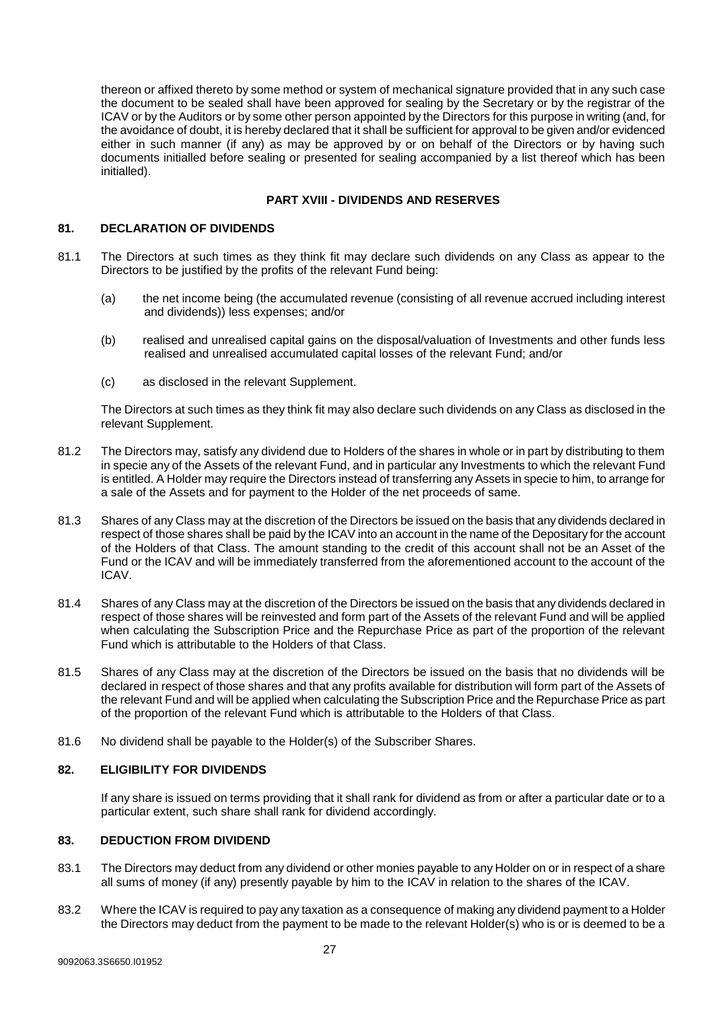thereon or affixed thereto by some method or system of mechanical signature provided that in any such case the document to be sealed shall have been approved for sealing by the Secretary or by the registrar of the ICAV or by the Auditors or by some other person appointed by the Directors for this purpose in writing (and, for the avoidance of doubt, it is hereby declared that it shall be sufficient for approval to be given and/or evidenced either in such manner (if any) as may be approved by or on behalf of the Directors or by having such documents initialled before sealing or presented for sealing accompanied by a list thereof which has been initialled).

## **PART XVIII - DIVIDENDS AND RESERVES**

## <span id="page-26-0"></span>**81. DECLARATION OF DIVIDENDS**

- 81.1 The Directors at such times as they think fit may declare such dividends on any Class as appear to the Directors to be justified by the profits of the relevant Fund being:
	- (a) the net income being (the accumulated revenue (consisting of all revenue accrued including interest and dividends)) less expenses; and/or
	- (b) realised and unrealised capital gains on the disposal/valuation of Investments and other funds less realised and unrealised accumulated capital losses of the relevant Fund; and/or
	- (c) as disclosed in the relevant Supplement.

The Directors at such times as they think fit may also declare such dividends on any Class as disclosed in the relevant Supplement.

- 81.2 The Directors may, satisfy any dividend due to Holders of the shares in whole or in part by distributing to them in specie any of the Assets of the relevant Fund, and in particular any Investments to which the relevant Fund is entitled. A Holder may require the Directors instead of transferring any Assets in specie to him, to arrange for a sale of the Assets and for payment to the Holder of the net proceeds of same.
- 81.3 Shares of any Class may at the discretion of the Directors be issued on the basis that any dividends declared in respect of those shares shall be paid by the ICAV into an account in the name of the Depositary for the account of the Holders of that Class. The amount standing to the credit of this account shall not be an Asset of the Fund or the ICAV and will be immediately transferred from the aforementioned account to the account of the ICAV.
- 81.4 Shares of any Class may at the discretion of the Directors be issued on the basis that any dividends declared in respect of those shares will be reinvested and form part of the Assets of the relevant Fund and will be applied when calculating the Subscription Price and the Repurchase Price as part of the proportion of the relevant Fund which is attributable to the Holders of that Class.
- 81.5 Shares of any Class may at the discretion of the Directors be issued on the basis that no dividends will be declared in respect of those shares and that any profits available for distribution will form part of the Assets of the relevant Fund and will be applied when calculating the Subscription Price and the Repurchase Price as part of the proportion of the relevant Fund which is attributable to the Holders of that Class.
- 81.6 No dividend shall be payable to the Holder(s) of the Subscriber Shares.

## <span id="page-26-1"></span>**82. ELIGIBILITY FOR DIVIDENDS**

If any share is issued on terms providing that it shall rank for dividend as from or after a particular date or to a particular extent, such share shall rank for dividend accordingly.

## <span id="page-26-2"></span>**83. DEDUCTION FROM DIVIDEND**

- 83.1 The Directors may deduct from any dividend or other monies payable to any Holder on or in respect of a share all sums of money (if any) presently payable by him to the ICAV in relation to the shares of the ICAV.
- 83.2 Where the ICAV is required to pay any taxation as a consequence of making any dividend payment to a Holder the Directors may deduct from the payment to be made to the relevant Holder(s) who is or is deemed to be a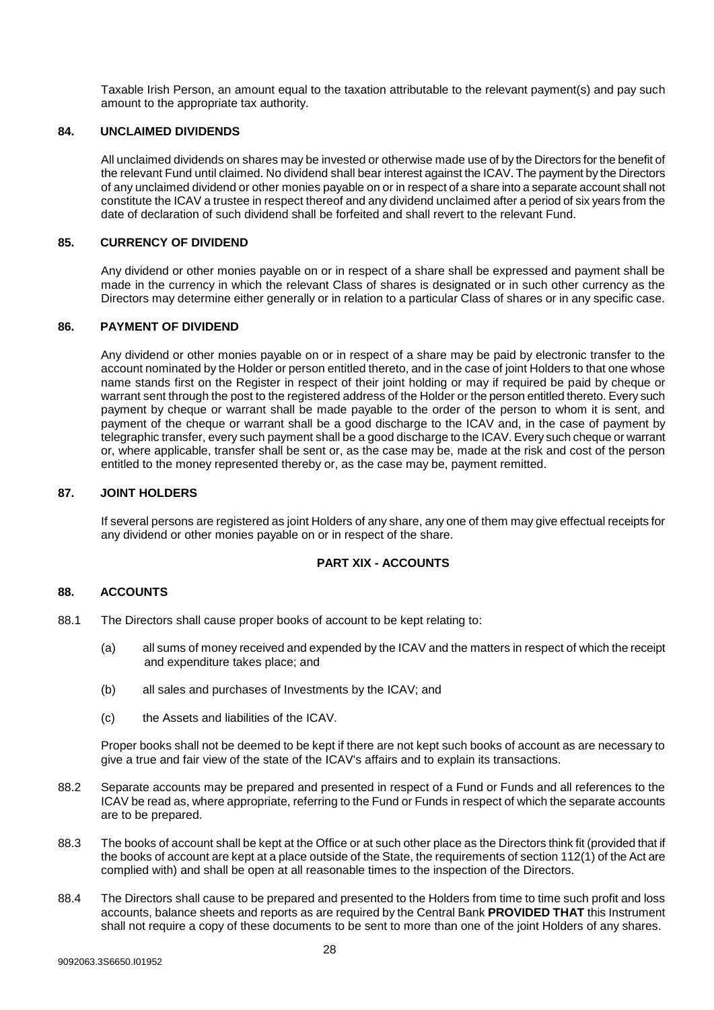Taxable Irish Person, an amount equal to the taxation attributable to the relevant payment(s) and pay such amount to the appropriate tax authority.

#### <span id="page-27-0"></span>**84. UNCLAIMED DIVIDENDS**

All unclaimed dividends on shares may be invested or otherwise made use of by the Directors for the benefit of the relevant Fund until claimed. No dividend shall bear interest against the ICAV. The payment by the Directors of any unclaimed dividend or other monies payable on or in respect of a share into a separate account shall not constitute the ICAV a trustee in respect thereof and any dividend unclaimed after a period of six years from the date of declaration of such dividend shall be forfeited and shall revert to the relevant Fund.

## <span id="page-27-1"></span>**85. CURRENCY OF DIVIDEND**

Any dividend or other monies payable on or in respect of a share shall be expressed and payment shall be made in the currency in which the relevant Class of shares is designated or in such other currency as the Directors may determine either generally or in relation to a particular Class of shares or in any specific case.

## <span id="page-27-2"></span>**86. PAYMENT OF DIVIDEND**

Any dividend or other monies payable on or in respect of a share may be paid by electronic transfer to the account nominated by the Holder or person entitled thereto, and in the case of joint Holders to that one whose name stands first on the Register in respect of their joint holding or may if required be paid by cheque or warrant sent through the post to the registered address of the Holder or the person entitled thereto. Every such payment by cheque or warrant shall be made payable to the order of the person to whom it is sent, and payment of the cheque or warrant shall be a good discharge to the ICAV and, in the case of payment by telegraphic transfer, every such payment shall be a good discharge to the ICAV. Every such cheque or warrant or, where applicable, transfer shall be sent or, as the case may be, made at the risk and cost of the person entitled to the money represented thereby or, as the case may be, payment remitted.

#### <span id="page-27-3"></span>**87. JOINT HOLDERS**

If several persons are registered as joint Holders of any share, any one of them may give effectual receipts for any dividend or other monies payable on or in respect of the share.

#### **PART XIX - ACCOUNTS**

## <span id="page-27-4"></span>**88. ACCOUNTS**

- 88.1 The Directors shall cause proper books of account to be kept relating to:
	- (a) all sums of money received and expended by the ICAV and the matters in respect of which the receipt and expenditure takes place; and
	- (b) all sales and purchases of Investments by the ICAV; and
	- (c) the Assets and liabilities of the ICAV.

Proper books shall not be deemed to be kept if there are not kept such books of account as are necessary to give a true and fair view of the state of the ICAV's affairs and to explain its transactions.

- 88.2 Separate accounts may be prepared and presented in respect of a Fund or Funds and all references to the ICAV be read as, where appropriate, referring to the Fund or Funds in respect of which the separate accounts are to be prepared.
- 88.3 The books of account shall be kept at the Office or at such other place as the Directors think fit (provided that if the books of account are kept at a place outside of the State, the requirements of section 112(1) of the Act are complied with) and shall be open at all reasonable times to the inspection of the Directors.
- 88.4 The Directors shall cause to be prepared and presented to the Holders from time to time such profit and loss accounts, balance sheets and reports as are required by the Central Bank **PROVIDED THAT** this Instrument shall not require a copy of these documents to be sent to more than one of the joint Holders of any shares.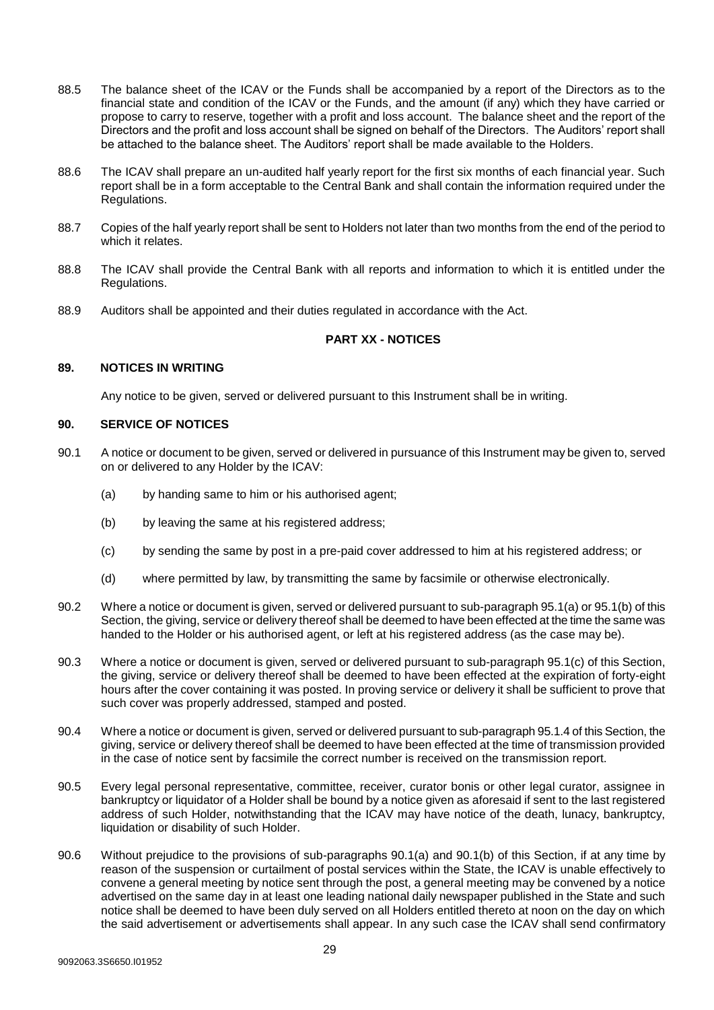- 88.5 The balance sheet of the ICAV or the Funds shall be accompanied by a report of the Directors as to the financial state and condition of the ICAV or the Funds, and the amount (if any) which they have carried or propose to carry to reserve, together with a profit and loss account. The balance sheet and the report of the Directors and the profit and loss account shall be signed on behalf of the Directors. The Auditors' report shall be attached to the balance sheet. The Auditors' report shall be made available to the Holders.
- 88.6 The ICAV shall prepare an un-audited half yearly report for the first six months of each financial year. Such report shall be in a form acceptable to the Central Bank and shall contain the information required under the Regulations.
- 88.7 Copies of the half yearly report shall be sent to Holders not later than two months from the end of the period to which it relates.
- 88.8 The ICAV shall provide the Central Bank with all reports and information to which it is entitled under the Regulations.
- 88.9 Auditors shall be appointed and their duties regulated in accordance with the Act.

## **PART XX - NOTICES**

## <span id="page-28-0"></span>**89. NOTICES IN WRITING**

Any notice to be given, served or delivered pursuant to this Instrument shall be in writing.

## <span id="page-28-1"></span>**90. SERVICE OF NOTICES**

- 90.1 A notice or document to be given, served or delivered in pursuance of this Instrument may be given to, served on or delivered to any Holder by the ICAV:
	- (a) by handing same to him or his authorised agent;
	- (b) by leaving the same at his registered address;
	- (c) by sending the same by post in a pre-paid cover addressed to him at his registered address; or
	- (d) where permitted by law, by transmitting the same by facsimile or otherwise electronically.
- 90.2 Where a notice or document is given, served or delivered pursuant to sub-paragraph 95.1(a) or 95.1(b) of this Section, the giving, service or delivery thereof shall be deemed to have been effected at the time the same was handed to the Holder or his authorised agent, or left at his registered address (as the case may be).
- 90.3 Where a notice or document is given, served or delivered pursuant to sub-paragraph 95.1(c) of this Section, the giving, service or delivery thereof shall be deemed to have been effected at the expiration of forty-eight hours after the cover containing it was posted. In proving service or delivery it shall be sufficient to prove that such cover was properly addressed, stamped and posted.
- 90.4 Where a notice or document is given, served or delivered pursuant to sub-paragraph 95.1.4 of this Section, the giving, service or delivery thereof shall be deemed to have been effected at the time of transmission provided in the case of notice sent by facsimile the correct number is received on the transmission report.
- 90.5 Every legal personal representative, committee, receiver, curator bonis or other legal curator, assignee in bankruptcy or liquidator of a Holder shall be bound by a notice given as aforesaid if sent to the last registered address of such Holder, notwithstanding that the ICAV may have notice of the death, lunacy, bankruptcy, liquidation or disability of such Holder.
- 90.6 Without prejudice to the provisions of sub-paragraphs 90.1(a) and 90.1(b) of this Section, if at any time by reason of the suspension or curtailment of postal services within the State, the ICAV is unable effectively to convene a general meeting by notice sent through the post, a general meeting may be convened by a notice advertised on the same day in at least one leading national daily newspaper published in the State and such notice shall be deemed to have been duly served on all Holders entitled thereto at noon on the day on which the said advertisement or advertisements shall appear. In any such case the ICAV shall send confirmatory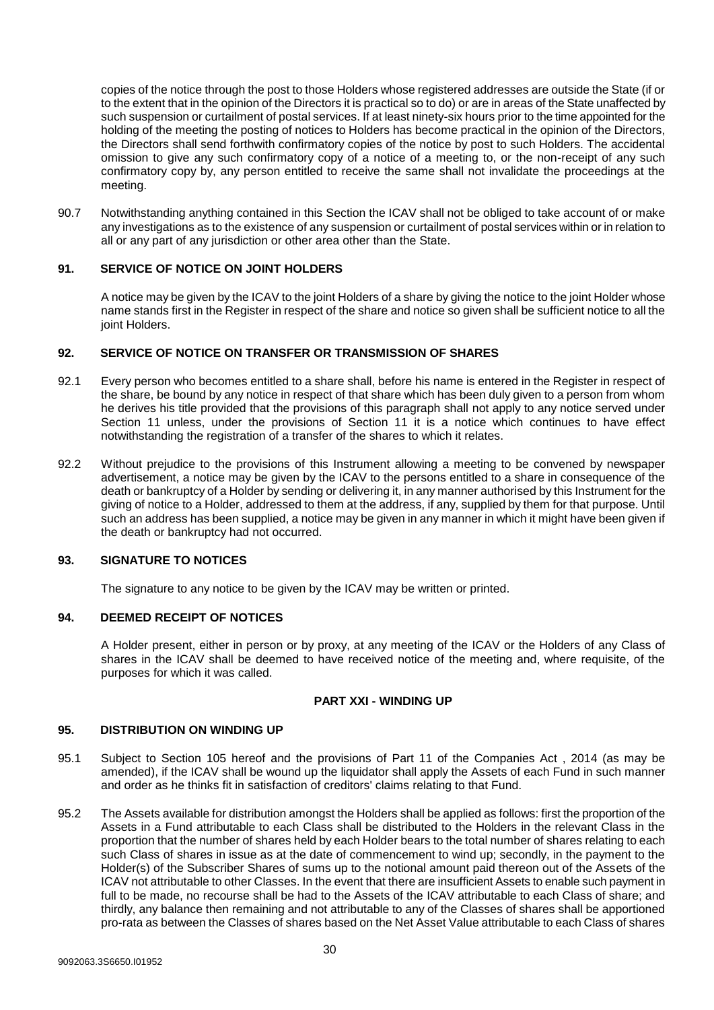copies of the notice through the post to those Holders whose registered addresses are outside the State (if or to the extent that in the opinion of the Directors it is practical so to do) or are in areas of the State unaffected by such suspension or curtailment of postal services. If at least ninety-six hours prior to the time appointed for the holding of the meeting the posting of notices to Holders has become practical in the opinion of the Directors, the Directors shall send forthwith confirmatory copies of the notice by post to such Holders. The accidental omission to give any such confirmatory copy of a notice of a meeting to, or the non-receipt of any such confirmatory copy by, any person entitled to receive the same shall not invalidate the proceedings at the meeting.

90.7 Notwithstanding anything contained in this Section the ICAV shall not be obliged to take account of or make any investigations as to the existence of any suspension or curtailment of postal services within or in relation to all or any part of any jurisdiction or other area other than the State.

## <span id="page-29-0"></span>**91. SERVICE OF NOTICE ON JOINT HOLDERS**

A notice may be given by the ICAV to the joint Holders of a share by giving the notice to the joint Holder whose name stands first in the Register in respect of the share and notice so given shall be sufficient notice to all the joint Holders.

## <span id="page-29-1"></span>**92. SERVICE OF NOTICE ON TRANSFER OR TRANSMISSION OF SHARES**

- 92.1 Every person who becomes entitled to a share shall, before his name is entered in the Register in respect of the share, be bound by any notice in respect of that share which has been duly given to a person from whom he derives his title provided that the provisions of this paragraph shall not apply to any notice served under Section 11 unless, under the provisions of Section 11 it is a notice which continues to have effect notwithstanding the registration of a transfer of the shares to which it relates.
- 92.2 Without prejudice to the provisions of this Instrument allowing a meeting to be convened by newspaper advertisement, a notice may be given by the ICAV to the persons entitled to a share in consequence of the death or bankruptcy of a Holder by sending or delivering it, in any manner authorised by this Instrument for the giving of notice to a Holder, addressed to them at the address, if any, supplied by them for that purpose. Until such an address has been supplied, a notice may be given in any manner in which it might have been given if the death or bankruptcy had not occurred.

#### <span id="page-29-2"></span>**93. SIGNATURE TO NOTICES**

The signature to any notice to be given by the ICAV may be written or printed.

## <span id="page-29-3"></span>**94. DEEMED RECEIPT OF NOTICES**

A Holder present, either in person or by proxy, at any meeting of the ICAV or the Holders of any Class of shares in the ICAV shall be deemed to have received notice of the meeting and, where requisite, of the purposes for which it was called.

#### **PART XXI - WINDING UP**

#### <span id="page-29-4"></span>**95. DISTRIBUTION ON WINDING UP**

- 95.1 Subject to Section 105 hereof and the provisions of Part 11 of the Companies Act , 2014 (as may be amended), if the ICAV shall be wound up the liquidator shall apply the Assets of each Fund in such manner and order as he thinks fit in satisfaction of creditors' claims relating to that Fund.
- 95.2 The Assets available for distribution amongst the Holders shall be applied as follows: first the proportion of the Assets in a Fund attributable to each Class shall be distributed to the Holders in the relevant Class in the proportion that the number of shares held by each Holder bears to the total number of shares relating to each such Class of shares in issue as at the date of commencement to wind up; secondly, in the payment to the Holder(s) of the Subscriber Shares of sums up to the notional amount paid thereon out of the Assets of the ICAV not attributable to other Classes. In the event that there are insufficient Assets to enable such payment in full to be made, no recourse shall be had to the Assets of the ICAV attributable to each Class of share; and thirdly, any balance then remaining and not attributable to any of the Classes of shares shall be apportioned pro-rata as between the Classes of shares based on the Net Asset Value attributable to each Class of shares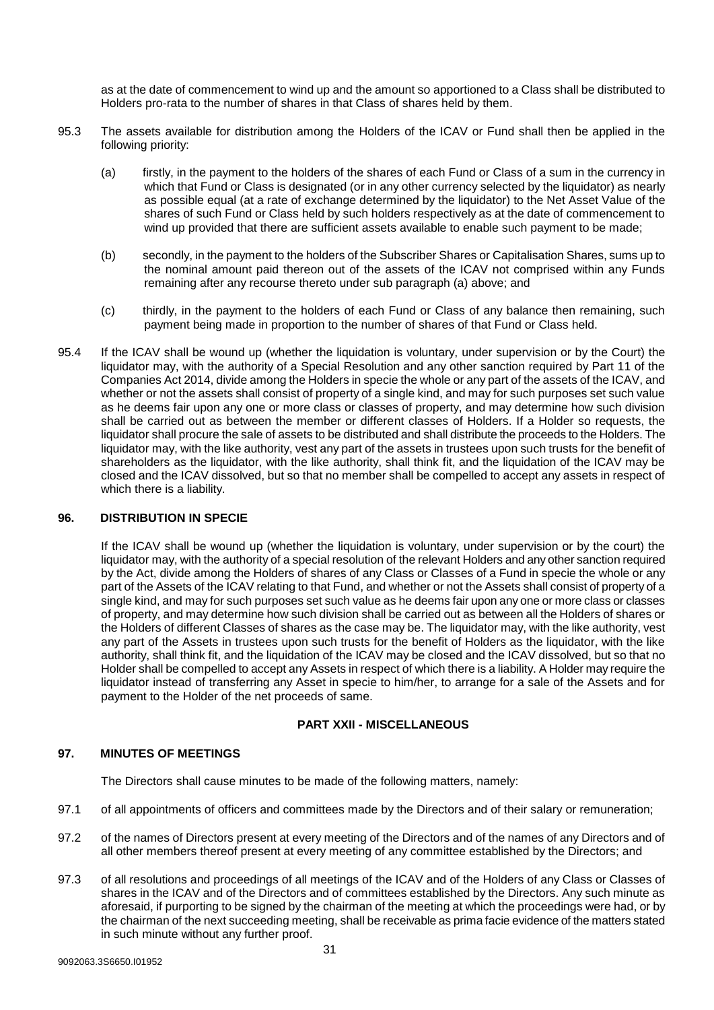as at the date of commencement to wind up and the amount so apportioned to a Class shall be distributed to Holders pro-rata to the number of shares in that Class of shares held by them.

- 95.3 The assets available for distribution among the Holders of the ICAV or Fund shall then be applied in the following priority:
	- (a) firstly, in the payment to the holders of the shares of each Fund or Class of a sum in the currency in which that Fund or Class is designated (or in any other currency selected by the liquidator) as nearly as possible equal (at a rate of exchange determined by the liquidator) to the Net Asset Value of the shares of such Fund or Class held by such holders respectively as at the date of commencement to wind up provided that there are sufficient assets available to enable such payment to be made;
	- (b) secondly, in the payment to the holders of the Subscriber Shares or Capitalisation Shares, sums up to the nominal amount paid thereon out of the assets of the ICAV not comprised within any Funds remaining after any recourse thereto under sub paragraph (a) above; and
	- (c) thirdly, in the payment to the holders of each Fund or Class of any balance then remaining, such payment being made in proportion to the number of shares of that Fund or Class held.
- 95.4 If the ICAV shall be wound up (whether the liquidation is voluntary, under supervision or by the Court) the liquidator may, with the authority of a Special Resolution and any other sanction required by Part 11 of the Companies Act 2014, divide among the Holders in specie the whole or any part of the assets of the ICAV, and whether or not the assets shall consist of property of a single kind, and may for such purposes set such value as he deems fair upon any one or more class or classes of property, and may determine how such division shall be carried out as between the member or different classes of Holders. If a Holder so requests, the liquidator shall procure the sale of assets to be distributed and shall distribute the proceeds to the Holders. The liquidator may, with the like authority, vest any part of the assets in trustees upon such trusts for the benefit of shareholders as the liquidator, with the like authority, shall think fit, and the liquidation of the ICAV may be closed and the ICAV dissolved, but so that no member shall be compelled to accept any assets in respect of which there is a liability.

## <span id="page-30-0"></span>**96. DISTRIBUTION IN SPECIE**

If the ICAV shall be wound up (whether the liquidation is voluntary, under supervision or by the court) the liquidator may, with the authority of a special resolution of the relevant Holders and any other sanction required by the Act, divide among the Holders of shares of any Class or Classes of a Fund in specie the whole or any part of the Assets of the ICAV relating to that Fund, and whether or not the Assets shall consist of property of a single kind, and may for such purposes set such value as he deems fair upon any one or more class or classes of property, and may determine how such division shall be carried out as between all the Holders of shares or the Holders of different Classes of shares as the case may be. The liquidator may, with the like authority, vest any part of the Assets in trustees upon such trusts for the benefit of Holders as the liquidator, with the like authority, shall think fit, and the liquidation of the ICAV may be closed and the ICAV dissolved, but so that no Holder shall be compelled to accept any Assets in respect of which there is a liability. A Holder may require the liquidator instead of transferring any Asset in specie to him/her, to arrange for a sale of the Assets and for payment to the Holder of the net proceeds of same.

## **PART XXII - MISCELLANEOUS**

## <span id="page-30-1"></span>**97. MINUTES OF MEETINGS**

The Directors shall cause minutes to be made of the following matters, namely:

- 97.1 of all appointments of officers and committees made by the Directors and of their salary or remuneration;
- 97.2 of the names of Directors present at every meeting of the Directors and of the names of any Directors and of all other members thereof present at every meeting of any committee established by the Directors; and
- 97.3 of all resolutions and proceedings of all meetings of the ICAV and of the Holders of any Class or Classes of shares in the ICAV and of the Directors and of committees established by the Directors. Any such minute as aforesaid, if purporting to be signed by the chairman of the meeting at which the proceedings were had, or by the chairman of the next succeeding meeting, shall be receivable as prima facie evidence of the matters stated in such minute without any further proof.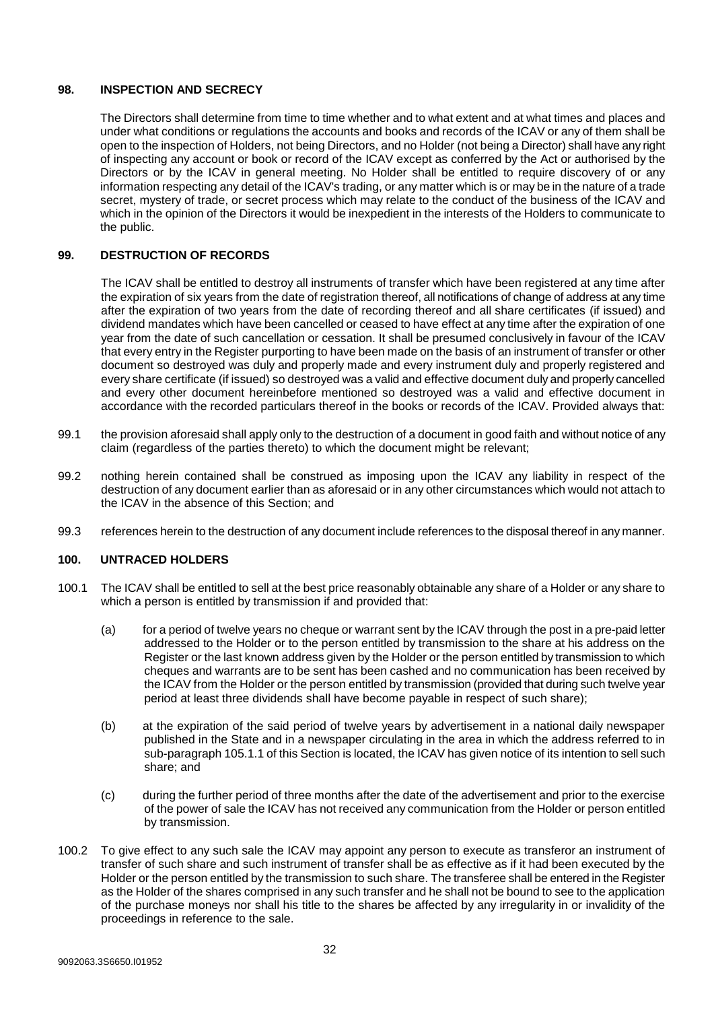## <span id="page-31-0"></span>**98. INSPECTION AND SECRECY**

The Directors shall determine from time to time whether and to what extent and at what times and places and under what conditions or regulations the accounts and books and records of the ICAV or any of them shall be open to the inspection of Holders, not being Directors, and no Holder (not being a Director) shall have any right of inspecting any account or book or record of the ICAV except as conferred by the Act or authorised by the Directors or by the ICAV in general meeting. No Holder shall be entitled to require discovery of or any information respecting any detail of the ICAV's trading, or any matter which is or may be in the nature of a trade secret, mystery of trade, or secret process which may relate to the conduct of the business of the ICAV and which in the opinion of the Directors it would be inexpedient in the interests of the Holders to communicate to the public.

## <span id="page-31-1"></span>**99. DESTRUCTION OF RECORDS**

The ICAV shall be entitled to destroy all instruments of transfer which have been registered at any time after the expiration of six years from the date of registration thereof, all notifications of change of address at any time after the expiration of two years from the date of recording thereof and all share certificates (if issued) and dividend mandates which have been cancelled or ceased to have effect at any time after the expiration of one year from the date of such cancellation or cessation. It shall be presumed conclusively in favour of the ICAV that every entry in the Register purporting to have been made on the basis of an instrument of transfer or other document so destroyed was duly and properly made and every instrument duly and properly registered and every share certificate (if issued) so destroyed was a valid and effective document duly and properly cancelled and every other document hereinbefore mentioned so destroyed was a valid and effective document in accordance with the recorded particulars thereof in the books or records of the ICAV. Provided always that:

- 99.1 the provision aforesaid shall apply only to the destruction of a document in good faith and without notice of any claim (regardless of the parties thereto) to which the document might be relevant;
- 99.2 nothing herein contained shall be construed as imposing upon the ICAV any liability in respect of the destruction of any document earlier than as aforesaid or in any other circumstances which would not attach to the ICAV in the absence of this Section; and
- 99.3 references herein to the destruction of any document include references to the disposal thereof in any manner.

#### <span id="page-31-2"></span>**100. UNTRACED HOLDERS**

- 100.1 The ICAV shall be entitled to sell at the best price reasonably obtainable any share of a Holder or any share to which a person is entitled by transmission if and provided that:
	- (a) for a period of twelve years no cheque or warrant sent by the ICAV through the post in a pre-paid letter addressed to the Holder or to the person entitled by transmission to the share at his address on the Register or the last known address given by the Holder or the person entitled by transmission to which cheques and warrants are to be sent has been cashed and no communication has been received by the ICAV from the Holder or the person entitled by transmission (provided that during such twelve year period at least three dividends shall have become payable in respect of such share);
	- (b) at the expiration of the said period of twelve years by advertisement in a national daily newspaper published in the State and in a newspaper circulating in the area in which the address referred to in sub-paragraph 105.1.1 of this Section is located, the ICAV has given notice of its intention to sell such share; and
	- (c) during the further period of three months after the date of the advertisement and prior to the exercise of the power of sale the ICAV has not received any communication from the Holder or person entitled by transmission.
- 100.2 To give effect to any such sale the ICAV may appoint any person to execute as transferor an instrument of transfer of such share and such instrument of transfer shall be as effective as if it had been executed by the Holder or the person entitled by the transmission to such share. The transferee shall be entered in the Register as the Holder of the shares comprised in any such transfer and he shall not be bound to see to the application of the purchase moneys nor shall his title to the shares be affected by any irregularity in or invalidity of the proceedings in reference to the sale.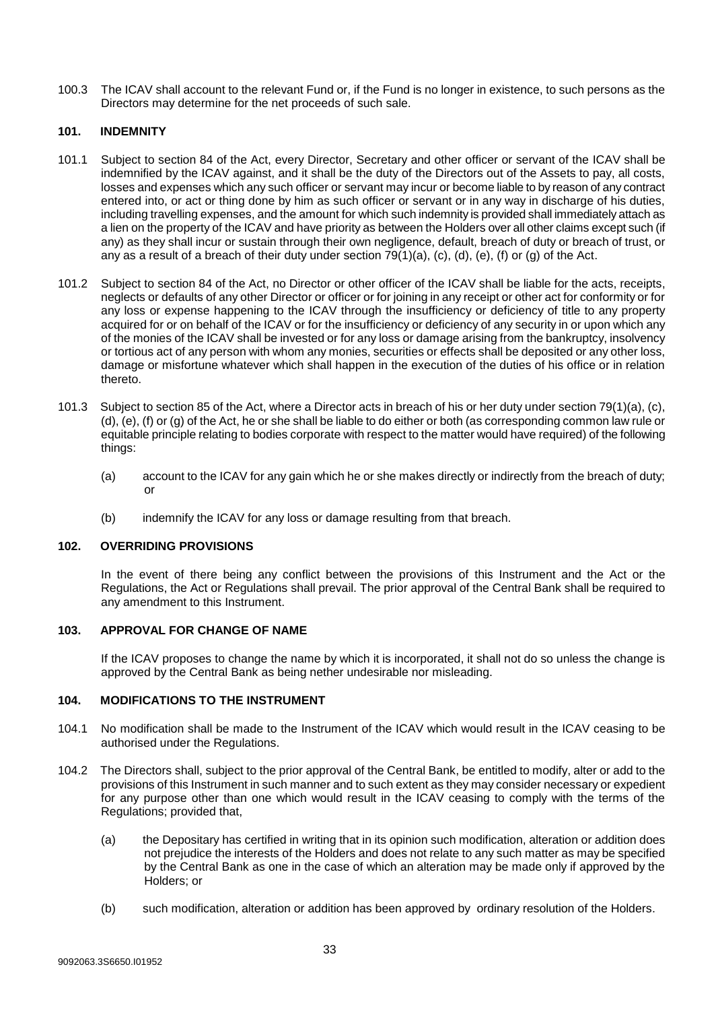100.3 The ICAV shall account to the relevant Fund or, if the Fund is no longer in existence, to such persons as the Directors may determine for the net proceeds of such sale.

#### <span id="page-32-0"></span>**101. INDEMNITY**

- 101.1 Subject to section 84 of the Act, every Director, Secretary and other officer or servant of the ICAV shall be indemnified by the ICAV against, and it shall be the duty of the Directors out of the Assets to pay, all costs, losses and expenses which any such officer or servant may incur or become liable to by reason of any contract entered into, or act or thing done by him as such officer or servant or in any way in discharge of his duties, including travelling expenses, and the amount for which such indemnity is provided shall immediately attach as a lien on the property of the ICAV and have priority as between the Holders over all other claims except such (if any) as they shall incur or sustain through their own negligence, default, breach of duty or breach of trust, or any as a result of a breach of their duty under section  $79(1)(a)$ , (c), (d), (e), (f) or (g) of the Act.
- 101.2 Subject to section 84 of the Act, no Director or other officer of the ICAV shall be liable for the acts, receipts, neglects or defaults of any other Director or officer or for joining in any receipt or other act for conformity or for any loss or expense happening to the ICAV through the insufficiency or deficiency of title to any property acquired for or on behalf of the ICAV or for the insufficiency or deficiency of any security in or upon which any of the monies of the ICAV shall be invested or for any loss or damage arising from the bankruptcy, insolvency or tortious act of any person with whom any monies, securities or effects shall be deposited or any other loss, damage or misfortune whatever which shall happen in the execution of the duties of his office or in relation thereto.
- 101.3 Subject to section 85 of the Act, where a Director acts in breach of his or her duty under section 79(1)(a), (c), (d), (e), (f) or (g) of the Act, he or she shall be liable to do either or both (as corresponding common law rule or equitable principle relating to bodies corporate with respect to the matter would have required) of the following things:
	- (a) account to the ICAV for any gain which he or she makes directly or indirectly from the breach of duty; or
	- (b) indemnify the ICAV for any loss or damage resulting from that breach.

#### <span id="page-32-1"></span>**102. OVERRIDING PROVISIONS**

In the event of there being any conflict between the provisions of this Instrument and the Act or the Regulations, the Act or Regulations shall prevail. The prior approval of the Central Bank shall be required to any amendment to this Instrument.

#### <span id="page-32-2"></span>**103. APPROVAL FOR CHANGE OF NAME**

If the ICAV proposes to change the name by which it is incorporated, it shall not do so unless the change is approved by the Central Bank as being nether undesirable nor misleading.

#### <span id="page-32-3"></span>**104. MODIFICATIONS TO THE INSTRUMENT**

- 104.1 No modification shall be made to the Instrument of the ICAV which would result in the ICAV ceasing to be authorised under the Regulations.
- 104.2 The Directors shall, subject to the prior approval of the Central Bank, be entitled to modify, alter or add to the provisions of this Instrument in such manner and to such extent as they may consider necessary or expedient for any purpose other than one which would result in the ICAV ceasing to comply with the terms of the Regulations; provided that,
	- (a) the Depositary has certified in writing that in its opinion such modification, alteration or addition does not prejudice the interests of the Holders and does not relate to any such matter as may be specified by the Central Bank as one in the case of which an alteration may be made only if approved by the Holders; or
	- (b) such modification, alteration or addition has been approved by ordinary resolution of the Holders.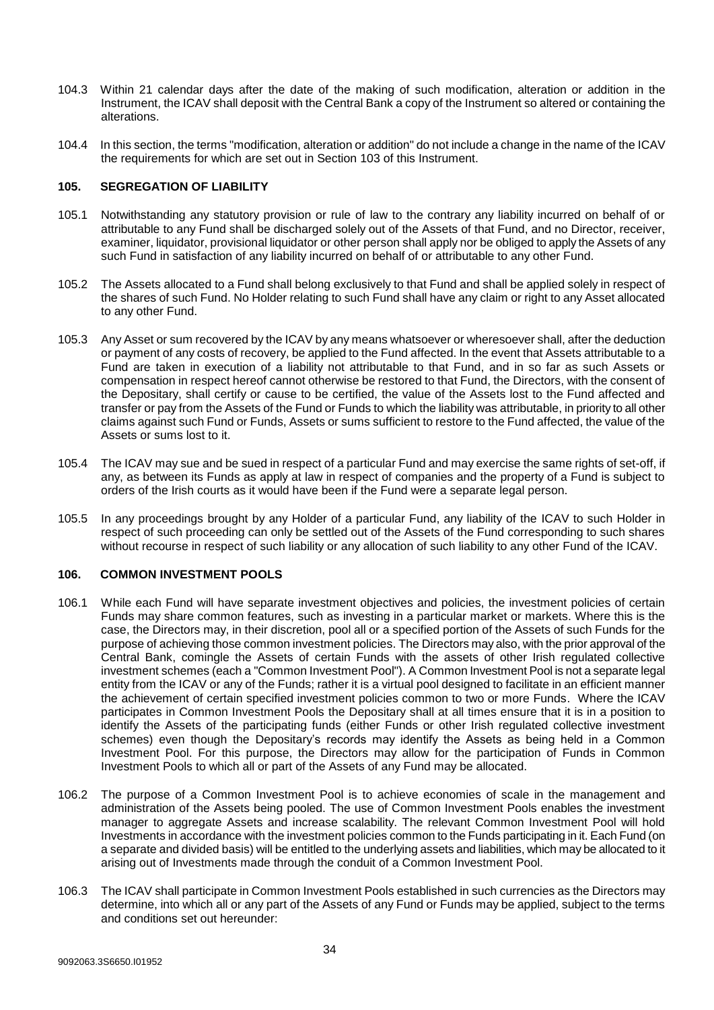- 104.3 Within 21 calendar days after the date of the making of such modification, alteration or addition in the Instrument, the ICAV shall deposit with the Central Bank a copy of the Instrument so altered or containing the alterations.
- 104.4 In this section, the terms "modification, alteration or addition" do not include a change in the name of the ICAV the requirements for which are set out in Section 103 of this Instrument.

## <span id="page-33-0"></span>**105. SEGREGATION OF LIABILITY**

- 105.1 Notwithstanding any statutory provision or rule of law to the contrary any liability incurred on behalf of or attributable to any Fund shall be discharged solely out of the Assets of that Fund, and no Director, receiver, examiner, liquidator, provisional liquidator or other person shall apply nor be obliged to apply the Assets of any such Fund in satisfaction of any liability incurred on behalf of or attributable to any other Fund.
- 105.2 The Assets allocated to a Fund shall belong exclusively to that Fund and shall be applied solely in respect of the shares of such Fund. No Holder relating to such Fund shall have any claim or right to any Asset allocated to any other Fund.
- 105.3 Any Asset or sum recovered by the ICAV by any means whatsoever or wheresoever shall, after the deduction or payment of any costs of recovery, be applied to the Fund affected. In the event that Assets attributable to a Fund are taken in execution of a liability not attributable to that Fund, and in so far as such Assets or compensation in respect hereof cannot otherwise be restored to that Fund, the Directors, with the consent of the Depositary, shall certify or cause to be certified, the value of the Assets lost to the Fund affected and transfer or pay from the Assets of the Fund or Funds to which the liability was attributable, in priority to all other claims against such Fund or Funds, Assets or sums sufficient to restore to the Fund affected, the value of the Assets or sums lost to it.
- 105.4 The ICAV may sue and be sued in respect of a particular Fund and may exercise the same rights of set-off, if any, as between its Funds as apply at law in respect of companies and the property of a Fund is subject to orders of the Irish courts as it would have been if the Fund were a separate legal person.
- 105.5 In any proceedings brought by any Holder of a particular Fund, any liability of the ICAV to such Holder in respect of such proceeding can only be settled out of the Assets of the Fund corresponding to such shares without recourse in respect of such liability or any allocation of such liability to any other Fund of the ICAV.

#### <span id="page-33-1"></span>**106. COMMON INVESTMENT POOLS**

- 106.1 While each Fund will have separate investment objectives and policies, the investment policies of certain Funds may share common features, such as investing in a particular market or markets. Where this is the case, the Directors may, in their discretion, pool all or a specified portion of the Assets of such Funds for the purpose of achieving those common investment policies. The Directors may also, with the prior approval of the Central Bank, comingle the Assets of certain Funds with the assets of other Irish regulated collective investment schemes (each a "Common Investment Pool"). A Common Investment Pool is not a separate legal entity from the ICAV or any of the Funds; rather it is a virtual pool designed to facilitate in an efficient manner the achievement of certain specified investment policies common to two or more Funds. Where the ICAV participates in Common Investment Pools the Depositary shall at all times ensure that it is in a position to identify the Assets of the participating funds (either Funds or other Irish regulated collective investment schemes) even though the Depositary's records may identify the Assets as being held in a Common Investment Pool. For this purpose, the Directors may allow for the participation of Funds in Common Investment Pools to which all or part of the Assets of any Fund may be allocated.
- 106.2 The purpose of a Common Investment Pool is to achieve economies of scale in the management and administration of the Assets being pooled. The use of Common Investment Pools enables the investment manager to aggregate Assets and increase scalability. The relevant Common Investment Pool will hold Investments in accordance with the investment policies common to the Funds participating in it. Each Fund (on a separate and divided basis) will be entitled to the underlying assets and liabilities, which may be allocated to it arising out of Investments made through the conduit of a Common Investment Pool.
- 106.3 The ICAV shall participate in Common Investment Pools established in such currencies as the Directors may determine, into which all or any part of the Assets of any Fund or Funds may be applied, subject to the terms and conditions set out hereunder: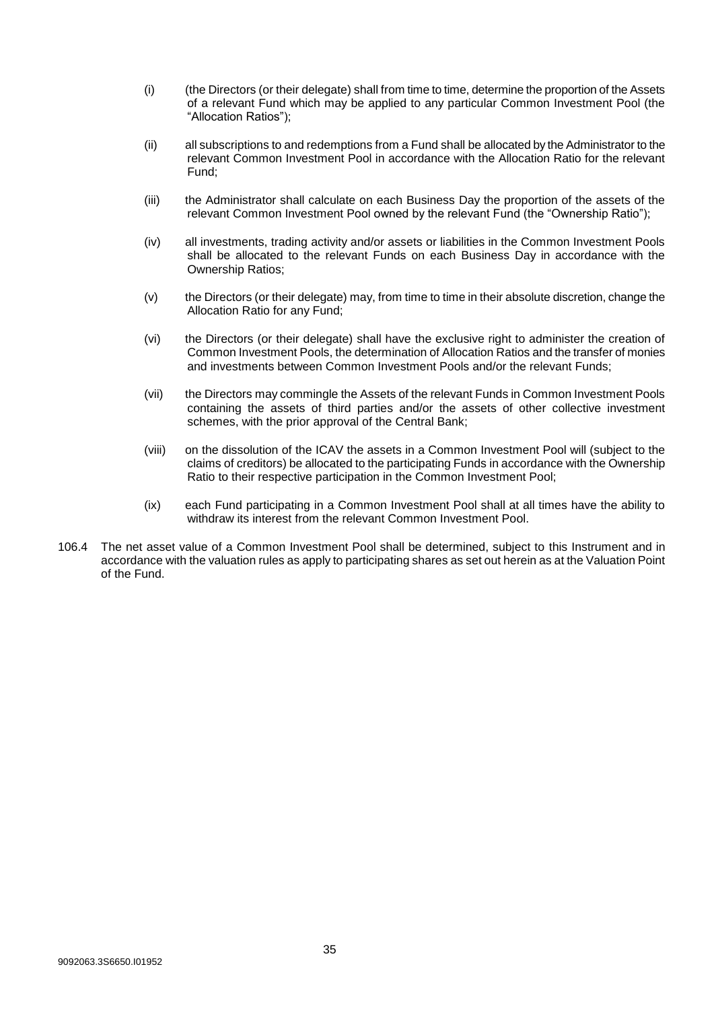- (i) (the Directors (or their delegate) shall from time to time, determine the proportion of the Assets of a relevant Fund which may be applied to any particular Common Investment Pool (the "Allocation Ratios");
- (ii) all subscriptions to and redemptions from a Fund shall be allocated by the Administrator to the relevant Common Investment Pool in accordance with the Allocation Ratio for the relevant Fund;
- (iii) the Administrator shall calculate on each Business Day the proportion of the assets of the relevant Common Investment Pool owned by the relevant Fund (the "Ownership Ratio");
- (iv) all investments, trading activity and/or assets or liabilities in the Common Investment Pools shall be allocated to the relevant Funds on each Business Day in accordance with the Ownership Ratios;
- (v) the Directors (or their delegate) may, from time to time in their absolute discretion, change the Allocation Ratio for any Fund;
- (vi) the Directors (or their delegate) shall have the exclusive right to administer the creation of Common Investment Pools, the determination of Allocation Ratios and the transfer of monies and investments between Common Investment Pools and/or the relevant Funds;
- (vii) the Directors may commingle the Assets of the relevant Funds in Common Investment Pools containing the assets of third parties and/or the assets of other collective investment schemes, with the prior approval of the Central Bank;
- (viii) on the dissolution of the ICAV the assets in a Common Investment Pool will (subject to the claims of creditors) be allocated to the participating Funds in accordance with the Ownership Ratio to their respective participation in the Common Investment Pool;
- (ix) each Fund participating in a Common Investment Pool shall at all times have the ability to withdraw its interest from the relevant Common Investment Pool.
- 106.4 The net asset value of a Common Investment Pool shall be determined, subject to this Instrument and in accordance with the valuation rules as apply to participating shares as set out herein as at the Valuation Point of the Fund.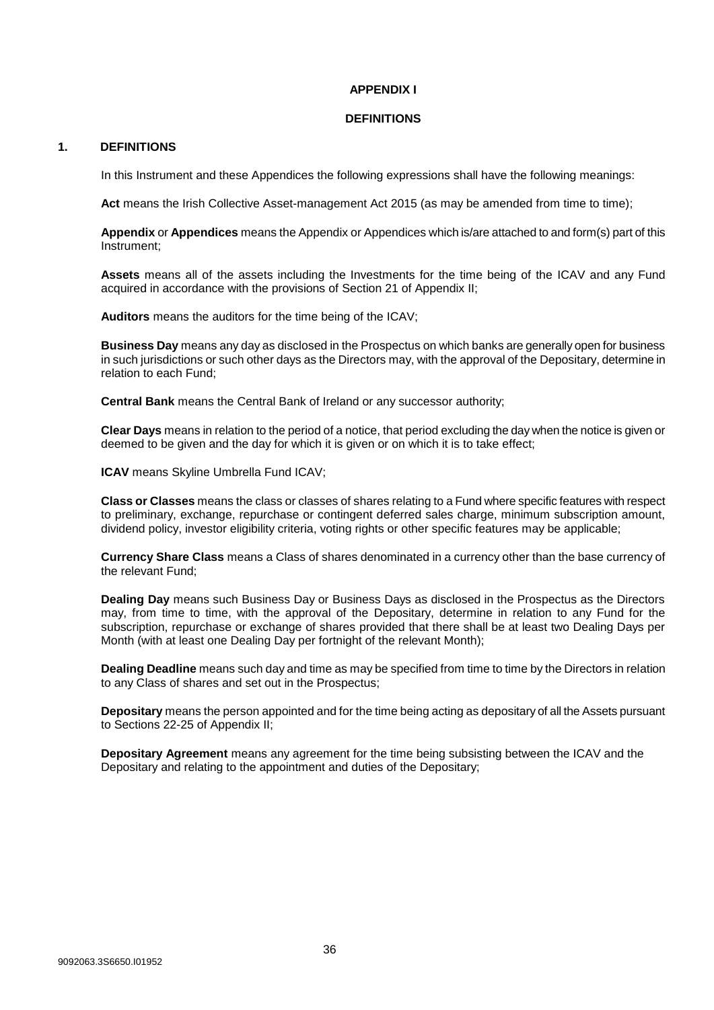## **APPENDIX I**

#### **DEFINITIONS**

## <span id="page-35-1"></span><span id="page-35-0"></span>**1. DEFINITIONS**

In this Instrument and these Appendices the following expressions shall have the following meanings:

Act means the Irish Collective Asset-management Act 2015 (as may be amended from time to time);

**Appendix** or **Appendices** means the Appendix or Appendices which is/are attached to and form(s) part of this Instrument;

**Assets** means all of the assets including the Investments for the time being of the ICAV and any Fund acquired in accordance with the provisions of Section 21 of Appendix II;

**Auditors** means the auditors for the time being of the ICAV;

**Business Day** means any day as disclosed in the Prospectus on which banks are generally open for business in such jurisdictions or such other days as the Directors may, with the approval of the Depositary, determine in relation to each Fund;

**Central Bank** means the Central Bank of Ireland or any successor authority;

**Clear Days** means in relation to the period of a notice, that period excluding the day when the notice is given or deemed to be given and the day for which it is given or on which it is to take effect;

**ICAV** means Skyline Umbrella Fund ICAV;

**Class or Classes** means the class or classes of shares relating to a Fund where specific features with respect to preliminary, exchange, repurchase or contingent deferred sales charge, minimum subscription amount, dividend policy, investor eligibility criteria, voting rights or other specific features may be applicable;

**Currency Share Class** means a Class of shares denominated in a currency other than the base currency of the relevant Fund;

**Dealing Day** means such Business Day or Business Days as disclosed in the Prospectus as the Directors may, from time to time, with the approval of the Depositary, determine in relation to any Fund for the subscription, repurchase or exchange of shares provided that there shall be at least two Dealing Days per Month (with at least one Dealing Day per fortnight of the relevant Month);

**Dealing Deadline** means such day and time as may be specified from time to time by the Directors in relation to any Class of shares and set out in the Prospectus;

**Depositary** means the person appointed and for the time being acting as depositary of all the Assets pursuant to Sections 22-25 of Appendix II;

**Depositary Agreement** means any agreement for the time being subsisting between the ICAV and the Depositary and relating to the appointment and duties of the Depositary;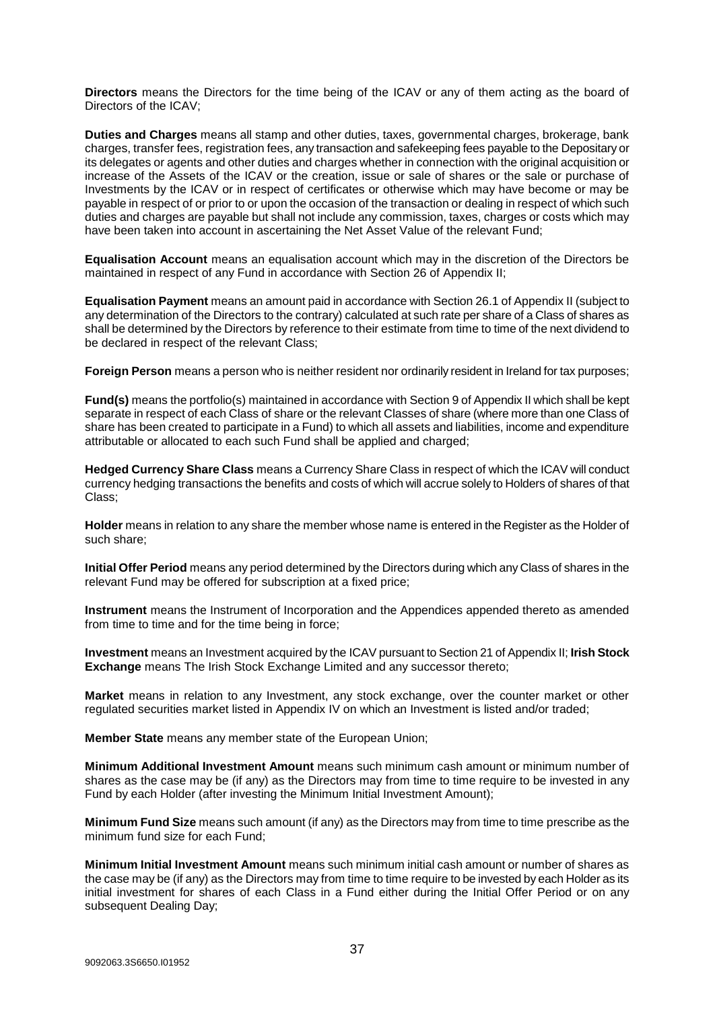**Directors** means the Directors for the time being of the ICAV or any of them acting as the board of Directors of the ICAV;

**Duties and Charges** means all stamp and other duties, taxes, governmental charges, brokerage, bank charges, transfer fees, registration fees, any transaction and safekeeping fees payable to the Depositary or its delegates or agents and other duties and charges whether in connection with the original acquisition or increase of the Assets of the ICAV or the creation, issue or sale of shares or the sale or purchase of Investments by the ICAV or in respect of certificates or otherwise which may have become or may be payable in respect of or prior to or upon the occasion of the transaction or dealing in respect of which such duties and charges are payable but shall not include any commission, taxes, charges or costs which may have been taken into account in ascertaining the Net Asset Value of the relevant Fund;

**Equalisation Account** means an equalisation account which may in the discretion of the Directors be maintained in respect of any Fund in accordance with Section 26 of Appendix II;

**Equalisation Payment** means an amount paid in accordance with Section 26.1 of Appendix II (subject to any determination of the Directors to the contrary) calculated at such rate per share of a Class of shares as shall be determined by the Directors by reference to their estimate from time to time of the next dividend to be declared in respect of the relevant Class;

**Foreign Person** means a person who is neither resident nor ordinarily resident in Ireland for tax purposes;

**Fund(s)** means the portfolio(s) maintained in accordance with Section 9 of Appendix II which shall be kept separate in respect of each Class of share or the relevant Classes of share (where more than one Class of share has been created to participate in a Fund) to which all assets and liabilities, income and expenditure attributable or allocated to each such Fund shall be applied and charged;

**Hedged Currency Share Class** means a Currency Share Class in respect of which the ICAV will conduct currency hedging transactions the benefits and costs of which will accrue solely to Holders of shares of that Class;

**Holder** means in relation to any share the member whose name is entered in the Register as the Holder of such share;

**Initial Offer Period** means any period determined by the Directors during which any Class of shares in the relevant Fund may be offered for subscription at a fixed price;

**Instrument** means the Instrument of Incorporation and the Appendices appended thereto as amended from time to time and for the time being in force;

**Investment** means an Investment acquired by the ICAV pursuant to Section 21 of Appendix II; **Irish Stock Exchange** means The Irish Stock Exchange Limited and any successor thereto;

**Market** means in relation to any Investment, any stock exchange, over the counter market or other regulated securities market listed in Appendix IV on which an Investment is listed and/or traded;

**Member State** means any member state of the European Union;

**Minimum Additional Investment Amount** means such minimum cash amount or minimum number of shares as the case may be (if any) as the Directors may from time to time require to be invested in any Fund by each Holder (after investing the Minimum Initial Investment Amount);

**Minimum Fund Size** means such amount (if any) as the Directors may from time to time prescribe as the minimum fund size for each Fund;

**Minimum Initial Investment Amount** means such minimum initial cash amount or number of shares as the case may be (if any) as the Directors may from time to time require to be invested by each Holder as its initial investment for shares of each Class in a Fund either during the Initial Offer Period or on any subsequent Dealing Day;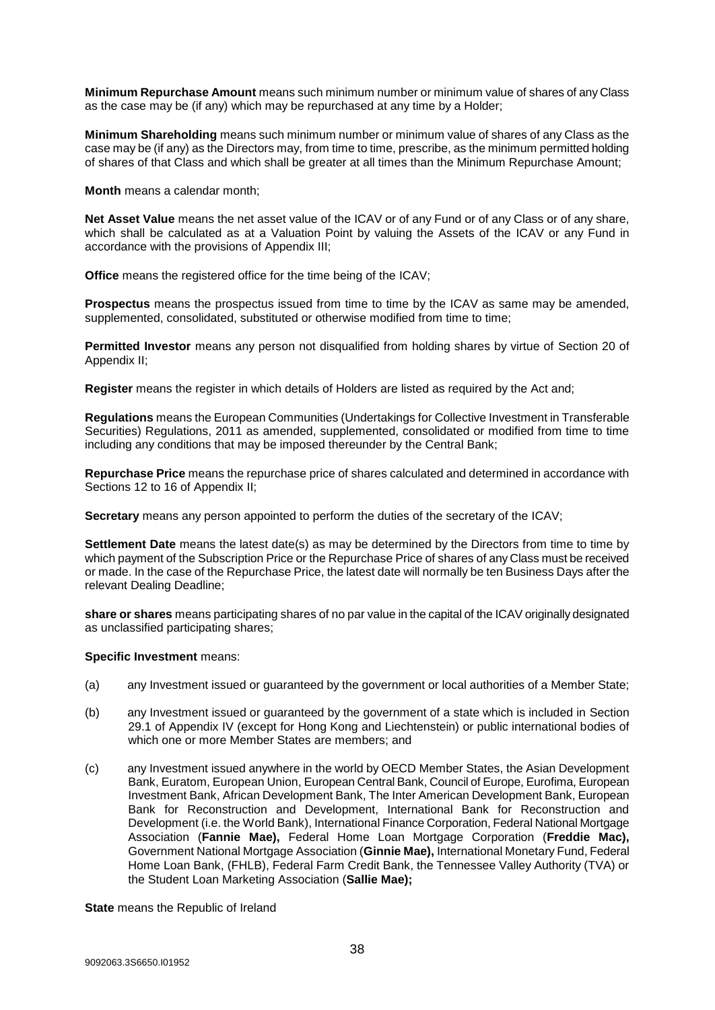**Minimum Repurchase Amount** means such minimum number or minimum value of shares of any Class as the case may be (if any) which may be repurchased at any time by a Holder;

**Minimum Shareholding** means such minimum number or minimum value of shares of any Class as the case may be (if any) as the Directors may, from time to time, prescribe, as the minimum permitted holding of shares of that Class and which shall be greater at all times than the Minimum Repurchase Amount;

**Month** means a calendar month;

**Net Asset Value** means the net asset value of the ICAV or of any Fund or of any Class or of any share, which shall be calculated as at a Valuation Point by valuing the Assets of the ICAV or any Fund in accordance with the provisions of Appendix III;

**Office** means the registered office for the time being of the ICAV;

**Prospectus** means the prospectus issued from time to time by the ICAV as same may be amended, supplemented, consolidated, substituted or otherwise modified from time to time;

**Permitted Investor** means any person not disqualified from holding shares by virtue of Section 20 of Appendix II;

**Register** means the register in which details of Holders are listed as required by the Act and;

**Regulations** means the European Communities (Undertakings for Collective Investment in Transferable Securities) Regulations, 2011 as amended, supplemented, consolidated or modified from time to time including any conditions that may be imposed thereunder by the Central Bank;

**Repurchase Price** means the repurchase price of shares calculated and determined in accordance with Sections 12 to 16 of Appendix II;

**Secretary** means any person appointed to perform the duties of the secretary of the ICAV;

**Settlement Date** means the latest date(s) as may be determined by the Directors from time to time by which payment of the Subscription Price or the Repurchase Price of shares of any Class must be received or made. In the case of the Repurchase Price, the latest date will normally be ten Business Days after the relevant Dealing Deadline;

**share or shares** means participating shares of no par value in the capital of the ICAV originally designated as unclassified participating shares;

## **Specific Investment** means:

- (a) any Investment issued or guaranteed by the government or local authorities of a Member State;
- (b) any Investment issued or guaranteed by the government of a state which is included in Section 29.1 of Appendix IV (except for Hong Kong and Liechtenstein) or public international bodies of which one or more Member States are members; and
- (c) any Investment issued anywhere in the world by OECD Member States, the Asian Development Bank, Euratom, European Union, European Central Bank, Council of Europe, Eurofima, European Investment Bank, African Development Bank, The Inter American Development Bank, European Bank for Reconstruction and Development, International Bank for Reconstruction and Development (i.e. the World Bank), International Finance Corporation, Federal National Mortgage Association (**Fannie Mae),** Federal Home Loan Mortgage Corporation (**Freddie Mac),**  Government National Mortgage Association (**Ginnie Mae),** International Monetary Fund, Federal Home Loan Bank, (FHLB), Federal Farm Credit Bank, the Tennessee Valley Authority (TVA) or the Student Loan Marketing Association (**Sallie Mae);**

**State** means the Republic of Ireland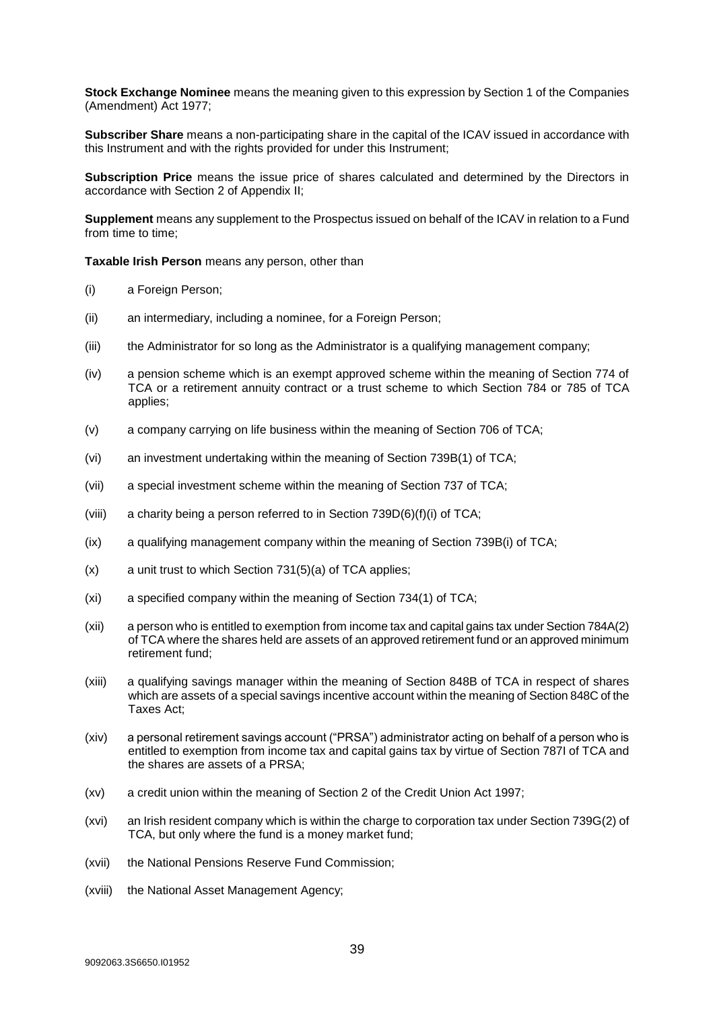**Stock Exchange Nominee** means the meaning given to this expression by Section 1 of the Companies (Amendment) Act 1977;

**Subscriber Share** means a non-participating share in the capital of the ICAV issued in accordance with this Instrument and with the rights provided for under this Instrument;

**Subscription Price** means the issue price of shares calculated and determined by the Directors in accordance with Section 2 of Appendix II;

**Supplement** means any supplement to the Prospectus issued on behalf of the ICAV in relation to a Fund from time to time:

**Taxable Irish Person** means any person, other than

- (i) a Foreign Person;
- (ii) an intermediary, including a nominee, for a Foreign Person;
- (iii) the Administrator for so long as the Administrator is a qualifying management company;
- (iv) a pension scheme which is an exempt approved scheme within the meaning of Section 774 of TCA or a retirement annuity contract or a trust scheme to which Section 784 or 785 of TCA applies;
- (v) a company carrying on life business within the meaning of Section 706 of TCA;
- (vi) an investment undertaking within the meaning of Section 739B(1) of TCA;
- (vii) a special investment scheme within the meaning of Section 737 of TCA;
- (viii) a charity being a person referred to in Section  $739D(6)(f)(i)$  of TCA;
- (ix) a qualifying management company within the meaning of Section 739B(i) of TCA;
- (x) a unit trust to which Section 731(5)(a) of TCA applies;
- (xi) a specified company within the meaning of Section 734(1) of TCA;
- (xii) a person who is entitled to exemption from income tax and capital gains tax under Section 784A(2) of TCA where the shares held are assets of an approved retirement fund or an approved minimum retirement fund;
- (xiii) a qualifying savings manager within the meaning of Section 848B of TCA in respect of shares which are assets of a special savings incentive account within the meaning of Section 848C of the Taxes Act;
- (xiv) a personal retirement savings account ("PRSA") administrator acting on behalf of a person who is entitled to exemption from income tax and capital gains tax by virtue of Section 787I of TCA and the shares are assets of a PRSA;
- (xv) a credit union within the meaning of Section 2 of the Credit Union Act 1997;
- (xvi) an Irish resident company which is within the charge to corporation tax under Section 739G(2) of TCA, but only where the fund is a money market fund;
- (xvii) the National Pensions Reserve Fund Commission;
- (xviii) the National Asset Management Agency;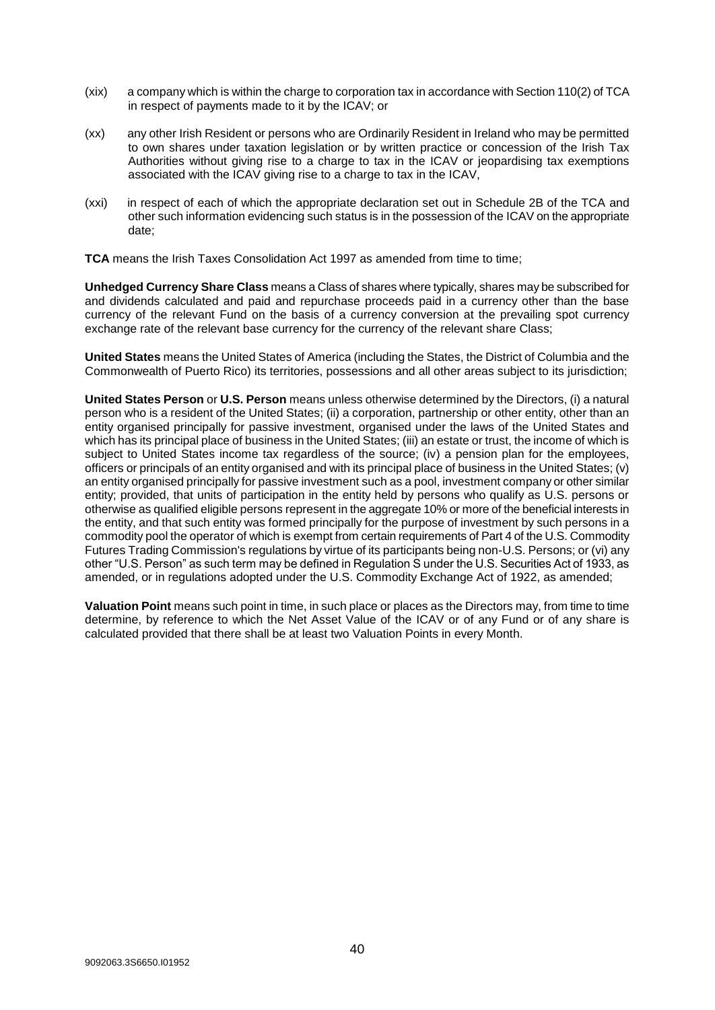- (xix) a company which is within the charge to corporation tax in accordance with Section 110(2) of TCA in respect of payments made to it by the ICAV; or
- (xx) any other Irish Resident or persons who are Ordinarily Resident in Ireland who may be permitted to own shares under taxation legislation or by written practice or concession of the Irish Tax Authorities without giving rise to a charge to tax in the ICAV or jeopardising tax exemptions associated with the ICAV giving rise to a charge to tax in the ICAV,
- (xxi) in respect of each of which the appropriate declaration set out in Schedule 2B of the TCA and other such information evidencing such status is in the possession of the ICAV on the appropriate date;

**TCA** means the Irish Taxes Consolidation Act 1997 as amended from time to time;

**Unhedged Currency Share Class** means a Class of shares where typically, shares may be subscribed for and dividends calculated and paid and repurchase proceeds paid in a currency other than the base currency of the relevant Fund on the basis of a currency conversion at the prevailing spot currency exchange rate of the relevant base currency for the currency of the relevant share Class;

**United States** means the United States of America (including the States, the District of Columbia and the Commonwealth of Puerto Rico) its territories, possessions and all other areas subject to its jurisdiction;

**United States Person** or **U.S. Person** means unless otherwise determined by the Directors, (i) a natural person who is a resident of the United States; (ii) a corporation, partnership or other entity, other than an entity organised principally for passive investment, organised under the laws of the United States and which has its principal place of business in the United States; (iii) an estate or trust, the income of which is subject to United States income tax regardless of the source; (iv) a pension plan for the employees, officers or principals of an entity organised and with its principal place of business in the United States; (v) an entity organised principally for passive investment such as a pool, investment company or other similar entity; provided, that units of participation in the entity held by persons who qualify as U.S. persons or otherwise as qualified eligible persons represent in the aggregate 10% or more of the beneficial interests in the entity, and that such entity was formed principally for the purpose of investment by such persons in a commodity pool the operator of which is exempt from certain requirements of Part 4 of the U.S. Commodity Futures Trading Commission's regulations by virtue of its participants being non-U.S. Persons; or (vi) any other "U.S. Person" as such term may be defined in Regulation S under the U.S. Securities Act of 1933, as amended, or in regulations adopted under the U.S. Commodity Exchange Act of 1922, as amended;

**Valuation Point** means such point in time, in such place or places as the Directors may, from time to time determine, by reference to which the Net Asset Value of the ICAV or of any Fund or of any share is calculated provided that there shall be at least two Valuation Points in every Month.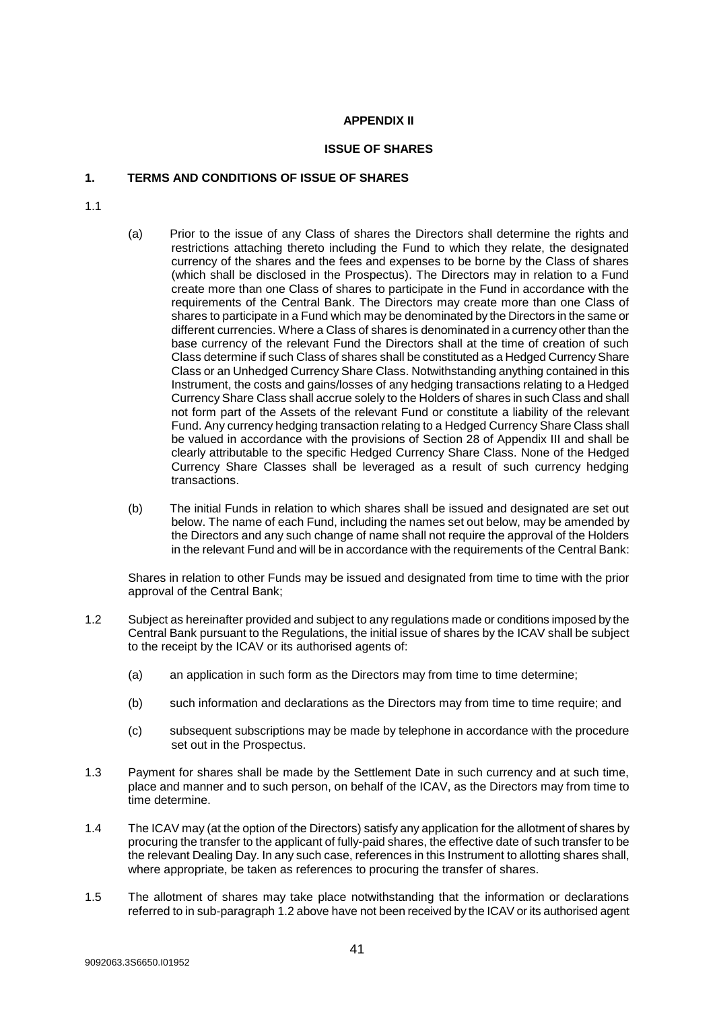## **APPENDIX II**

#### **ISSUE OF SHARES**

## <span id="page-40-1"></span><span id="page-40-0"></span>**1. TERMS AND CONDITIONS OF ISSUE OF SHARES**

- 1.1
- (a) Prior to the issue of any Class of shares the Directors shall determine the rights and restrictions attaching thereto including the Fund to which they relate, the designated currency of the shares and the fees and expenses to be borne by the Class of shares (which shall be disclosed in the Prospectus). The Directors may in relation to a Fund create more than one Class of shares to participate in the Fund in accordance with the requirements of the Central Bank. The Directors may create more than one Class of shares to participate in a Fund which may be denominated by the Directors in the same or different currencies. Where a Class of shares is denominated in a currency other than the base currency of the relevant Fund the Directors shall at the time of creation of such Class determine if such Class of shares shall be constituted as a Hedged Currency Share Class or an Unhedged Currency Share Class. Notwithstanding anything contained in this Instrument, the costs and gains/losses of any hedging transactions relating to a Hedged Currency Share Class shall accrue solely to the Holders of shares in such Class and shall not form part of the Assets of the relevant Fund or constitute a liability of the relevant Fund. Any currency hedging transaction relating to a Hedged Currency Share Class shall be valued in accordance with the provisions of Section 28 of Appendix III and shall be clearly attributable to the specific Hedged Currency Share Class. None of the Hedged Currency Share Classes shall be leveraged as a result of such currency hedging transactions.
- (b) The initial Funds in relation to which shares shall be issued and designated are set out below. The name of each Fund, including the names set out below, may be amended by the Directors and any such change of name shall not require the approval of the Holders in the relevant Fund and will be in accordance with the requirements of the Central Bank:

Shares in relation to other Funds may be issued and designated from time to time with the prior approval of the Central Bank;

- 1.2 Subject as hereinafter provided and subject to any regulations made or conditions imposed by the Central Bank pursuant to the Regulations, the initial issue of shares by the ICAV shall be subject to the receipt by the ICAV or its authorised agents of:
	- (a) an application in such form as the Directors may from time to time determine;
	- (b) such information and declarations as the Directors may from time to time require; and
	- (c) subsequent subscriptions may be made by telephone in accordance with the procedure set out in the Prospectus.
- 1.3 Payment for shares shall be made by the Settlement Date in such currency and at such time, place and manner and to such person, on behalf of the ICAV, as the Directors may from time to time determine.
- 1.4 The ICAV may (at the option of the Directors) satisfy any application for the allotment of shares by procuring the transfer to the applicant of fully-paid shares, the effective date of such transfer to be the relevant Dealing Day. In any such case, references in this Instrument to allotting shares shall, where appropriate, be taken as references to procuring the transfer of shares.
- 1.5 The allotment of shares may take place notwithstanding that the information or declarations referred to in sub-paragraph 1.2 above have not been received by the ICAV or its authorised agent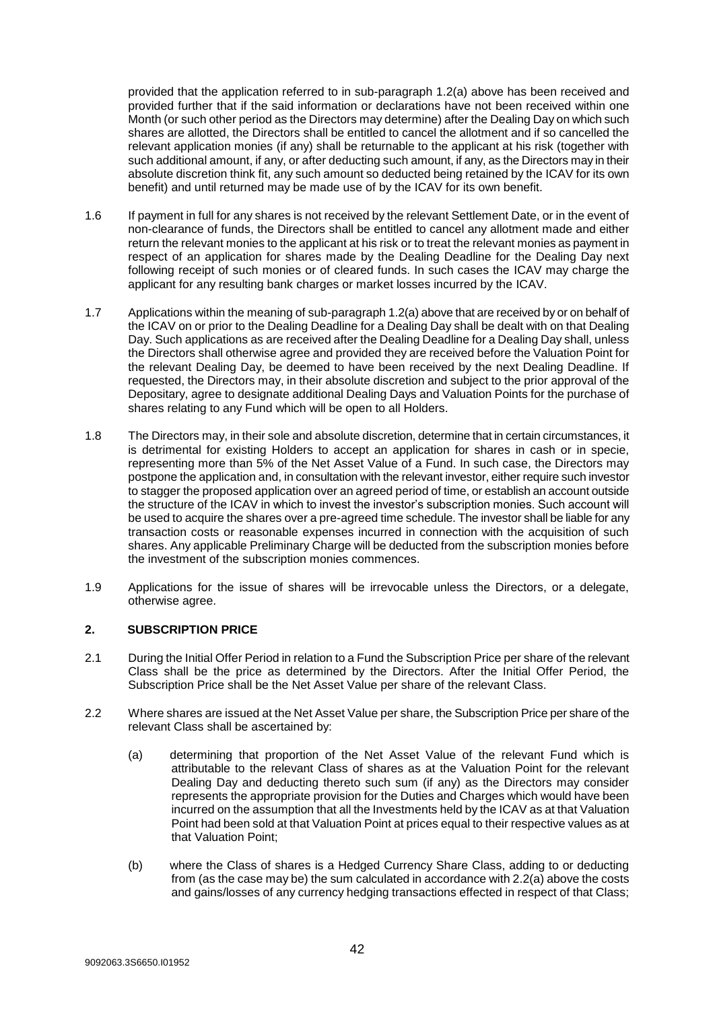provided that the application referred to in sub-paragraph 1.2(a) above has been received and provided further that if the said information or declarations have not been received within one Month (or such other period as the Directors may determine) after the Dealing Day on which such shares are allotted, the Directors shall be entitled to cancel the allotment and if so cancelled the relevant application monies (if any) shall be returnable to the applicant at his risk (together with such additional amount, if any, or after deducting such amount, if any, as the Directors may in their absolute discretion think fit, any such amount so deducted being retained by the ICAV for its own benefit) and until returned may be made use of by the ICAV for its own benefit.

- 1.6 If payment in full for any shares is not received by the relevant Settlement Date, or in the event of non-clearance of funds, the Directors shall be entitled to cancel any allotment made and either return the relevant monies to the applicant at his risk or to treat the relevant monies as payment in respect of an application for shares made by the Dealing Deadline for the Dealing Day next following receipt of such monies or of cleared funds. In such cases the ICAV may charge the applicant for any resulting bank charges or market losses incurred by the ICAV.
- 1.7 Applications within the meaning of sub-paragraph 1.2(a) above that are received by or on behalf of the ICAV on or prior to the Dealing Deadline for a Dealing Day shall be dealt with on that Dealing Day. Such applications as are received after the Dealing Deadline for a Dealing Day shall, unless the Directors shall otherwise agree and provided they are received before the Valuation Point for the relevant Dealing Day, be deemed to have been received by the next Dealing Deadline. If requested, the Directors may, in their absolute discretion and subject to the prior approval of the Depositary, agree to designate additional Dealing Days and Valuation Points for the purchase of shares relating to any Fund which will be open to all Holders.
- 1.8 The Directors may, in their sole and absolute discretion, determine that in certain circumstances, it is detrimental for existing Holders to accept an application for shares in cash or in specie, representing more than 5% of the Net Asset Value of a Fund. In such case, the Directors may postpone the application and, in consultation with the relevant investor, either require such investor to stagger the proposed application over an agreed period of time, or establish an account outside the structure of the ICAV in which to invest the investor's subscription monies. Such account will be used to acquire the shares over a pre-agreed time schedule. The investor shall be liable for any transaction costs or reasonable expenses incurred in connection with the acquisition of such shares. Any applicable Preliminary Charge will be deducted from the subscription monies before the investment of the subscription monies commences.
- 1.9 Applications for the issue of shares will be irrevocable unless the Directors, or a delegate, otherwise agree.

## <span id="page-41-0"></span>**2. SUBSCRIPTION PRICE**

- 2.1 During the Initial Offer Period in relation to a Fund the Subscription Price per share of the relevant Class shall be the price as determined by the Directors. After the Initial Offer Period, the Subscription Price shall be the Net Asset Value per share of the relevant Class.
- 2.2 Where shares are issued at the Net Asset Value per share, the Subscription Price per share of the relevant Class shall be ascertained by:
	- (a) determining that proportion of the Net Asset Value of the relevant Fund which is attributable to the relevant Class of shares as at the Valuation Point for the relevant Dealing Day and deducting thereto such sum (if any) as the Directors may consider represents the appropriate provision for the Duties and Charges which would have been incurred on the assumption that all the Investments held by the ICAV as at that Valuation Point had been sold at that Valuation Point at prices equal to their respective values as at that Valuation Point;
	- (b) where the Class of shares is a Hedged Currency Share Class, adding to or deducting from (as the case may be) the sum calculated in accordance with 2.2(a) above the costs and gains/losses of any currency hedging transactions effected in respect of that Class;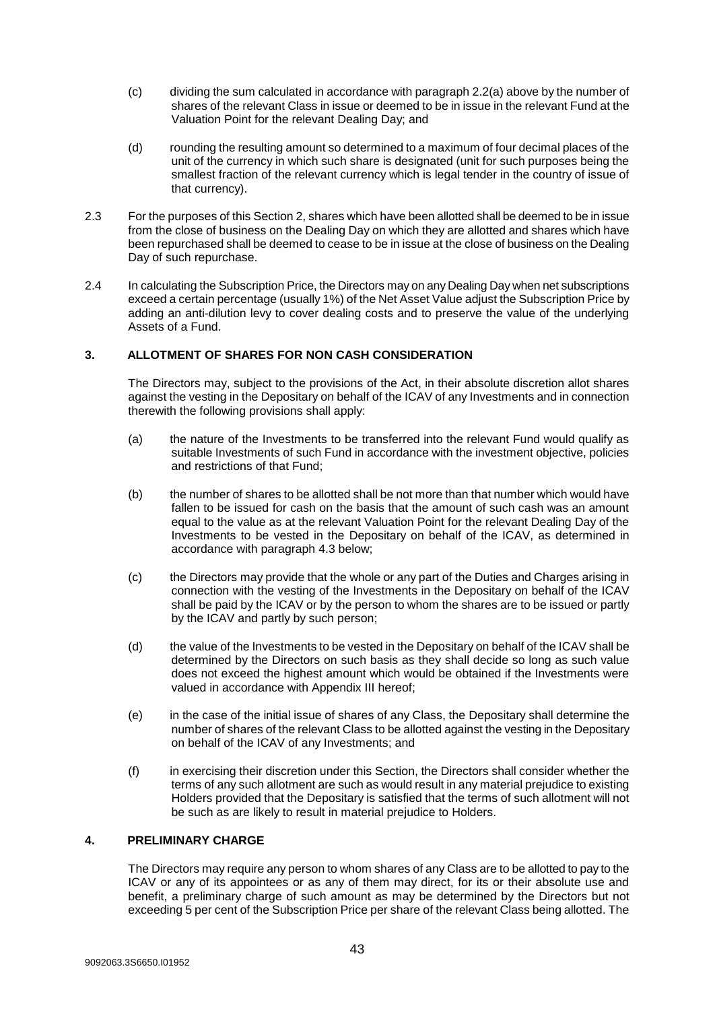- (c) dividing the sum calculated in accordance with paragraph 2.2(a) above by the number of shares of the relevant Class in issue or deemed to be in issue in the relevant Fund at the Valuation Point for the relevant Dealing Day; and
- (d) rounding the resulting amount so determined to a maximum of four decimal places of the unit of the currency in which such share is designated (unit for such purposes being the smallest fraction of the relevant currency which is legal tender in the country of issue of that currency).
- 2.3 For the purposes of this Section 2, shares which have been allotted shall be deemed to be in issue from the close of business on the Dealing Day on which they are allotted and shares which have been repurchased shall be deemed to cease to be in issue at the close of business on the Dealing Day of such repurchase.
- 2.4 In calculating the Subscription Price, the Directors may on any Dealing Day when net subscriptions exceed a certain percentage (usually 1%) of the Net Asset Value adjust the Subscription Price by adding an anti-dilution levy to cover dealing costs and to preserve the value of the underlying Assets of a Fund.

## <span id="page-42-0"></span>**3. ALLOTMENT OF SHARES FOR NON CASH CONSIDERATION**

The Directors may, subject to the provisions of the Act, in their absolute discretion allot shares against the vesting in the Depositary on behalf of the ICAV of any Investments and in connection therewith the following provisions shall apply:

- (a) the nature of the Investments to be transferred into the relevant Fund would qualify as suitable Investments of such Fund in accordance with the investment objective, policies and restrictions of that Fund;
- (b) the number of shares to be allotted shall be not more than that number which would have fallen to be issued for cash on the basis that the amount of such cash was an amount equal to the value as at the relevant Valuation Point for the relevant Dealing Day of the Investments to be vested in the Depositary on behalf of the ICAV, as determined in accordance with paragraph 4.3 below;
- (c) the Directors may provide that the whole or any part of the Duties and Charges arising in connection with the vesting of the Investments in the Depositary on behalf of the ICAV shall be paid by the ICAV or by the person to whom the shares are to be issued or partly by the ICAV and partly by such person;
- (d) the value of the Investments to be vested in the Depositary on behalf of the ICAV shall be determined by the Directors on such basis as they shall decide so long as such value does not exceed the highest amount which would be obtained if the Investments were valued in accordance with Appendix III hereof;
- (e) in the case of the initial issue of shares of any Class, the Depositary shall determine the number of shares of the relevant Class to be allotted against the vesting in the Depositary on behalf of the ICAV of any Investments; and
- (f) in exercising their discretion under this Section, the Directors shall consider whether the terms of any such allotment are such as would result in any material prejudice to existing Holders provided that the Depositary is satisfied that the terms of such allotment will not be such as are likely to result in material prejudice to Holders.

## <span id="page-42-1"></span>**4. PRELIMINARY CHARGE**

The Directors may require any person to whom shares of any Class are to be allotted to pay to the ICAV or any of its appointees or as any of them may direct, for its or their absolute use and benefit, a preliminary charge of such amount as may be determined by the Directors but not exceeding 5 per cent of the Subscription Price per share of the relevant Class being allotted. The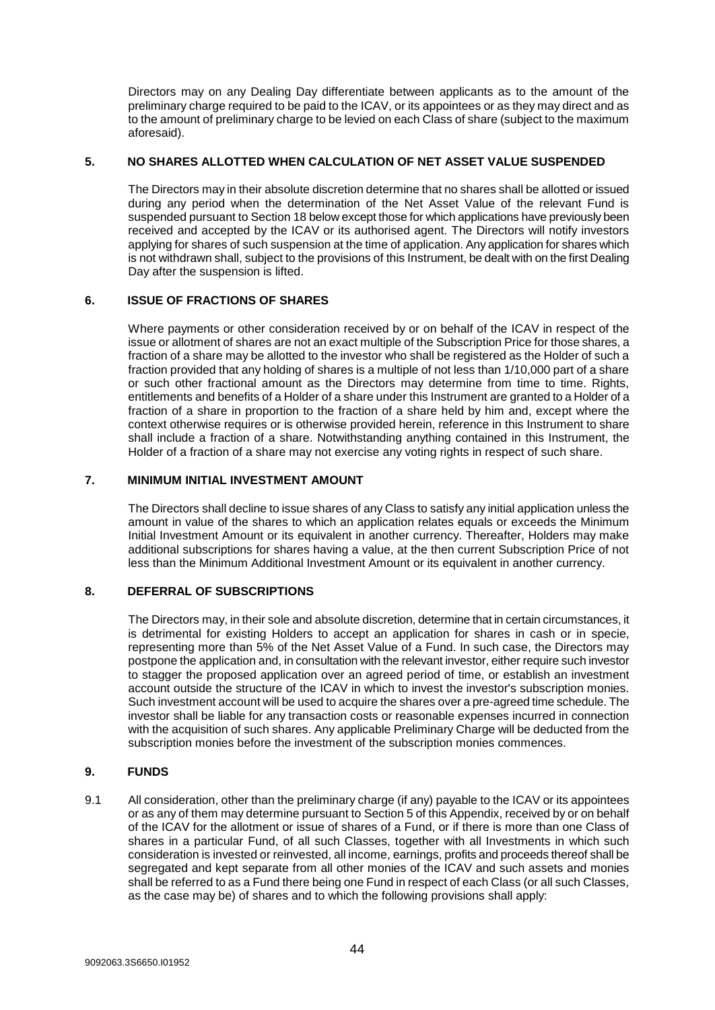Directors may on any Dealing Day differentiate between applicants as to the amount of the preliminary charge required to be paid to the ICAV, or its appointees or as they may direct and as to the amount of preliminary charge to be levied on each Class of share (subject to the maximum aforesaid).

## <span id="page-43-0"></span>**5. NO SHARES ALLOTTED WHEN CALCULATION OF NET ASSET VALUE SUSPENDED**

The Directors may in their absolute discretion determine that no shares shall be allotted or issued during any period when the determination of the Net Asset Value of the relevant Fund is suspended pursuant to Section 18 below except those for which applications have previously been received and accepted by the ICAV or its authorised agent. The Directors will notify investors applying for shares of such suspension at the time of application. Any application for shares which is not withdrawn shall, subject to the provisions of this Instrument, be dealt with on the first Dealing Day after the suspension is lifted.

## <span id="page-43-1"></span>**6. ISSUE OF FRACTIONS OF SHARES**

Where payments or other consideration received by or on behalf of the ICAV in respect of the issue or allotment of shares are not an exact multiple of the Subscription Price for those shares, a fraction of a share may be allotted to the investor who shall be registered as the Holder of such a fraction provided that any holding of shares is a multiple of not less than 1/10,000 part of a share or such other fractional amount as the Directors may determine from time to time. Rights, entitlements and benefits of a Holder of a share under this Instrument are granted to a Holder of a fraction of a share in proportion to the fraction of a share held by him and, except where the context otherwise requires or is otherwise provided herein, reference in this Instrument to share shall include a fraction of a share. Notwithstanding anything contained in this Instrument, the Holder of a fraction of a share may not exercise any voting rights in respect of such share.

## <span id="page-43-2"></span>**7. MINIMUM INITIAL INVESTMENT AMOUNT**

The Directors shall decline to issue shares of any Class to satisfy any initial application unless the amount in value of the shares to which an application relates equals or exceeds the Minimum Initial Investment Amount or its equivalent in another currency. Thereafter, Holders may make additional subscriptions for shares having a value, at the then current Subscription Price of not less than the Minimum Additional Investment Amount or its equivalent in another currency.

## <span id="page-43-3"></span>**8. DEFERRAL OF SUBSCRIPTIONS**

The Directors may, in their sole and absolute discretion, determine that in certain circumstances, it is detrimental for existing Holders to accept an application for shares in cash or in specie, representing more than 5% of the Net Asset Value of a Fund. In such case, the Directors may postpone the application and, in consultation with the relevant investor, either require such investor to stagger the proposed application over an agreed period of time, or establish an investment account outside the structure of the ICAV in which to invest the investor's subscription monies. Such investment account will be used to acquire the shares over a pre-agreed time schedule. The investor shall be liable for any transaction costs or reasonable expenses incurred in connection with the acquisition of such shares. Any applicable Preliminary Charge will be deducted from the subscription monies before the investment of the subscription monies commences.

#### <span id="page-43-4"></span>**9. FUNDS**

9.1 All consideration, other than the preliminary charge (if any) payable to the ICAV or its appointees or as any of them may determine pursuant to Section 5 of this Appendix, received by or on behalf of the ICAV for the allotment or issue of shares of a Fund, or if there is more than one Class of shares in a particular Fund, of all such Classes, together with all Investments in which such consideration is invested or reinvested, all income, earnings, profits and proceeds thereof shall be segregated and kept separate from all other monies of the ICAV and such assets and monies shall be referred to as a Fund there being one Fund in respect of each Class (or all such Classes, as the case may be) of shares and to which the following provisions shall apply: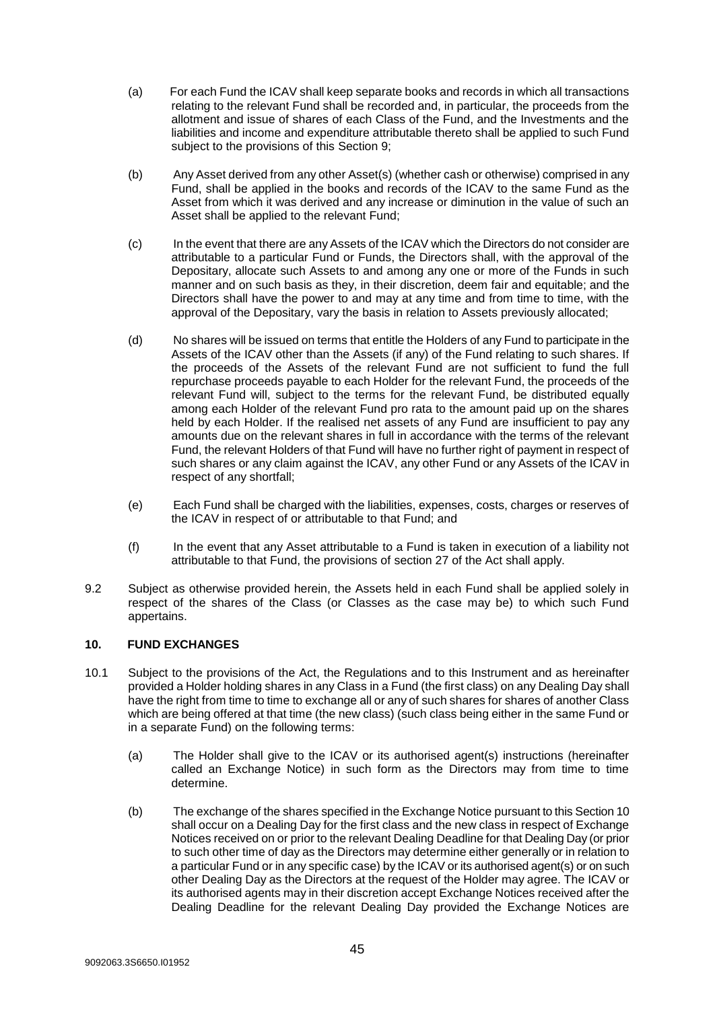- (a) For each Fund the ICAV shall keep separate books and records in which all transactions relating to the relevant Fund shall be recorded and, in particular, the proceeds from the allotment and issue of shares of each Class of the Fund, and the Investments and the liabilities and income and expenditure attributable thereto shall be applied to such Fund subject to the provisions of this Section 9;
- (b) Any Asset derived from any other Asset(s) (whether cash or otherwise) comprised in any Fund, shall be applied in the books and records of the ICAV to the same Fund as the Asset from which it was derived and any increase or diminution in the value of such an Asset shall be applied to the relevant Fund;
- (c) In the event that there are any Assets of the ICAV which the Directors do not consider are attributable to a particular Fund or Funds, the Directors shall, with the approval of the Depositary, allocate such Assets to and among any one or more of the Funds in such manner and on such basis as they, in their discretion, deem fair and equitable; and the Directors shall have the power to and may at any time and from time to time, with the approval of the Depositary, vary the basis in relation to Assets previously allocated;
- (d) No shares will be issued on terms that entitle the Holders of any Fund to participate in the Assets of the ICAV other than the Assets (if any) of the Fund relating to such shares. If the proceeds of the Assets of the relevant Fund are not sufficient to fund the full repurchase proceeds payable to each Holder for the relevant Fund, the proceeds of the relevant Fund will, subject to the terms for the relevant Fund, be distributed equally among each Holder of the relevant Fund pro rata to the amount paid up on the shares held by each Holder. If the realised net assets of any Fund are insufficient to pay any amounts due on the relevant shares in full in accordance with the terms of the relevant Fund, the relevant Holders of that Fund will have no further right of payment in respect of such shares or any claim against the ICAV, any other Fund or any Assets of the ICAV in respect of any shortfall;
- (e) Each Fund shall be charged with the liabilities, expenses, costs, charges or reserves of the ICAV in respect of or attributable to that Fund; and
- (f) In the event that any Asset attributable to a Fund is taken in execution of a liability not attributable to that Fund, the provisions of section 27 of the Act shall apply.
- 9.2 Subject as otherwise provided herein, the Assets held in each Fund shall be applied solely in respect of the shares of the Class (or Classes as the case may be) to which such Fund appertains.

## <span id="page-44-0"></span>**10. FUND EXCHANGES**

- 10.1 Subject to the provisions of the Act, the Regulations and to this Instrument and as hereinafter provided a Holder holding shares in any Class in a Fund (the first class) on any Dealing Day shall have the right from time to time to exchange all or any of such shares for shares of another Class which are being offered at that time (the new class) (such class being either in the same Fund or in a separate Fund) on the following terms:
	- (a) The Holder shall give to the ICAV or its authorised agent(s) instructions (hereinafter called an Exchange Notice) in such form as the Directors may from time to time determine.
	- (b) The exchange of the shares specified in the Exchange Notice pursuant to this Section 10 shall occur on a Dealing Day for the first class and the new class in respect of Exchange Notices received on or prior to the relevant Dealing Deadline for that Dealing Day (or prior to such other time of day as the Directors may determine either generally or in relation to a particular Fund or in any specific case) by the ICAV or its authorised agent(s) or on such other Dealing Day as the Directors at the request of the Holder may agree. The ICAV or its authorised agents may in their discretion accept Exchange Notices received after the Dealing Deadline for the relevant Dealing Day provided the Exchange Notices are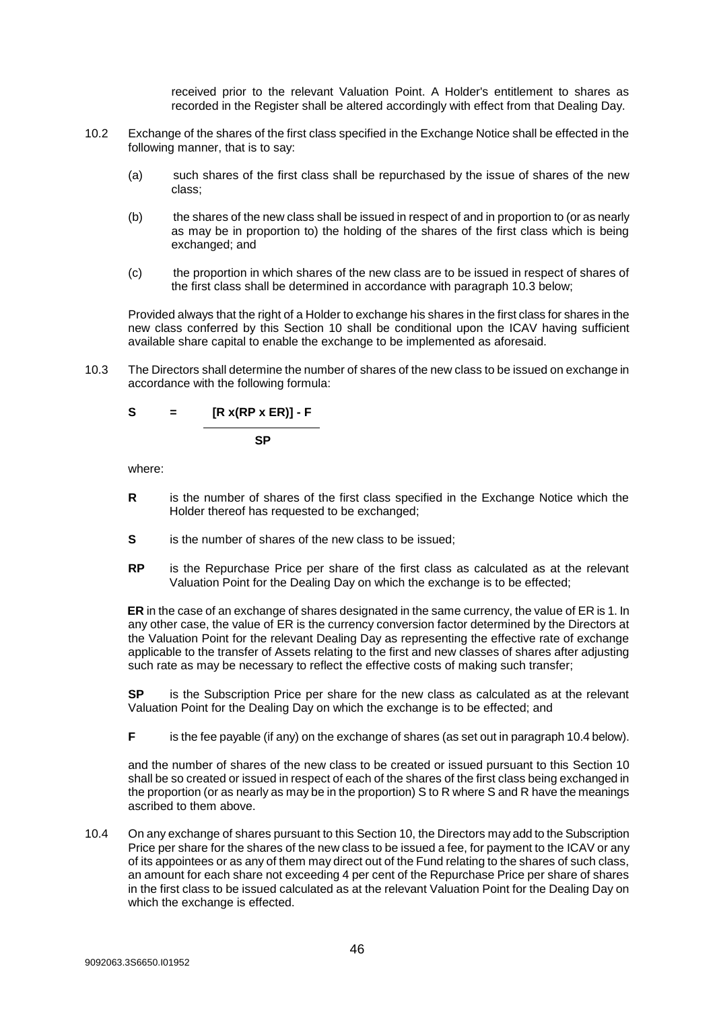received prior to the relevant Valuation Point. A Holder's entitlement to shares as recorded in the Register shall be altered accordingly with effect from that Dealing Day.

- 10.2 Exchange of the shares of the first class specified in the Exchange Notice shall be effected in the following manner, that is to say:
	- (a) such shares of the first class shall be repurchased by the issue of shares of the new class;
	- (b) the shares of the new class shall be issued in respect of and in proportion to (or as nearly as may be in proportion to) the holding of the shares of the first class which is being exchanged; and
	- (c) the proportion in which shares of the new class are to be issued in respect of shares of the first class shall be determined in accordance with paragraph 10.3 below;

Provided always that the right of a Holder to exchange his shares in the first class for shares in the new class conferred by this Section 10 shall be conditional upon the ICAV having sufficient available share capital to enable the exchange to be implemented as aforesaid.

10.3 The Directors shall determine the number of shares of the new class to be issued on exchange in accordance with the following formula:

$$
S = [R x (RP x ER)] - F
$$

**SP**

where:

- **R** is the number of shares of the first class specified in the Exchange Notice which the Holder thereof has requested to be exchanged;
- **S** is the number of shares of the new class to be issued;
- **RP** is the Repurchase Price per share of the first class as calculated as at the relevant Valuation Point for the Dealing Day on which the exchange is to be effected;

**ER** in the case of an exchange of shares designated in the same currency, the value of ER is 1. In any other case, the value of ER is the currency conversion factor determined by the Directors at the Valuation Point for the relevant Dealing Day as representing the effective rate of exchange applicable to the transfer of Assets relating to the first and new classes of shares after adjusting such rate as may be necessary to reflect the effective costs of making such transfer;

**SP** is the Subscription Price per share for the new class as calculated as at the relevant Valuation Point for the Dealing Day on which the exchange is to be effected; and

**F** is the fee payable (if any) on the exchange of shares (as set out in paragraph 10.4 below).

and the number of shares of the new class to be created or issued pursuant to this Section 10 shall be so created or issued in respect of each of the shares of the first class being exchanged in the proportion (or as nearly as may be in the proportion) S to R where S and R have the meanings ascribed to them above.

10.4 On any exchange of shares pursuant to this Section 10, the Directors may add to the Subscription Price per share for the shares of the new class to be issued a fee, for payment to the ICAV or any of its appointees or as any of them may direct out of the Fund relating to the shares of such class, an amount for each share not exceeding 4 per cent of the Repurchase Price per share of shares in the first class to be issued calculated as at the relevant Valuation Point for the Dealing Day on which the exchange is effected.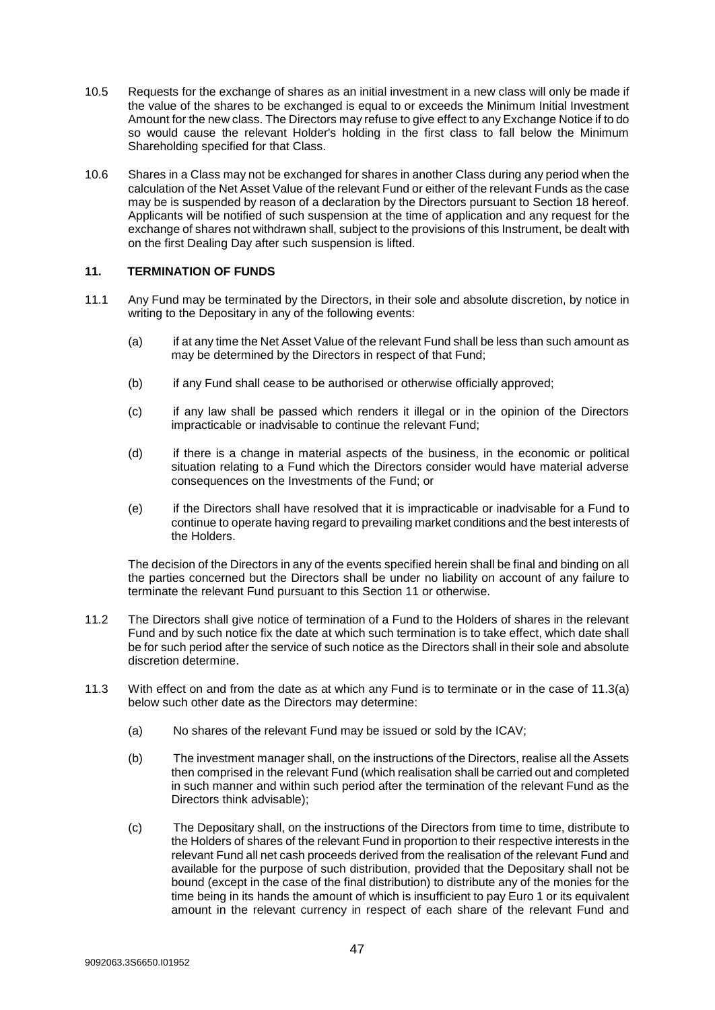- 10.5 Requests for the exchange of shares as an initial investment in a new class will only be made if the value of the shares to be exchanged is equal to or exceeds the Minimum Initial Investment Amount for the new class. The Directors may refuse to give effect to any Exchange Notice if to do so would cause the relevant Holder's holding in the first class to fall below the Minimum Shareholding specified for that Class.
- 10.6 Shares in a Class may not be exchanged for shares in another Class during any period when the calculation of the Net Asset Value of the relevant Fund or either of the relevant Funds as the case may be is suspended by reason of a declaration by the Directors pursuant to Section 18 hereof. Applicants will be notified of such suspension at the time of application and any request for the exchange of shares not withdrawn shall, subject to the provisions of this Instrument, be dealt with on the first Dealing Day after such suspension is lifted.

## <span id="page-46-0"></span>**11. TERMINATION OF FUNDS**

- 11.1 Any Fund may be terminated by the Directors, in their sole and absolute discretion, by notice in writing to the Depositary in any of the following events:
	- (a) if at any time the Net Asset Value of the relevant Fund shall be less than such amount as may be determined by the Directors in respect of that Fund;
	- (b) if any Fund shall cease to be authorised or otherwise officially approved;
	- (c) if any law shall be passed which renders it illegal or in the opinion of the Directors impracticable or inadvisable to continue the relevant Fund;
	- (d) if there is a change in material aspects of the business, in the economic or political situation relating to a Fund which the Directors consider would have material adverse consequences on the Investments of the Fund; or
	- (e) if the Directors shall have resolved that it is impracticable or inadvisable for a Fund to continue to operate having regard to prevailing market conditions and the best interests of the Holders.

The decision of the Directors in any of the events specified herein shall be final and binding on all the parties concerned but the Directors shall be under no liability on account of any failure to terminate the relevant Fund pursuant to this Section 11 or otherwise.

- 11.2 The Directors shall give notice of termination of a Fund to the Holders of shares in the relevant Fund and by such notice fix the date at which such termination is to take effect, which date shall be for such period after the service of such notice as the Directors shall in their sole and absolute discretion determine.
- 11.3 With effect on and from the date as at which any Fund is to terminate or in the case of 11.3(a) below such other date as the Directors may determine:
	- (a) No shares of the relevant Fund may be issued or sold by the ICAV;
	- (b) The investment manager shall, on the instructions of the Directors, realise all the Assets then comprised in the relevant Fund (which realisation shall be carried out and completed in such manner and within such period after the termination of the relevant Fund as the Directors think advisable);
	- (c) The Depositary shall, on the instructions of the Directors from time to time, distribute to the Holders of shares of the relevant Fund in proportion to their respective interests in the relevant Fund all net cash proceeds derived from the realisation of the relevant Fund and available for the purpose of such distribution, provided that the Depositary shall not be bound (except in the case of the final distribution) to distribute any of the monies for the time being in its hands the amount of which is insufficient to pay Euro 1 or its equivalent amount in the relevant currency in respect of each share of the relevant Fund and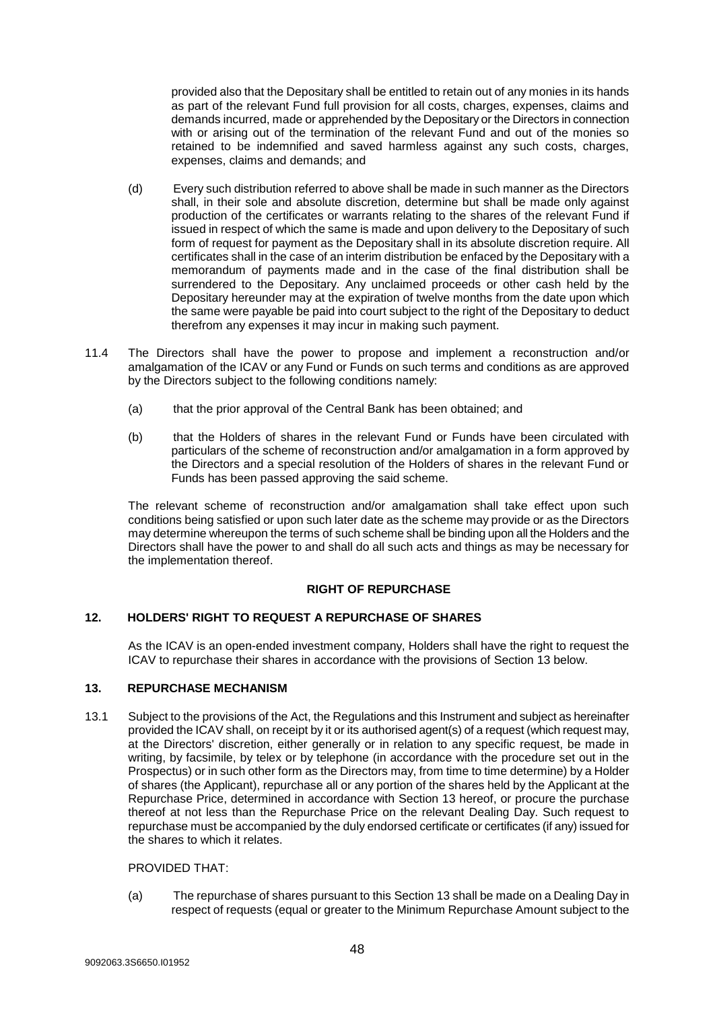provided also that the Depositary shall be entitled to retain out of any monies in its hands as part of the relevant Fund full provision for all costs, charges, expenses, claims and demands incurred, made or apprehended by the Depositary or the Directors in connection with or arising out of the termination of the relevant Fund and out of the monies so retained to be indemnified and saved harmless against any such costs, charges, expenses, claims and demands; and

- (d) Every such distribution referred to above shall be made in such manner as the Directors shall, in their sole and absolute discretion, determine but shall be made only against production of the certificates or warrants relating to the shares of the relevant Fund if issued in respect of which the same is made and upon delivery to the Depositary of such form of request for payment as the Depositary shall in its absolute discretion require. All certificates shall in the case of an interim distribution be enfaced by the Depositary with a memorandum of payments made and in the case of the final distribution shall be surrendered to the Depositary. Any unclaimed proceeds or other cash held by the Depositary hereunder may at the expiration of twelve months from the date upon which the same were payable be paid into court subject to the right of the Depositary to deduct therefrom any expenses it may incur in making such payment.
- 11.4 The Directors shall have the power to propose and implement a reconstruction and/or amalgamation of the ICAV or any Fund or Funds on such terms and conditions as are approved by the Directors subject to the following conditions namely:
	- (a) that the prior approval of the Central Bank has been obtained; and
	- (b) that the Holders of shares in the relevant Fund or Funds have been circulated with particulars of the scheme of reconstruction and/or amalgamation in a form approved by the Directors and a special resolution of the Holders of shares in the relevant Fund or Funds has been passed approving the said scheme.

The relevant scheme of reconstruction and/or amalgamation shall take effect upon such conditions being satisfied or upon such later date as the scheme may provide or as the Directors may determine whereupon the terms of such scheme shall be binding upon all the Holders and the Directors shall have the power to and shall do all such acts and things as may be necessary for the implementation thereof.

#### **RIGHT OF REPURCHASE**

## <span id="page-47-0"></span>**12. HOLDERS' RIGHT TO REQUEST A REPURCHASE OF SHARES**

As the ICAV is an open-ended investment company, Holders shall have the right to request the ICAV to repurchase their shares in accordance with the provisions of Section 13 below.

## <span id="page-47-1"></span>**13. REPURCHASE MECHANISM**

13.1 Subject to the provisions of the Act, the Regulations and this Instrument and subject as hereinafter provided the ICAV shall, on receipt by it or its authorised agent(s) of a request (which request may, at the Directors' discretion, either generally or in relation to any specific request, be made in writing, by facsimile, by telex or by telephone (in accordance with the procedure set out in the Prospectus) or in such other form as the Directors may, from time to time determine) by a Holder of shares (the Applicant), repurchase all or any portion of the shares held by the Applicant at the Repurchase Price, determined in accordance with Section [13](#page-47-1) hereof, or procure the purchase thereof at not less than the Repurchase Price on the relevant Dealing Day. Such request to repurchase must be accompanied by the duly endorsed certificate or certificates (if any) issued for the shares to which it relates.

#### PROVIDED THAT:

<span id="page-47-2"></span>(a) The repurchase of shares pursuant to this Section 13 shall be made on a Dealing Day in respect of requests (equal or greater to the Minimum Repurchase Amount subject to the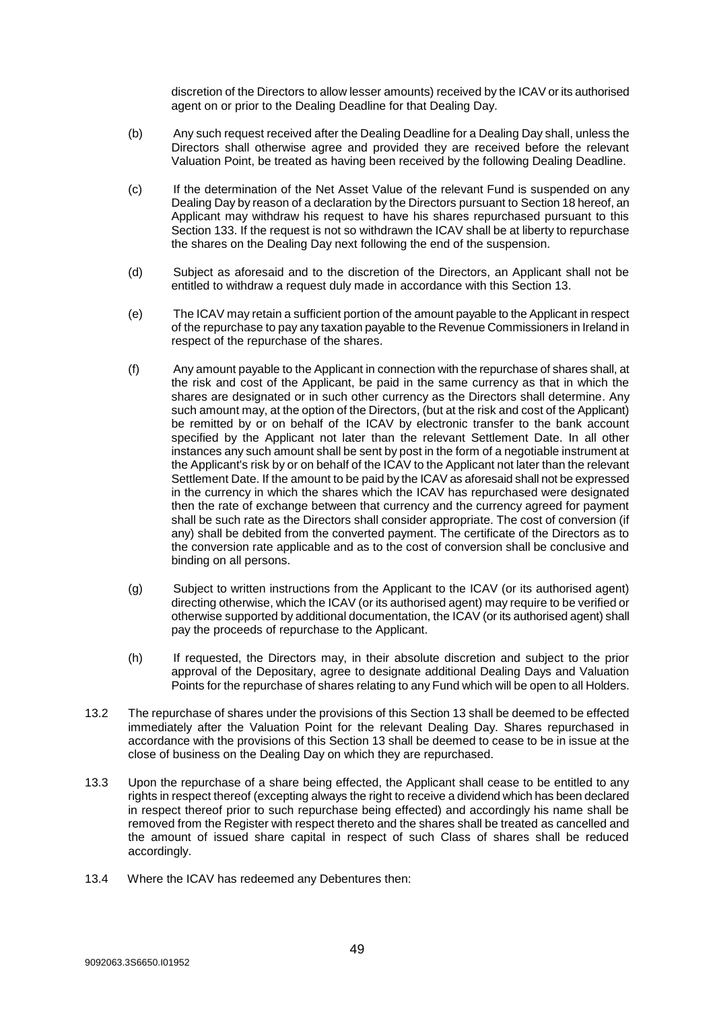discretion of the Directors to allow lesser amounts) received by the ICAV or its authorised agent on or prior to the Dealing Deadline for that Dealing Day.

- (b) Any such request received after the Dealing Deadline for a Dealing Day shall, unless the Directors shall otherwise agree and provided they are received before the relevant Valuation Point, be treated as having been received by the following Dealing Deadline.
- (c) If the determination of the Net Asset Value of the relevant Fund is suspended on any Dealing Day by reason of a declaration by the Directors pursuant to Section 18 hereof, an Applicant may withdraw his request to have his shares repurchased pursuant to this Section [133](#page-47-1). If the request is not so withdrawn the ICAV shall be at liberty to repurchase the shares on the Dealing Day next following the end of the suspension.
- (d) Subject as aforesaid and to the discretion of the Directors, an Applicant shall not be entitled to withdraw a request duly made in accordance with this Section 13.
- (e) The ICAV may retain a sufficient portion of the amount payable to the Applicant in respect of the repurchase to pay any taxation payable to the Revenue Commissioners in Ireland in respect of the repurchase of the shares.
- (f) Any amount payable to the Applicant in connection with the repurchase of shares shall, at the risk and cost of the Applicant, be paid in the same currency as that in which the shares are designated or in such other currency as the Directors shall determine. Any such amount may, at the option of the Directors, (but at the risk and cost of the Applicant) be remitted by or on behalf of the ICAV by electronic transfer to the bank account specified by the Applicant not later than the relevant Settlement Date. In all other instances any such amount shall be sent by post in the form of a negotiable instrument at the Applicant's risk by or on behalf of the ICAV to the Applicant not later than the relevant Settlement Date. If the amount to be paid by the ICAV as aforesaid shall not be expressed in the currency in which the shares which the ICAV has repurchased were designated then the rate of exchange between that currency and the currency agreed for payment shall be such rate as the Directors shall consider appropriate. The cost of conversion (if any) shall be debited from the converted payment. The certificate of the Directors as to the conversion rate applicable and as to the cost of conversion shall be conclusive and binding on all persons.
- (g) Subject to written instructions from the Applicant to the ICAV (or its authorised agent) directing otherwise, which the ICAV (or its authorised agent) may require to be verified or otherwise supported by additional documentation, the ICAV (or its authorised agent) shall pay the proceeds of repurchase to the Applicant.
- (h) If requested, the Directors may, in their absolute discretion and subject to the prior approval of the Depositary, agree to designate additional Dealing Days and Valuation Points for the repurchase of shares relating to any Fund which will be open to all Holders.
- 13.2 The repurchase of shares under the provisions of this Section 13 shall be deemed to be effected immediately after the Valuation Point for the relevant Dealing Day. Shares repurchased in accordance with the provisions of this Section 13 shall be deemed to cease to be in issue at the close of business on the Dealing Day on which they are repurchased.
- 13.3 Upon the repurchase of a share being effected, the Applicant shall cease to be entitled to any rights in respect thereof (excepting always the right to receive a dividend which has been declared in respect thereof prior to such repurchase being effected) and accordingly his name shall be removed from the Register with respect thereto and the shares shall be treated as cancelled and the amount of issued share capital in respect of such Class of shares shall be reduced accordingly.
- 13.4 Where the ICAV has redeemed any Debentures then: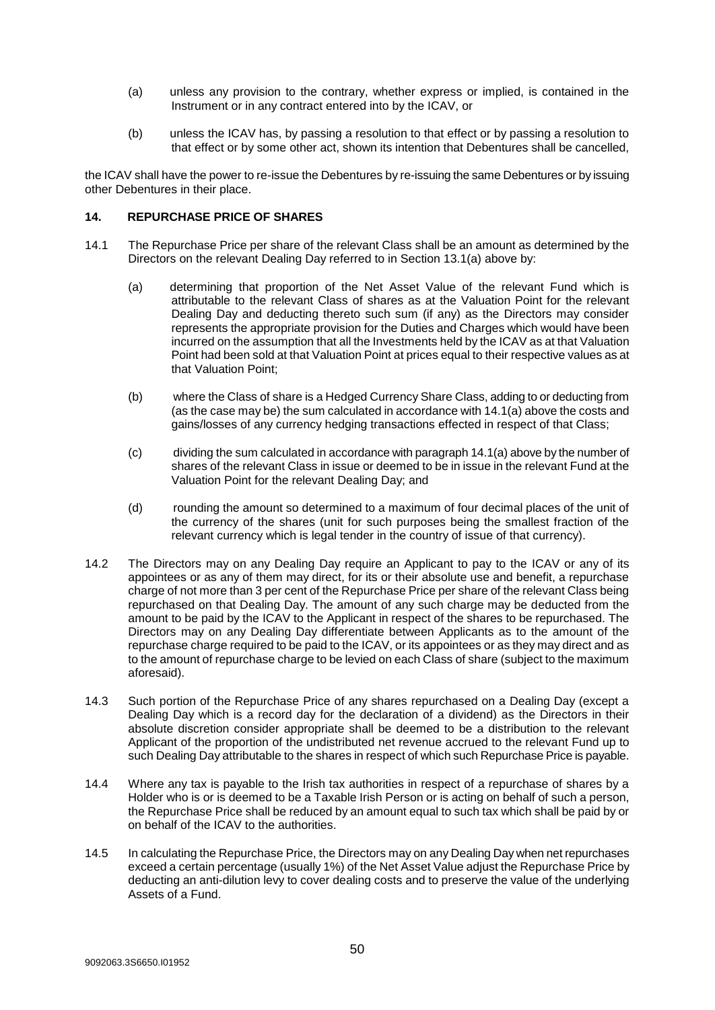- (a) unless any provision to the contrary, whether express or implied, is contained in the Instrument or in any contract entered into by the ICAV, or
- (b) unless the ICAV has, by passing a resolution to that effect or by passing a resolution to that effect or by some other act, shown its intention that Debentures shall be cancelled,

the ICAV shall have the power to re-issue the Debentures by re-issuing the same Debentures or by issuing other Debentures in their place.

#### <span id="page-49-0"></span>**14. REPURCHASE PRICE OF SHARES**

- <span id="page-49-1"></span>14.1 The Repurchase Price per share of the relevant Class shall be an amount as determined by the Directors on the relevant Dealing Day referred to in Section [13.1\(a\)](#page-47-2) above by:
	- (a) determining that proportion of the Net Asset Value of the relevant Fund which is attributable to the relevant Class of shares as at the Valuation Point for the relevant Dealing Day and deducting thereto such sum (if any) as the Directors may consider represents the appropriate provision for the Duties and Charges which would have been incurred on the assumption that all the Investments held by the ICAV as at that Valuation Point had been sold at that Valuation Point at prices equal to their respective values as at that Valuation Point;
	- (b) where the Class of share is a Hedged Currency Share Class, adding to or deducting from (as the case may be) the sum calculated in accordance with 14.[1\(a\)](#page-49-1) above the costs and gains/losses of any currency hedging transactions effected in respect of that Class;
	- (c) dividing the sum calculated in accordance with paragraph 14.[1\(a\)](#page-49-1) above by the number of shares of the relevant Class in issue or deemed to be in issue in the relevant Fund at the Valuation Point for the relevant Dealing Day; and
	- (d) rounding the amount so determined to a maximum of four decimal places of the unit of the currency of the shares (unit for such purposes being the smallest fraction of the relevant currency which is legal tender in the country of issue of that currency).
- 14.2 The Directors may on any Dealing Day require an Applicant to pay to the ICAV or any of its appointees or as any of them may direct, for its or their absolute use and benefit, a repurchase charge of not more than 3 per cent of the Repurchase Price per share of the relevant Class being repurchased on that Dealing Day. The amount of any such charge may be deducted from the amount to be paid by the ICAV to the Applicant in respect of the shares to be repurchased. The Directors may on any Dealing Day differentiate between Applicants as to the amount of the repurchase charge required to be paid to the ICAV, or its appointees or as they may direct and as to the amount of repurchase charge to be levied on each Class of share (subject to the maximum aforesaid).
- 14.3 Such portion of the Repurchase Price of any shares repurchased on a Dealing Day (except a Dealing Day which is a record day for the declaration of a dividend) as the Directors in their absolute discretion consider appropriate shall be deemed to be a distribution to the relevant Applicant of the proportion of the undistributed net revenue accrued to the relevant Fund up to such Dealing Day attributable to the shares in respect of which such Repurchase Price is payable.
- 14.4 Where any tax is payable to the Irish tax authorities in respect of a repurchase of shares by a Holder who is or is deemed to be a Taxable Irish Person or is acting on behalf of such a person, the Repurchase Price shall be reduced by an amount equal to such tax which shall be paid by or on behalf of the ICAV to the authorities.
- 14.5 In calculating the Repurchase Price, the Directors may on any Dealing Day when net repurchases exceed a certain percentage (usually 1%) of the Net Asset Value adjust the Repurchase Price by deducting an anti-dilution levy to cover dealing costs and to preserve the value of the underlying Assets of a Fund.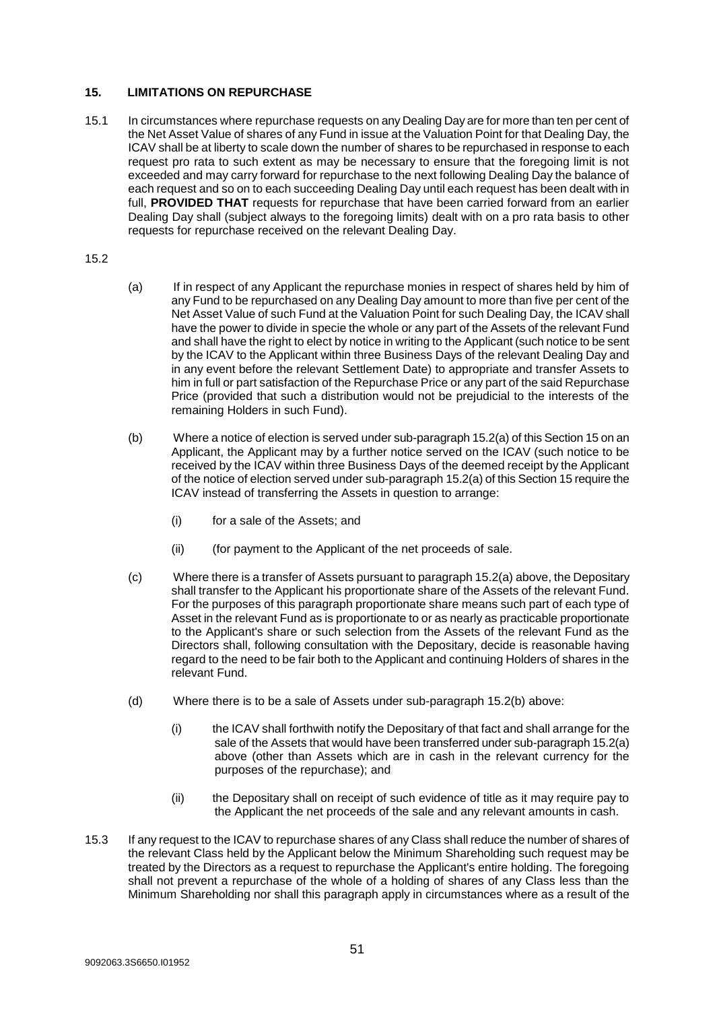## <span id="page-50-0"></span>**15. LIMITATIONS ON REPURCHASE**

15.1 In circumstances where repurchase requests on any Dealing Day are for more than ten per cent of the Net Asset Value of shares of any Fund in issue at the Valuation Point for that Dealing Day, the ICAV shall be at liberty to scale down the number of shares to be repurchased in response to each request pro rata to such extent as may be necessary to ensure that the foregoing limit is not exceeded and may carry forward for repurchase to the next following Dealing Day the balance of each request and so on to each succeeding Dealing Day until each request has been dealt with in full, **PROVIDED THAT** requests for repurchase that have been carried forward from an earlier Dealing Day shall (subject always to the foregoing limits) dealt with on a pro rata basis to other requests for repurchase received on the relevant Dealing Day.

## 15.2

- <span id="page-50-1"></span>(a) If in respect of any Applicant the repurchase monies in respect of shares held by him of any Fund to be repurchased on any Dealing Day amount to more than five per cent of the Net Asset Value of such Fund at the Valuation Point for such Dealing Day, the ICAV shall have the power to divide in specie the whole or any part of the Assets of the relevant Fund and shall have the right to elect by notice in writing to the Applicant (such notice to be sent by the ICAV to the Applicant within three Business Days of the relevant Dealing Day and in any event before the relevant Settlement Date) to appropriate and transfer Assets to him in full or part satisfaction of the Repurchase Price or any part of the said Repurchase Price (provided that such a distribution would not be prejudicial to the interests of the remaining Holders in such Fund).
- <span id="page-50-2"></span>(b) Where a notice of election is served under sub-paragraph 15.[2\(a\)](#page-50-1) of this Section [15](#page-50-0) on an Applicant, the Applicant may by a further notice served on the ICAV (such notice to be received by the ICAV within three Business Days of the deemed receipt by the Applicant of the notice of election served under sub-paragraph 15.[2\(a\)](#page-50-1) of this Section [15](#page-50-0) require the ICAV instead of transferring the Assets in question to arrange:
	- (i) for a sale of the Assets; and
	- (ii) (for payment to the Applicant of the net proceeds of sale.
- (c) Where there is a transfer of Assets pursuant to paragraph 15.[2\(a\)](#page-50-1) above, the Depositary shall transfer to the Applicant his proportionate share of the Assets of the relevant Fund. For the purposes of this paragraph proportionate share means such part of each type of Asset in the relevant Fund as is proportionate to or as nearly as practicable proportionate to the Applicant's share or such selection from the Assets of the relevant Fund as the Directors shall, following consultation with the Depositary, decide is reasonable having regard to the need to be fair both to the Applicant and continuing Holders of shares in the relevant Fund.
- (d) Where there is to be a sale of Assets under sub-paragraph 15.[2\(b\)](#page-50-2) above:
	- (i) the ICAV shall forthwith notify the Depositary of that fact and shall arrange for the sale of the Assets that would have been transferred under sub-paragraph 15.[2\(a\)](#page-50-1) above (other than Assets which are in cash in the relevant currency for the purposes of the repurchase); and
	- (ii) the Depositary shall on receipt of such evidence of title as it may require pay to the Applicant the net proceeds of the sale and any relevant amounts in cash.
- 15.3 If any request to the ICAV to repurchase shares of any Class shall reduce the number of shares of the relevant Class held by the Applicant below the Minimum Shareholding such request may be treated by the Directors as a request to repurchase the Applicant's entire holding. The foregoing shall not prevent a repurchase of the whole of a holding of shares of any Class less than the Minimum Shareholding nor shall this paragraph apply in circumstances where as a result of the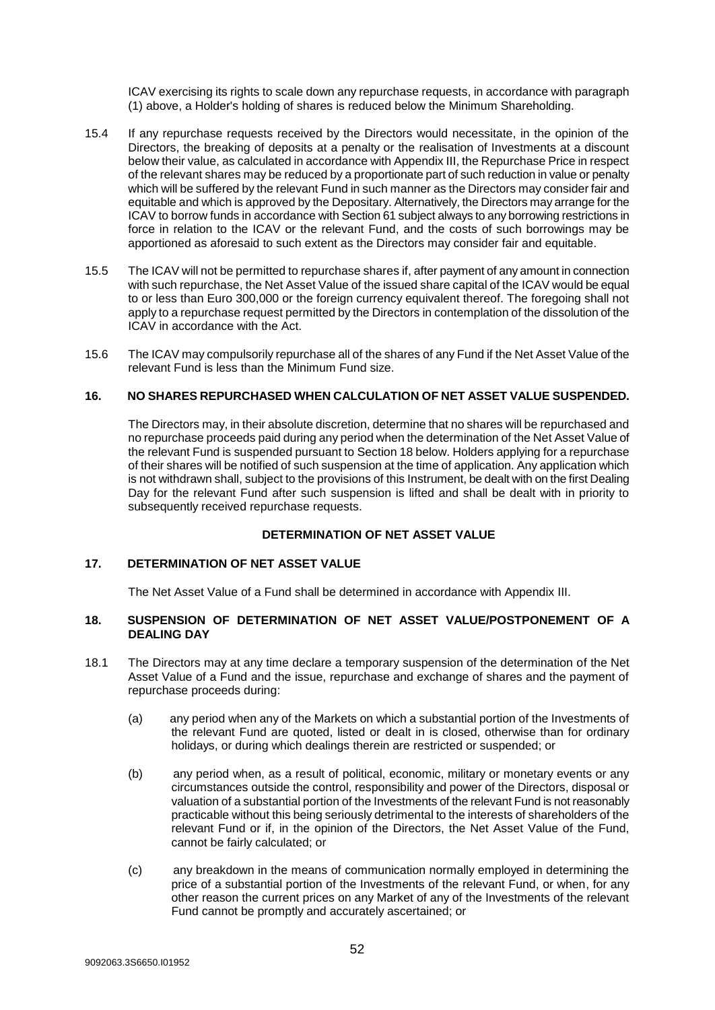ICAV exercising its rights to scale down any repurchase requests, in accordance with paragraph (1) above, a Holder's holding of shares is reduced below the Minimum Shareholding.

- 15.4 If any repurchase requests received by the Directors would necessitate, in the opinion of the Directors, the breaking of deposits at a penalty or the realisation of Investments at a discount below their value, as calculated in accordance with Appendix III, the Repurchase Price in respect of the relevant shares may be reduced by a proportionate part of such reduction in value or penalty which will be suffered by the relevant Fund in such manner as the Directors may consider fair and equitable and which is approved by the Depositary. Alternatively, the Directors may arrange for the ICAV to borrow funds in accordance with Section 61 subject always to any borrowing restrictions in force in relation to the ICAV or the relevant Fund, and the costs of such borrowings may be apportioned as aforesaid to such extent as the Directors may consider fair and equitable.
- 15.5 The ICAV will not be permitted to repurchase shares if, after payment of any amount in connection with such repurchase, the Net Asset Value of the issued share capital of the ICAV would be equal to or less than Euro 300,000 or the foreign currency equivalent thereof. The foregoing shall not apply to a repurchase request permitted by the Directors in contemplation of the dissolution of the ICAV in accordance with the Act.
- 15.6 The ICAV may compulsorily repurchase all of the shares of any Fund if the Net Asset Value of the relevant Fund is less than the Minimum Fund size.

## <span id="page-51-0"></span>**16. NO SHARES REPURCHASED WHEN CALCULATION OF NET ASSET VALUE SUSPENDED.**

The Directors may, in their absolute discretion, determine that no shares will be repurchased and no repurchase proceeds paid during any period when the determination of the Net Asset Value of the relevant Fund is suspended pursuant to Section 18 below. Holders applying for a repurchase of their shares will be notified of such suspension at the time of application. Any application which is not withdrawn shall, subject to the provisions of this Instrument, be dealt with on the first Dealing Day for the relevant Fund after such suspension is lifted and shall be dealt with in priority to subsequently received repurchase requests.

## **DETERMINATION OF NET ASSET VALUE**

## <span id="page-51-1"></span>**17. DETERMINATION OF NET ASSET VALUE**

The Net Asset Value of a Fund shall be determined in accordance with Appendix III.

#### <span id="page-51-2"></span>**18. SUSPENSION OF DETERMINATION OF NET ASSET VALUE/POSTPONEMENT OF A DEALING DAY**

- 18.1 The Directors may at any time declare a temporary suspension of the determination of the Net Asset Value of a Fund and the issue, repurchase and exchange of shares and the payment of repurchase proceeds during:
	- (a) any period when any of the Markets on which a substantial portion of the Investments of the relevant Fund are quoted, listed or dealt in is closed, otherwise than for ordinary holidays, or during which dealings therein are restricted or suspended; or
	- (b) any period when, as a result of political, economic, military or monetary events or any circumstances outside the control, responsibility and power of the Directors, disposal or valuation of a substantial portion of the Investments of the relevant Fund is not reasonably practicable without this being seriously detrimental to the interests of shareholders of the relevant Fund or if, in the opinion of the Directors, the Net Asset Value of the Fund, cannot be fairly calculated; or
	- (c) any breakdown in the means of communication normally employed in determining the price of a substantial portion of the Investments of the relevant Fund, or when, for any other reason the current prices on any Market of any of the Investments of the relevant Fund cannot be promptly and accurately ascertained; or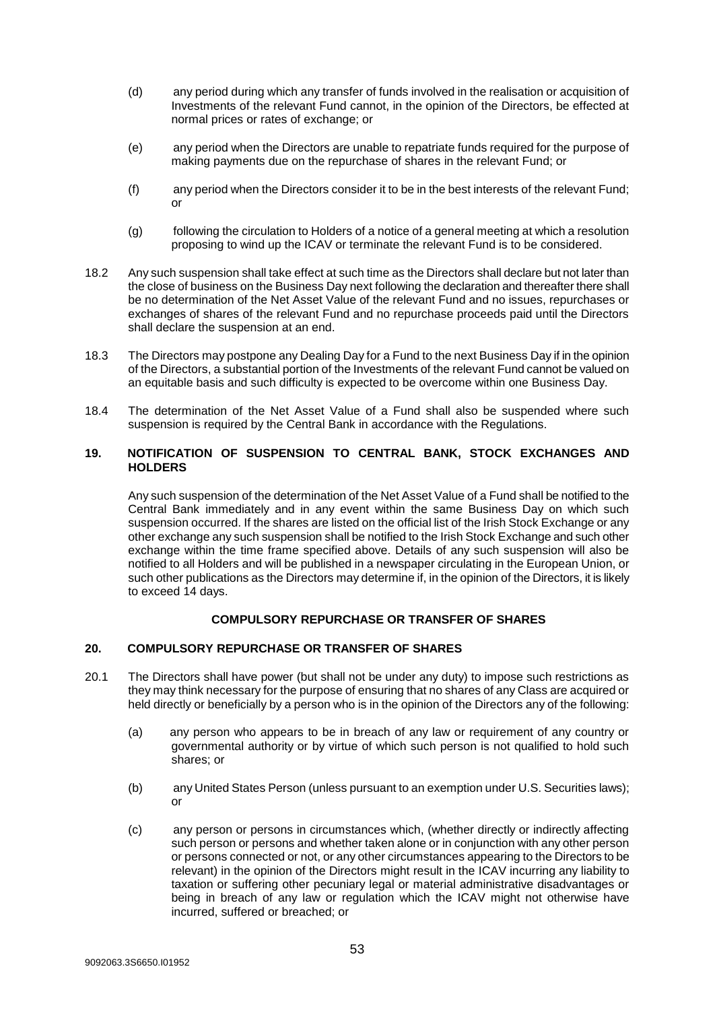- (d) any period during which any transfer of funds involved in the realisation or acquisition of Investments of the relevant Fund cannot, in the opinion of the Directors, be effected at normal prices or rates of exchange; or
- (e) any period when the Directors are unable to repatriate funds required for the purpose of making payments due on the repurchase of shares in the relevant Fund; or
- (f) any period when the Directors consider it to be in the best interests of the relevant Fund; or
- (g) following the circulation to Holders of a notice of a general meeting at which a resolution proposing to wind up the ICAV or terminate the relevant Fund is to be considered.
- 18.2 Any such suspension shall take effect at such time as the Directors shall declare but not later than the close of business on the Business Day next following the declaration and thereafter there shall be no determination of the Net Asset Value of the relevant Fund and no issues, repurchases or exchanges of shares of the relevant Fund and no repurchase proceeds paid until the Directors shall declare the suspension at an end.
- 18.3 The Directors may postpone any Dealing Day for a Fund to the next Business Day if in the opinion of the Directors, a substantial portion of the Investments of the relevant Fund cannot be valued on an equitable basis and such difficulty is expected to be overcome within one Business Day.
- 18.4 The determination of the Net Asset Value of a Fund shall also be suspended where such suspension is required by the Central Bank in accordance with the Regulations.

## <span id="page-52-0"></span>**19. NOTIFICATION OF SUSPENSION TO CENTRAL BANK, STOCK EXCHANGES AND HOLDERS**

Any such suspension of the determination of the Net Asset Value of a Fund shall be notified to the Central Bank immediately and in any event within the same Business Day on which such suspension occurred. If the shares are listed on the official list of the Irish Stock Exchange or any other exchange any such suspension shall be notified to the Irish Stock Exchange and such other exchange within the time frame specified above. Details of any such suspension will also be notified to all Holders and will be published in a newspaper circulating in the European Union, or such other publications as the Directors may determine if, in the opinion of the Directors, it is likely to exceed 14 days.

## **COMPULSORY REPURCHASE OR TRANSFER OF SHARES**

## <span id="page-52-1"></span>**20. COMPULSORY REPURCHASE OR TRANSFER OF SHARES**

- 20.1 The Directors shall have power (but shall not be under any duty) to impose such restrictions as they may think necessary for the purpose of ensuring that no shares of any Class are acquired or held directly or beneficially by a person who is in the opinion of the Directors any of the following:
	- (a) any person who appears to be in breach of any law or requirement of any country or governmental authority or by virtue of which such person is not qualified to hold such shares; or
	- (b) any United States Person (unless pursuant to an exemption under U.S. Securities laws); or
	- (c) any person or persons in circumstances which, (whether directly or indirectly affecting such person or persons and whether taken alone or in conjunction with any other person or persons connected or not, or any other circumstances appearing to the Directors to be relevant) in the opinion of the Directors might result in the ICAV incurring any liability to taxation or suffering other pecuniary legal or material administrative disadvantages or being in breach of any law or regulation which the ICAV might not otherwise have incurred, suffered or breached; or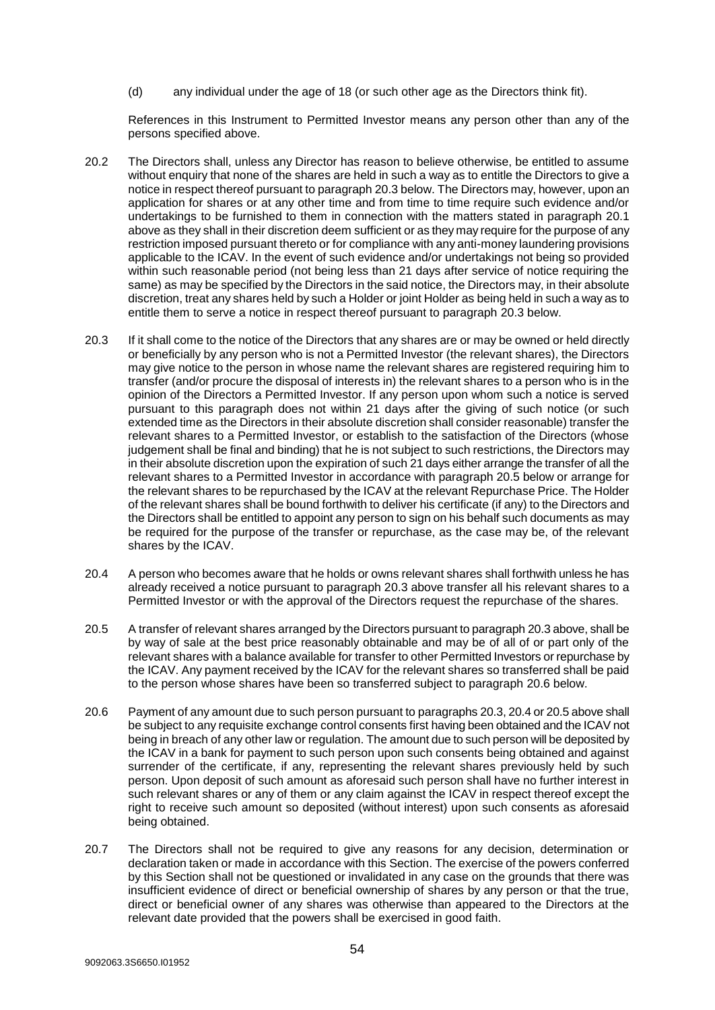(d) any individual under the age of 18 (or such other age as the Directors think fit).

References in this Instrument to Permitted Investor means any person other than any of the persons specified above.

- 20.2 The Directors shall, unless any Director has reason to believe otherwise, be entitled to assume without enquiry that none of the shares are held in such a way as to entitle the Directors to give a notice in respect thereof pursuant to paragrap[h 20.3](#page-53-0) below. The Directors may, however, upon an application for shares or at any other time and from time to time require such evidence and/or undertakings to be furnished to them in connection with the matters stated in paragraph 20.1 above as they shall in their discretion deem sufficient or as they may require for the purpose of any restriction imposed pursuant thereto or for compliance with any anti-money laundering provisions applicable to the ICAV. In the event of such evidence and/or undertakings not being so provided within such reasonable period (not being less than 21 days after service of notice requiring the same) as may be specified by the Directors in the said notice, the Directors may, in their absolute discretion, treat any shares held by such a Holder or joint Holder as being held in such a way as to entitle them to serve a notice in respect thereof pursuant to paragraph [20.3](#page-53-0) below.
- <span id="page-53-0"></span>20.3 If it shall come to the notice of the Directors that any shares are or may be owned or held directly or beneficially by any person who is not a Permitted Investor (the relevant shares), the Directors may give notice to the person in whose name the relevant shares are registered requiring him to transfer (and/or procure the disposal of interests in) the relevant shares to a person who is in the opinion of the Directors a Permitted Investor. If any person upon whom such a notice is served pursuant to this paragraph does not within 21 days after the giving of such notice (or such extended time as the Directors in their absolute discretion shall consider reasonable) transfer the relevant shares to a Permitted Investor, or establish to the satisfaction of the Directors (whose judgement shall be final and binding) that he is not subject to such restrictions, the Directors may in their absolute discretion upon the expiration of such 21 days either arrange the transfer of all the relevant shares to a Permitted Investor in accordance with paragrap[h 20.5](#page-53-1) below or arrange for the relevant shares to be repurchased by the ICAV at the relevant Repurchase Price. The Holder of the relevant shares shall be bound forthwith to deliver his certificate (if any) to the Directors and the Directors shall be entitled to appoint any person to sign on his behalf such documents as may be required for the purpose of the transfer or repurchase, as the case may be, of the relevant shares by the ICAV.
- <span id="page-53-3"></span>20.4 A person who becomes aware that he holds or owns relevant shares shall forthwith unless he has already received a notice pursuant to paragraph 20.3 above transfer all his relevant shares to a Permitted Investor or with the approval of the Directors request the repurchase of the shares.
- <span id="page-53-1"></span>20.5 A transfer of relevant shares arranged by the Directors pursuant to paragraph [20.3](#page-53-0) above, shall be by way of sale at the best price reasonably obtainable and may be of all of or part only of the relevant shares with a balance available for transfer to other Permitted Investors or repurchase by the ICAV. Any payment received by the ICAV for the relevant shares so transferred shall be paid to the person whose shares have been so transferred subject to paragraph [20.6](#page-53-2) below.
- <span id="page-53-2"></span>20.6 Payment of any amount due to such person pursuant to paragraph[s 20.3,](#page-53-0) [20.4](#page-53-3) o[r 20.5](#page-53-1) above shall be subject to any requisite exchange control consents first having been obtained and the ICAV not being in breach of any other law or regulation. The amount due to such person will be deposited by the ICAV in a bank for payment to such person upon such consents being obtained and against surrender of the certificate, if any, representing the relevant shares previously held by such person. Upon deposit of such amount as aforesaid such person shall have no further interest in such relevant shares or any of them or any claim against the ICAV in respect thereof except the right to receive such amount so deposited (without interest) upon such consents as aforesaid being obtained.
- 20.7 The Directors shall not be required to give any reasons for any decision, determination or declaration taken or made in accordance with this Section. The exercise of the powers conferred by this Section shall not be questioned or invalidated in any case on the grounds that there was insufficient evidence of direct or beneficial ownership of shares by any person or that the true, direct or beneficial owner of any shares was otherwise than appeared to the Directors at the relevant date provided that the powers shall be exercised in good faith.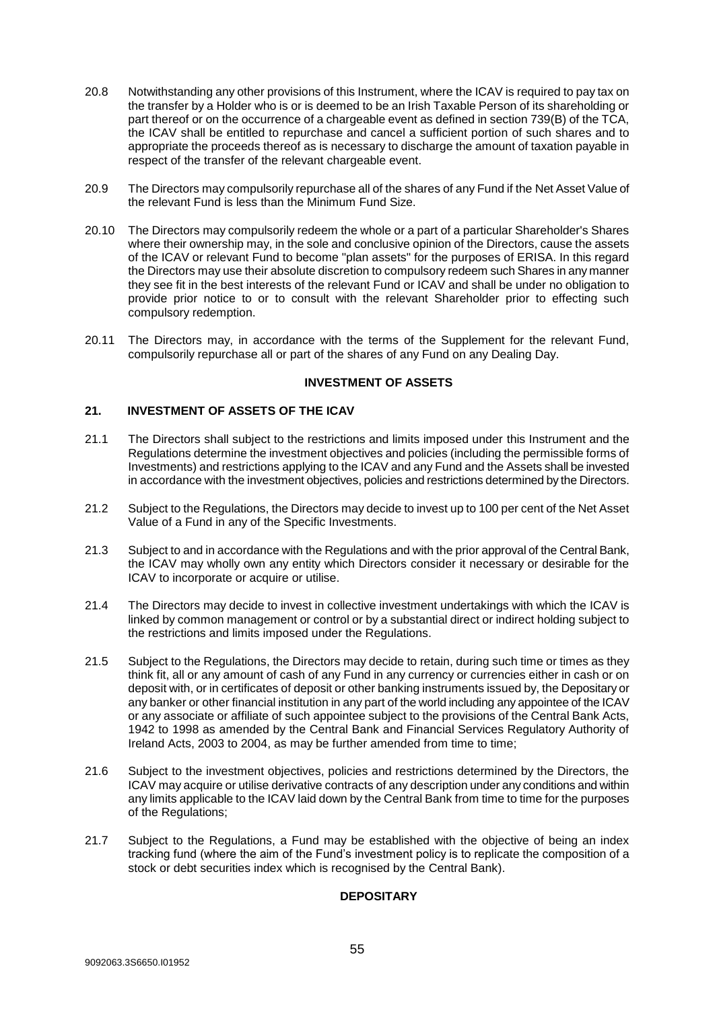- 20.8 Notwithstanding any other provisions of this Instrument, where the ICAV is required to pay tax on the transfer by a Holder who is or is deemed to be an Irish Taxable Person of its shareholding or part thereof or on the occurrence of a chargeable event as defined in section 739(B) of the TCA, the ICAV shall be entitled to repurchase and cancel a sufficient portion of such shares and to appropriate the proceeds thereof as is necessary to discharge the amount of taxation payable in respect of the transfer of the relevant chargeable event.
- 20.9 The Directors may compulsorily repurchase all of the shares of any Fund if the Net Asset Value of the relevant Fund is less than the Minimum Fund Size.
- 20.10 The Directors may compulsorily redeem the whole or a part of a particular Shareholder's Shares where their ownership may, in the sole and conclusive opinion of the Directors, cause the assets of the ICAV or relevant Fund to become "plan assets" for the purposes of ERISA. In this regard the Directors may use their absolute discretion to compulsory redeem such Shares in any manner they see fit in the best interests of the relevant Fund or ICAV and shall be under no obligation to provide prior notice to or to consult with the relevant Shareholder prior to effecting such compulsory redemption.
- 20.11 The Directors may, in accordance with the terms of the Supplement for the relevant Fund, compulsorily repurchase all or part of the shares of any Fund on any Dealing Day.

#### **INVESTMENT OF ASSETS**

## <span id="page-54-0"></span>**21. INVESTMENT OF ASSETS OF THE ICAV**

- 21.1 The Directors shall subject to the restrictions and limits imposed under this Instrument and the Regulations determine the investment objectives and policies (including the permissible forms of Investments) and restrictions applying to the ICAV and any Fund and the Assets shall be invested in accordance with the investment objectives, policies and restrictions determined by the Directors.
- 21.2 Subject to the Regulations, the Directors may decide to invest up to 100 per cent of the Net Asset Value of a Fund in any of the Specific Investments.
- 21.3 Subject to and in accordance with the Regulations and with the prior approval of the Central Bank, the ICAV may wholly own any entity which Directors consider it necessary or desirable for the ICAV to incorporate or acquire or utilise.
- 21.4 The Directors may decide to invest in collective investment undertakings with which the ICAV is linked by common management or control or by a substantial direct or indirect holding subject to the restrictions and limits imposed under the Regulations.
- 21.5 Subject to the Regulations, the Directors may decide to retain, during such time or times as they think fit, all or any amount of cash of any Fund in any currency or currencies either in cash or on deposit with, or in certificates of deposit or other banking instruments issued by, the Depositary or any banker or other financial institution in any part of the world including any appointee of the ICAV or any associate or affiliate of such appointee subject to the provisions of the Central Bank Acts, 1942 to 1998 as amended by the Central Bank and Financial Services Regulatory Authority of Ireland Acts, 2003 to 2004, as may be further amended from time to time;
- 21.6 Subject to the investment objectives, policies and restrictions determined by the Directors, the ICAV may acquire or utilise derivative contracts of any description under any conditions and within any limits applicable to the ICAV laid down by the Central Bank from time to time for the purposes of the Regulations;
- 21.7 Subject to the Regulations, a Fund may be established with the objective of being an index tracking fund (where the aim of the Fund's investment policy is to replicate the composition of a stock or debt securities index which is recognised by the Central Bank).

## **DEPOSITARY**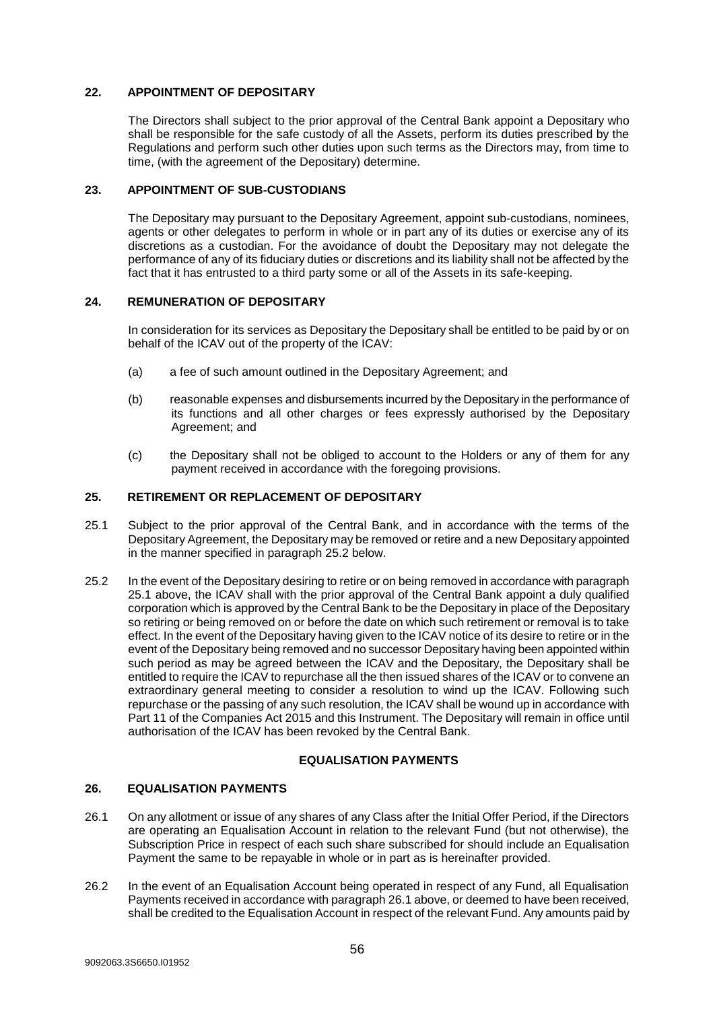## <span id="page-55-0"></span>**22. APPOINTMENT OF DEPOSITARY**

The Directors shall subject to the prior approval of the Central Bank appoint a Depositary who shall be responsible for the safe custody of all the Assets, perform its duties prescribed by the Regulations and perform such other duties upon such terms as the Directors may, from time to time, (with the agreement of the Depositary) determine.

## <span id="page-55-1"></span>**23. APPOINTMENT OF SUB-CUSTODIANS**

The Depositary may pursuant to the Depositary Agreement, appoint sub-custodians, nominees, agents or other delegates to perform in whole or in part any of its duties or exercise any of its discretions as a custodian. For the avoidance of doubt the Depositary may not delegate the performance of any of its fiduciary duties or discretions and its liability shall not be affected by the fact that it has entrusted to a third party some or all of the Assets in its safe-keeping.

## <span id="page-55-2"></span>**24. REMUNERATION OF DEPOSITARY**

In consideration for its services as Depositary the Depositary shall be entitled to be paid by or on behalf of the ICAV out of the property of the ICAV:

- (a) a fee of such amount outlined in the Depositary Agreement; and
- (b) reasonable expenses and disbursements incurred by the Depositary in the performance of its functions and all other charges or fees expressly authorised by the Depositary Agreement; and
- (c) the Depositary shall not be obliged to account to the Holders or any of them for any payment received in accordance with the foregoing provisions.

## <span id="page-55-3"></span>**25. RETIREMENT OR REPLACEMENT OF DEPOSITARY**

- <span id="page-55-6"></span>25.1 Subject to the prior approval of the Central Bank, and in accordance with the terms of the Depositary Agreement, the Depositary may be removed or retire and a new Depositary appointed in the manner specified in paragraph [25.2](#page-55-5) below.
- <span id="page-55-5"></span>25.2 In the event of the Depositary desiring to retire or on being removed in accordance with paragraph [25.1](#page-55-6) above, the ICAV shall with the prior approval of the Central Bank appoint a duly qualified corporation which is approved by the Central Bank to be the Depositary in place of the Depositary so retiring or being removed on or before the date on which such retirement or removal is to take effect. In the event of the Depositary having given to the ICAV notice of its desire to retire or in the event of the Depositary being removed and no successor Depositary having been appointed within such period as may be agreed between the ICAV and the Depositary, the Depositary shall be entitled to require the ICAV to repurchase all the then issued shares of the ICAV or to convene an extraordinary general meeting to consider a resolution to wind up the ICAV. Following such repurchase or the passing of any such resolution, the ICAV shall be wound up in accordance with Part 11 of the Companies Act 2015 and this Instrument. The Depositary will remain in office until authorisation of the ICAV has been revoked by the Central Bank.

#### **EQUALISATION PAYMENTS**

#### <span id="page-55-4"></span>**26. EQUALISATION PAYMENTS**

- <span id="page-55-7"></span>26.1 On any allotment or issue of any shares of any Class after the Initial Offer Period, if the Directors are operating an Equalisation Account in relation to the relevant Fund (but not otherwise), the Subscription Price in respect of each such share subscribed for should include an Equalisation Payment the same to be repayable in whole or in part as is hereinafter provided.
- 26.2 In the event of an Equalisation Account being operated in respect of any Fund, all Equalisation Payments received in accordance with paragrap[h 26.1](#page-55-7) above, or deemed to have been received, shall be credited to the Equalisation Account in respect of the relevant Fund. Any amounts paid by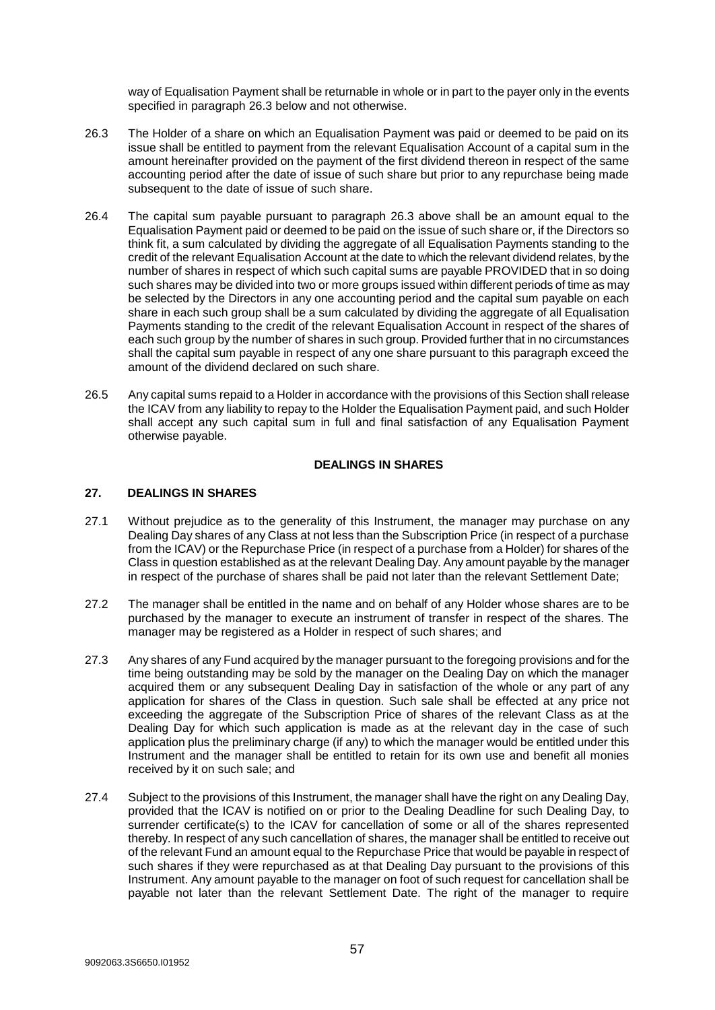way of Equalisation Payment shall be returnable in whole or in part to the payer only in the events specified in paragraph [26.3](#page-56-1) below and not otherwise.

- <span id="page-56-1"></span>26.3 The Holder of a share on which an Equalisation Payment was paid or deemed to be paid on its issue shall be entitled to payment from the relevant Equalisation Account of a capital sum in the amount hereinafter provided on the payment of the first dividend thereon in respect of the same accounting period after the date of issue of such share but prior to any repurchase being made subsequent to the date of issue of such share.
- 26.4 The capital sum payable pursuant to paragraph [26.3](#page-56-1) above shall be an amount equal to the Equalisation Payment paid or deemed to be paid on the issue of such share or, if the Directors so think fit, a sum calculated by dividing the aggregate of all Equalisation Payments standing to the credit of the relevant Equalisation Account at the date to which the relevant dividend relates, by the number of shares in respect of which such capital sums are payable PROVIDED that in so doing such shares may be divided into two or more groups issued within different periods of time as may be selected by the Directors in any one accounting period and the capital sum payable on each share in each such group shall be a sum calculated by dividing the aggregate of all Equalisation Payments standing to the credit of the relevant Equalisation Account in respect of the shares of each such group by the number of shares in such group. Provided further that in no circumstances shall the capital sum payable in respect of any one share pursuant to this paragraph exceed the amount of the dividend declared on such share.
- 26.5 Any capital sums repaid to a Holder in accordance with the provisions of this Section shall release the ICAV from any liability to repay to the Holder the Equalisation Payment paid, and such Holder shall accept any such capital sum in full and final satisfaction of any Equalisation Payment otherwise payable.

## **DEALINGS IN SHARES**

## <span id="page-56-0"></span>**27. DEALINGS IN SHARES**

- 27.1 Without prejudice as to the generality of this Instrument, the manager may purchase on any Dealing Day shares of any Class at not less than the Subscription Price (in respect of a purchase from the ICAV) or the Repurchase Price (in respect of a purchase from a Holder) for shares of the Class in question established as at the relevant Dealing Day. Any amount payable by the manager in respect of the purchase of shares shall be paid not later than the relevant Settlement Date;
- 27.2 The manager shall be entitled in the name and on behalf of any Holder whose shares are to be purchased by the manager to execute an instrument of transfer in respect of the shares. The manager may be registered as a Holder in respect of such shares; and
- 27.3 Any shares of any Fund acquired by the manager pursuant to the foregoing provisions and for the time being outstanding may be sold by the manager on the Dealing Day on which the manager acquired them or any subsequent Dealing Day in satisfaction of the whole or any part of any application for shares of the Class in question. Such sale shall be effected at any price not exceeding the aggregate of the Subscription Price of shares of the relevant Class as at the Dealing Day for which such application is made as at the relevant day in the case of such application plus the preliminary charge (if any) to which the manager would be entitled under this Instrument and the manager shall be entitled to retain for its own use and benefit all monies received by it on such sale; and
- 27.4 Subject to the provisions of this Instrument, the manager shall have the right on any Dealing Day, provided that the ICAV is notified on or prior to the Dealing Deadline for such Dealing Day, to surrender certificate(s) to the ICAV for cancellation of some or all of the shares represented thereby. In respect of any such cancellation of shares, the manager shall be entitled to receive out of the relevant Fund an amount equal to the Repurchase Price that would be payable in respect of such shares if they were repurchased as at that Dealing Day pursuant to the provisions of this Instrument. Any amount payable to the manager on foot of such request for cancellation shall be payable not later than the relevant Settlement Date. The right of the manager to require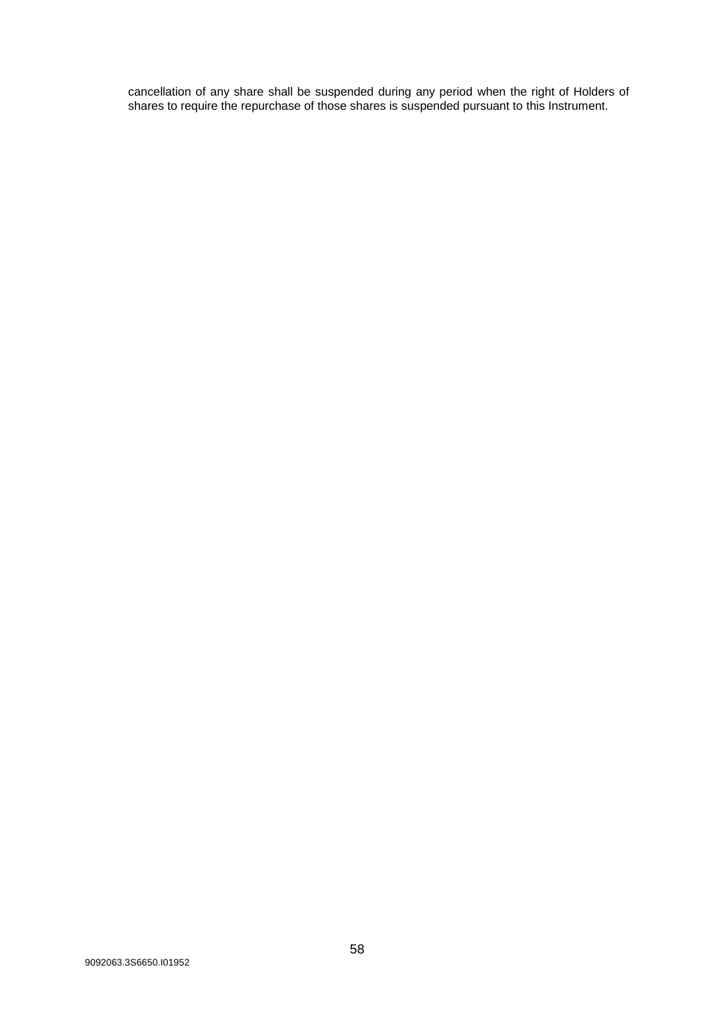cancellation of any share shall be suspended during any period when the right of Holders of shares to require the repurchase of those shares is suspended pursuant to this Instrument.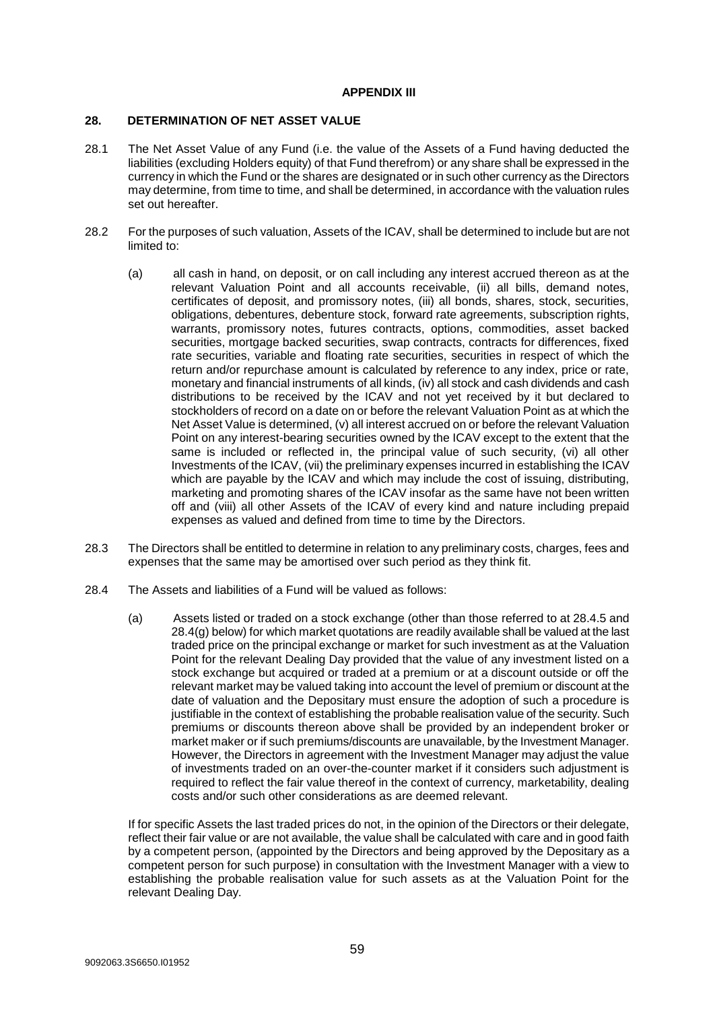## **APPENDIX III**

#### <span id="page-58-1"></span><span id="page-58-0"></span>**28. DETERMINATION OF NET ASSET VALUE**

- 28.1 The Net Asset Value of any Fund (i.e. the value of the Assets of a Fund having deducted the liabilities (excluding Holders equity) of that Fund therefrom) or any share shall be expressed in the currency in which the Fund or the shares are designated or in such other currency as the Directors may determine, from time to time, and shall be determined, in accordance with the valuation rules set out hereafter.
- 28.2 For the purposes of such valuation, Assets of the ICAV, shall be determined to include but are not limited to:
	- (a) all cash in hand, on deposit, or on call including any interest accrued thereon as at the relevant Valuation Point and all accounts receivable, (ii) all bills, demand notes, certificates of deposit, and promissory notes, (iii) all bonds, shares, stock, securities, obligations, debentures, debenture stock, forward rate agreements, subscription rights, warrants, promissory notes, futures contracts, options, commodities, asset backed securities, mortgage backed securities, swap contracts, contracts for differences, fixed rate securities, variable and floating rate securities, securities in respect of which the return and/or repurchase amount is calculated by reference to any index, price or rate, monetary and financial instruments of all kinds, (iv) all stock and cash dividends and cash distributions to be received by the ICAV and not yet received by it but declared to stockholders of record on a date on or before the relevant Valuation Point as at which the Net Asset Value is determined, (v) all interest accrued on or before the relevant Valuation Point on any interest-bearing securities owned by the ICAV except to the extent that the same is included or reflected in, the principal value of such security, (vi) all other Investments of the ICAV, (vii) the preliminary expenses incurred in establishing the ICAV which are payable by the ICAV and which may include the cost of issuing, distributing, marketing and promoting shares of the ICAV insofar as the same have not been written off and (viii) all other Assets of the ICAV of every kind and nature including prepaid expenses as valued and defined from time to time by the Directors.
- <span id="page-58-3"></span>28.3 The Directors shall be entitled to determine in relation to any preliminary costs, charges, fees and expenses that the same may be amortised over such period as they think fit.
- <span id="page-58-2"></span>28.4 The Assets and liabilities of a Fund will be valued as follows:
	- (a) Assets listed or traded on a stock exchange (other than those referred to at 28.4.5 and 28.4(g) below) for which market quotations are readily available shall be valued at the last traded price on the principal exchange or market for such investment as at the Valuation Point for the relevant Dealing Day provided that the value of any investment listed on a stock exchange but acquired or traded at a premium or at a discount outside or off the relevant market may be valued taking into account the level of premium or discount at the date of valuation and the Depositary must ensure the adoption of such a procedure is justifiable in the context of establishing the probable realisation value of the security. Such premiums or discounts thereon above shall be provided by an independent broker or market maker or if such premiums/discounts are unavailable, by the Investment Manager. However, the Directors in agreement with the Investment Manager may adjust the value of investments traded on an over-the-counter market if it considers such adjustment is required to reflect the fair value thereof in the context of currency, marketability, dealing costs and/or such other considerations as are deemed relevant.

If for specific Assets the last traded prices do not, in the opinion of the Directors or their delegate, reflect their fair value or are not available, the value shall be calculated with care and in good faith by a competent person, (appointed by the Directors and being approved by the Depositary as a competent person for such purpose) in consultation with the Investment Manager with a view to establishing the probable realisation value for such assets as at the Valuation Point for the relevant Dealing Day.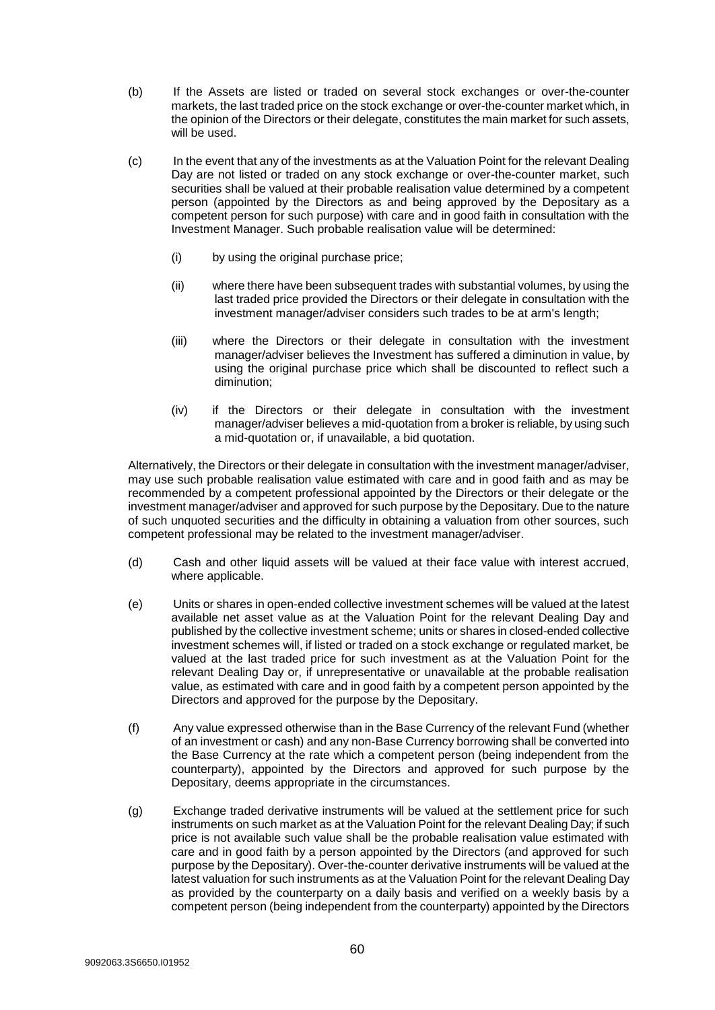- (b) If the Assets are listed or traded on several stock exchanges or over-the-counter markets, the last traded price on the stock exchange or over-the-counter market which, in the opinion of the Directors or their delegate, constitutes the main market for such assets, will be used.
- (c) In the event that any of the investments as at the Valuation Point for the relevant Dealing Day are not listed or traded on any stock exchange or over-the-counter market, such securities shall be valued at their probable realisation value determined by a competent person (appointed by the Directors as and being approved by the Depositary as a competent person for such purpose) with care and in good faith in consultation with the Investment Manager. Such probable realisation value will be determined:
	- (i) by using the original purchase price;
	- (ii) where there have been subsequent trades with substantial volumes, by using the last traded price provided the Directors or their delegate in consultation with the investment manager/adviser considers such trades to be at arm's length;
	- (iii) where the Directors or their delegate in consultation with the investment manager/adviser believes the Investment has suffered a diminution in value, by using the original purchase price which shall be discounted to reflect such a diminution;
	- (iv) if the Directors or their delegate in consultation with the investment manager/adviser believes a mid-quotation from a broker is reliable, by using such a mid-quotation or, if unavailable, a bid quotation.

Alternatively, the Directors or their delegate in consultation with the investment manager/adviser, may use such probable realisation value estimated with care and in good faith and as may be recommended by a competent professional appointed by the Directors or their delegate or the investment manager/adviser and approved for such purpose by the Depositary. Due to the nature of such unquoted securities and the difficulty in obtaining a valuation from other sources, such competent professional may be related to the investment manager/adviser.

- (d) Cash and other liquid assets will be valued at their face value with interest accrued, where applicable.
- (e) Units or shares in open-ended collective investment schemes will be valued at the latest available net asset value as at the Valuation Point for the relevant Dealing Day and published by the collective investment scheme; units or shares in closed-ended collective investment schemes will, if listed or traded on a stock exchange or regulated market, be valued at the last traded price for such investment as at the Valuation Point for the relevant Dealing Day or, if unrepresentative or unavailable at the probable realisation value, as estimated with care and in good faith by a competent person appointed by the Directors and approved for the purpose by the Depositary.
- (f) Any value expressed otherwise than in the Base Currency of the relevant Fund (whether of an investment or cash) and any non-Base Currency borrowing shall be converted into the Base Currency at the rate which a competent person (being independent from the counterparty), appointed by the Directors and approved for such purpose by the Depositary, deems appropriate in the circumstances.
- <span id="page-59-0"></span>(g) Exchange traded derivative instruments will be valued at the settlement price for such instruments on such market as at the Valuation Point for the relevant Dealing Day; if such price is not available such value shall be the probable realisation value estimated with care and in good faith by a person appointed by the Directors (and approved for such purpose by the Depositary). Over-the-counter derivative instruments will be valued at the latest valuation for such instruments as at the Valuation Point for the relevant Dealing Day as provided by the counterparty on a daily basis and verified on a weekly basis by a competent person (being independent from the counterparty) appointed by the Directors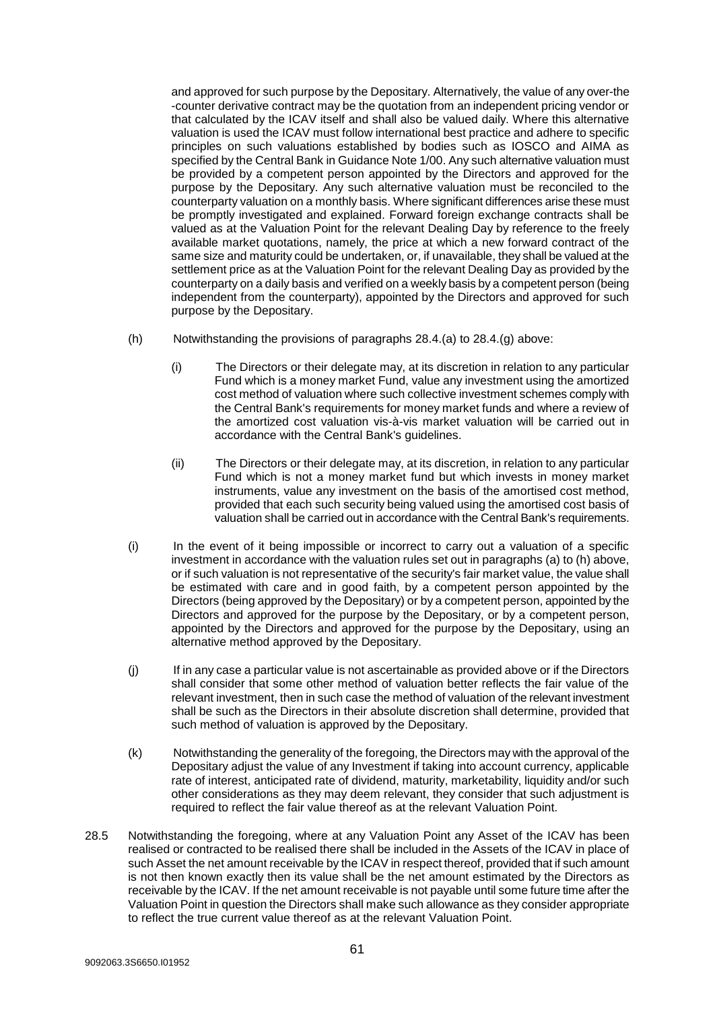and approved for such purpose by the Depositary. Alternatively, the value of any over-the -counter derivative contract may be the quotation from an independent pricing vendor or that calculated by the ICAV itself and shall also be valued daily. Where this alternative valuation is used the ICAV must follow international best practice and adhere to specific principles on such valuations established by bodies such as IOSCO and AIMA as specified by the Central Bank in Guidance Note 1/00. Any such alternative valuation must be provided by a competent person appointed by the Directors and approved for the purpose by the Depositary. Any such alternative valuation must be reconciled to the counterparty valuation on a monthly basis. Where significant differences arise these must be promptly investigated and explained. Forward foreign exchange contracts shall be valued as at the Valuation Point for the relevant Dealing Day by reference to the freely available market quotations, namely, the price at which a new forward contract of the same size and maturity could be undertaken, or, if unavailable, they shall be valued at the settlement price as at the Valuation Point for the relevant Dealing Day as provided by the counterparty on a daily basis and verified on a weekly basis by a competent person (being independent from the counterparty), appointed by the Directors and approved for such purpose by the Depositary.

- (h) Notwithstanding the provisions of paragraphs  $28.4$ [.\(a\)](#page-58-2) to  $28.4$ [.\(g\)](#page-59-0) above:
	- (i) The Directors or their delegate may, at its discretion in relation to any particular Fund which is a money market Fund, value any investment using the amortized cost method of valuation where such collective investment schemes comply with the Central Bank's requirements for money market funds and where a review of the amortized cost valuation vis-à-vis market valuation will be carried out in accordance with the Central Bank's guidelines.
	- (ii) The Directors or their delegate may, at its discretion, in relation to any particular Fund which is not a money market fund but which invests in money market instruments, value any investment on the basis of the amortised cost method, provided that each such security being valued using the amortised cost basis of valuation shall be carried out in accordance with the Central Bank's requirements.
- (i) In the event of it being impossible or incorrect to carry out a valuation of a specific investment in accordance with the valuation rules set out in paragraphs (a) to (h) above, or if such valuation is not representative of the security's fair market value, the value shall be estimated with care and in good faith, by a competent person appointed by the Directors (being approved by the Depositary) or by a competent person, appointed by the Directors and approved for the purpose by the Depositary, or by a competent person, appointed by the Directors and approved for the purpose by the Depositary, using an alternative method approved by the Depositary.
- (j) If in any case a particular value is not ascertainable as provided above or if the Directors shall consider that some other method of valuation better reflects the fair value of the relevant investment, then in such case the method of valuation of the relevant investment shall be such as the Directors in their absolute discretion shall determine, provided that such method of valuation is approved by the Depositary.
- (k) Notwithstanding the generality of the foregoing, the Directors may with the approval of the Depositary adjust the value of any Investment if taking into account currency, applicable rate of interest, anticipated rate of dividend, maturity, marketability, liquidity and/or such other considerations as they may deem relevant, they consider that such adjustment is required to reflect the fair value thereof as at the relevant Valuation Point.
- 28.5 Notwithstanding the foregoing, where at any Valuation Point any Asset of the ICAV has been realised or contracted to be realised there shall be included in the Assets of the ICAV in place of such Asset the net amount receivable by the ICAV in respect thereof, provided that if such amount is not then known exactly then its value shall be the net amount estimated by the Directors as receivable by the ICAV. If the net amount receivable is not payable until some future time after the Valuation Point in question the Directors shall make such allowance as they consider appropriate to reflect the true current value thereof as at the relevant Valuation Point.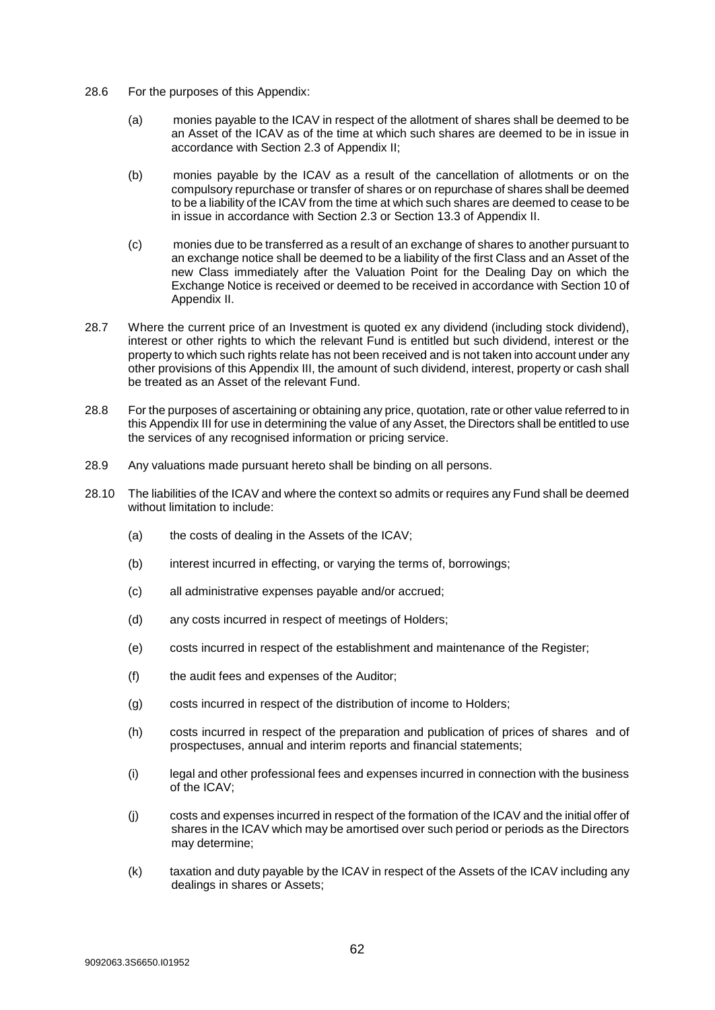- 28.6 For the purposes of this Appendix:
	- (a) monies payable to the ICAV in respect of the allotment of shares shall be deemed to be an Asset of the ICAV as of the time at which such shares are deemed to be in issue in accordance with Section 2.3 of Appendix II;
	- (b) monies payable by the ICAV as a result of the cancellation of allotments or on the compulsory repurchase or transfer of shares or on repurchase of shares shall be deemed to be a liability of the ICAV from the time at which such shares are deemed to cease to be in issue in accordance with Section 2.3 or Section 13.3 of Appendix II.
	- (c) monies due to be transferred as a result of an exchange of shares to another pursuant to an exchange notice shall be deemed to be a liability of the first Class and an Asset of the new Class immediately after the Valuation Point for the Dealing Day on which the Exchange Notice is received or deemed to be received in accordance with Section 10 of Appendix II.
- 28.7 Where the current price of an Investment is quoted ex any dividend (including stock dividend), interest or other rights to which the relevant Fund is entitled but such dividend, interest or the property to which such rights relate has not been received and is not taken into account under any other provisions of this Appendix III, the amount of such dividend, interest, property or cash shall be treated as an Asset of the relevant Fund.
- 28.8 For the purposes of ascertaining or obtaining any price, quotation, rate or other value referred to in this Appendix III for use in determining the value of any Asset, the Directors shall be entitled to use the services of any recognised information or pricing service.
- 28.9 Any valuations made pursuant hereto shall be binding on all persons.
- 28.10 The liabilities of the ICAV and where the context so admits or requires any Fund shall be deemed without limitation to include:
	- (a) the costs of dealing in the Assets of the ICAV;
	- (b) interest incurred in effecting, or varying the terms of, borrowings;
	- (c) all administrative expenses payable and/or accrued;
	- (d) any costs incurred in respect of meetings of Holders;
	- (e) costs incurred in respect of the establishment and maintenance of the Register;
	- (f) the audit fees and expenses of the Auditor;
	- (g) costs incurred in respect of the distribution of income to Holders;
	- (h) costs incurred in respect of the preparation and publication of prices of shares and of prospectuses, annual and interim reports and financial statements;
	- (i) legal and other professional fees and expenses incurred in connection with the business of the ICAV;
	- (j) costs and expenses incurred in respect of the formation of the ICAV and the initial offer of shares in the ICAV which may be amortised over such period or periods as the Directors may determine;
	- (k) taxation and duty payable by the ICAV in respect of the Assets of the ICAV including any dealings in shares or Assets;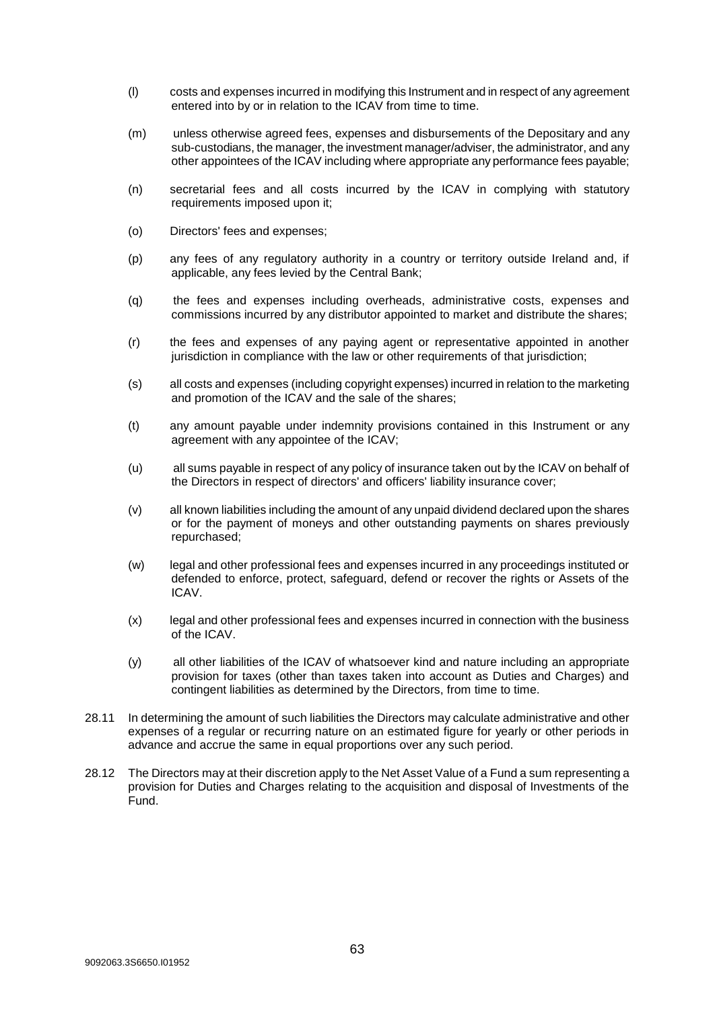- (l) costs and expenses incurred in modifying this Instrument and in respect of any agreement entered into by or in relation to the ICAV from time to time.
- (m) unless otherwise agreed fees, expenses and disbursements of the Depositary and any sub-custodians, the manager, the investment manager/adviser, the administrator, and any other appointees of the ICAV including where appropriate any performance fees payable;
- (n) secretarial fees and all costs incurred by the ICAV in complying with statutory requirements imposed upon it;
- (o) Directors' fees and expenses;
- (p) any fees of any regulatory authority in a country or territory outside Ireland and, if applicable, any fees levied by the Central Bank;
- (q) the fees and expenses including overheads, administrative costs, expenses and commissions incurred by any distributor appointed to market and distribute the shares;
- (r) the fees and expenses of any paying agent or representative appointed in another jurisdiction in compliance with the law or other requirements of that jurisdiction;
- (s) all costs and expenses (including copyright expenses) incurred in relation to the marketing and promotion of the ICAV and the sale of the shares;
- (t) any amount payable under indemnity provisions contained in this Instrument or any agreement with any appointee of the ICAV;
- (u) all sums payable in respect of any policy of insurance taken out by the ICAV on behalf of the Directors in respect of directors' and officers' liability insurance cover;
- (v) all known liabilities including the amount of any unpaid dividend declared upon the shares or for the payment of moneys and other outstanding payments on shares previously repurchased;
- (w) legal and other professional fees and expenses incurred in any proceedings instituted or defended to enforce, protect, safeguard, defend or recover the rights or Assets of the ICAV.
- (x) legal and other professional fees and expenses incurred in connection with the business of the ICAV.
- (y) all other liabilities of the ICAV of whatsoever kind and nature including an appropriate provision for taxes (other than taxes taken into account as Duties and Charges) and contingent liabilities as determined by the Directors, from time to time.
- 28.11 In determining the amount of such liabilities the Directors may calculate administrative and other expenses of a regular or recurring nature on an estimated figure for yearly or other periods in advance and accrue the same in equal proportions over any such period.
- 28.12 The Directors may at their discretion apply to the Net Asset Value of a Fund a sum representing a provision for Duties and Charges relating to the acquisition and disposal of Investments of the Fund.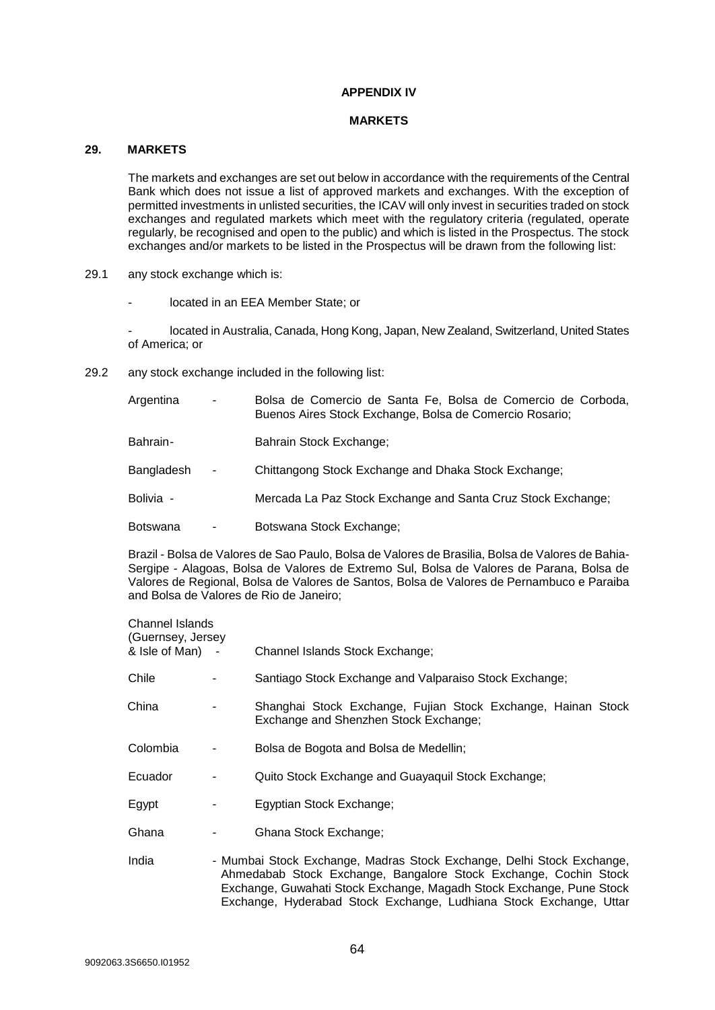## **APPENDIX IV**

#### **MARKETS**

## <span id="page-63-1"></span><span id="page-63-0"></span>**29. MARKETS**

The markets and exchanges are set out below in accordance with the requirements of the Central Bank which does not issue a list of approved markets and exchanges. With the exception of permitted investments in unlisted securities, the ICAV will only invest in securities traded on stock exchanges and regulated markets which meet with the regulatory criteria (regulated, operate regularly, be recognised and open to the public) and which is listed in the Prospectus. The stock exchanges and/or markets to be listed in the Prospectus will be drawn from the following list:

- 29.1 any stock exchange which is:
	- located in an EEA Member State; or

- located in Australia, Canada, Hong Kong, Japan, New Zealand, Switzerland, United States of America; or

29.2 any stock exchange included in the following list:

| Argentina       | ٠ | Bolsa de Comercio de Santa Fe, Bolsa de Comercio de Corboda,<br>Buenos Aires Stock Exchange, Bolsa de Comercio Rosario; |
|-----------------|---|-------------------------------------------------------------------------------------------------------------------------|
| Bahrain-        |   | Bahrain Stock Exchange;                                                                                                 |
| Bangladesh      | ٠ | Chittangong Stock Exchange and Dhaka Stock Exchange;                                                                    |
| Bolivia -       |   | Mercada La Paz Stock Exchange and Santa Cruz Stock Exchange;                                                            |
| <b>Botswana</b> |   | Botswana Stock Exchange;                                                                                                |

Brazil - Bolsa de Valores de Sao Paulo, Bolsa de Valores de Brasilia, Bolsa de Valores de Bahia-Sergipe - Alagoas, Bolsa de Valores de Extremo Sul, Bolsa de Valores de Parana, Bolsa de Valores de Regional, Bolsa de Valores de Santos, Bolsa de Valores de Pernambuco e Paraiba and Bolsa de Valores de Rio de Janeiro;

| Channel Islands<br>(Guernsey, Jersey) |                                                                                                                                                                                                                                                                                         |
|---------------------------------------|-----------------------------------------------------------------------------------------------------------------------------------------------------------------------------------------------------------------------------------------------------------------------------------------|
| & Isle of Man) -                      | Channel Islands Stock Exchange;                                                                                                                                                                                                                                                         |
| Chile                                 | Santiago Stock Exchange and Valparaiso Stock Exchange;                                                                                                                                                                                                                                  |
| China                                 | Shanghai Stock Exchange, Fujian Stock Exchange, Hainan Stock<br>Exchange and Shenzhen Stock Exchange;                                                                                                                                                                                   |
| Colombia                              | Bolsa de Bogota and Bolsa de Medellin;                                                                                                                                                                                                                                                  |
| Ecuador                               | Quito Stock Exchange and Guayaquil Stock Exchange;                                                                                                                                                                                                                                      |
| Egypt                                 | Egyptian Stock Exchange;                                                                                                                                                                                                                                                                |
| Ghana                                 | Ghana Stock Exchange;                                                                                                                                                                                                                                                                   |
| India                                 | - Mumbai Stock Exchange, Madras Stock Exchange, Delhi Stock Exchange,<br>Ahmedabab Stock Exchange, Bangalore Stock Exchange, Cochin Stock<br>Exchange, Guwahati Stock Exchange, Magadh Stock Exchange, Pune Stock<br>Exchange, Hyderabad Stock Exchange, Ludhiana Stock Exchange, Uttar |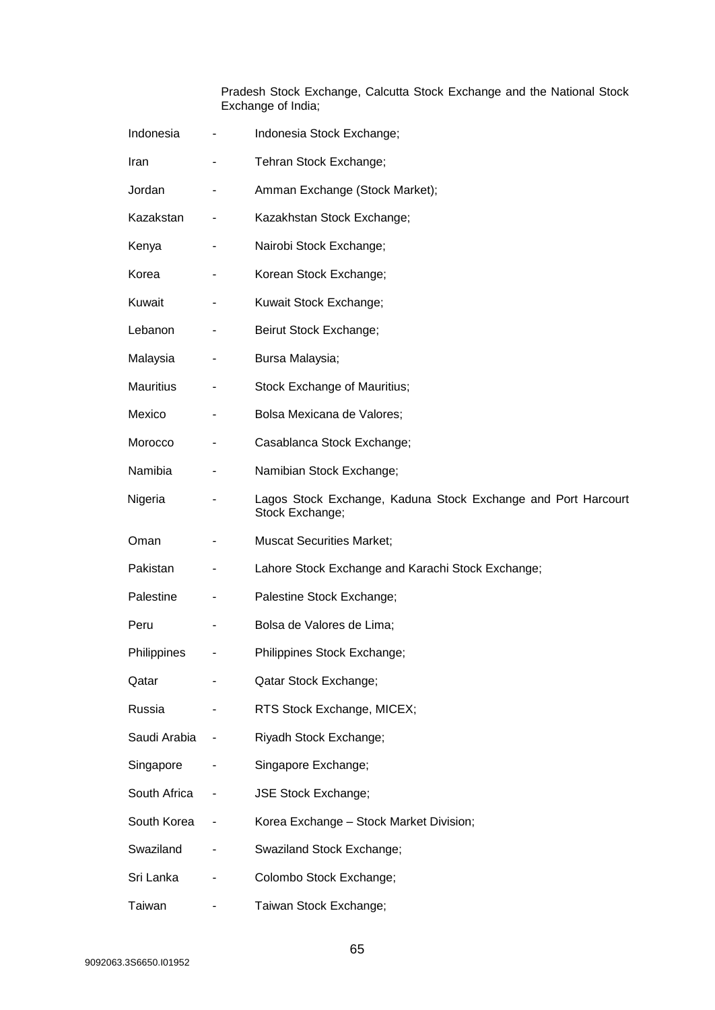Pradesh Stock Exchange, Calcutta Stock Exchange and the National Stock Exchange of India;

| Indonesia        | -                        | Indonesia Stock Exchange;                                                        |
|------------------|--------------------------|----------------------------------------------------------------------------------|
| Iran             | $\overline{\phantom{0}}$ | Tehran Stock Exchange;                                                           |
| Jordan           | -                        | Amman Exchange (Stock Market);                                                   |
| Kazakstan        |                          | Kazakhstan Stock Exchange;                                                       |
| Kenya            |                          | Nairobi Stock Exchange;                                                          |
| Korea            |                          | Korean Stock Exchange;                                                           |
| Kuwait           | ٠                        | Kuwait Stock Exchange;                                                           |
| Lebanon          | -                        | Beirut Stock Exchange;                                                           |
| Malaysia         | -                        | Bursa Malaysia;                                                                  |
| <b>Mauritius</b> | -                        | Stock Exchange of Mauritius;                                                     |
| Mexico           |                          | Bolsa Mexicana de Valores;                                                       |
| Morocco          | -                        | Casablanca Stock Exchange;                                                       |
| Namibia          |                          | Namibian Stock Exchange;                                                         |
| Nigeria          |                          | Lagos Stock Exchange, Kaduna Stock Exchange and Port Harcourt<br>Stock Exchange; |
| Oman             |                          | <b>Muscat Securities Market;</b>                                                 |
| Pakistan         | -                        | Lahore Stock Exchange and Karachi Stock Exchange;                                |
| Palestine        |                          | Palestine Stock Exchange;                                                        |
| Peru             | ۰                        | Bolsa de Valores de Lima;                                                        |
| Philippines      | -                        | Philippines Stock Exchange;                                                      |
| Qatar            |                          | Qatar Stock Exchange;                                                            |
| Russia           |                          | RTS Stock Exchange, MICEX;                                                       |
| Saudi Arabia     | $\blacksquare$           | Riyadh Stock Exchange;                                                           |
| Singapore        |                          | Singapore Exchange;                                                              |
| South Africa     |                          | <b>JSE Stock Exchange;</b>                                                       |
| South Korea      |                          | Korea Exchange - Stock Market Division;                                          |
| Swaziland        |                          | Swaziland Stock Exchange;                                                        |
| Sri Lanka        |                          | Colombo Stock Exchange;                                                          |
| Taiwan           |                          | Taiwan Stock Exchange;                                                           |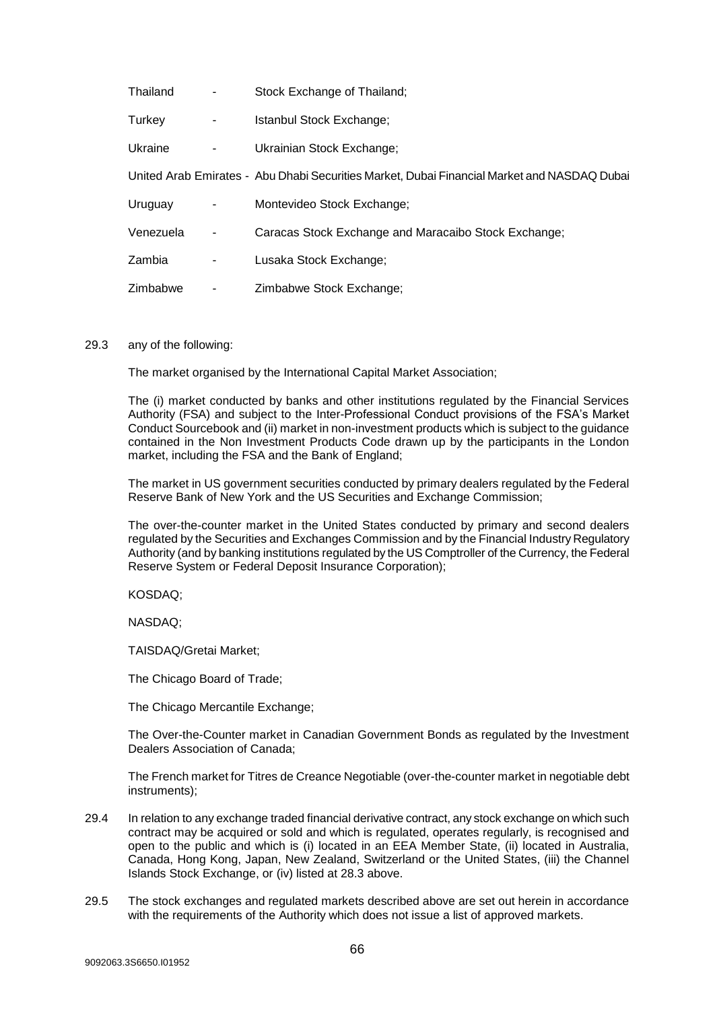| Thailand  | Stock Exchange of Thailand;                                                                 |
|-----------|---------------------------------------------------------------------------------------------|
| Turkey    | Istanbul Stock Exchange;                                                                    |
| Ukraine   | Ukrainian Stock Exchange;                                                                   |
|           | United Arab Emirates - Abu Dhabi Securities Market, Dubai Financial Market and NASDAQ Dubai |
| Uruguay   | Montevideo Stock Exchange;                                                                  |
| Venezuela | Caracas Stock Exchange and Maracaibo Stock Exchange;                                        |
| Zambia    | Lusaka Stock Exchange;                                                                      |
| Zimbabwe  | Zimbabwe Stock Exchange;                                                                    |

#### 29.3 any of the following:

The market organised by the International Capital Market Association;

The (i) market conducted by banks and other institutions regulated by the Financial Services Authority (FSA) and subject to the Inter-Professional Conduct provisions of the FSA's Market Conduct Sourcebook and (ii) market in non-investment products which is subject to the guidance contained in the Non Investment Products Code drawn up by the participants in the London market, including the FSA and the Bank of England;

The market in US government securities conducted by primary dealers regulated by the Federal Reserve Bank of New York and the US Securities and Exchange Commission;

The over-the-counter market in the United States conducted by primary and second dealers regulated by the Securities and Exchanges Commission and by the Financial Industry Regulatory Authority (and by banking institutions regulated by the US Comptroller of the Currency, the Federal Reserve System or Federal Deposit Insurance Corporation);

KOSDAQ;

NASDAQ;

TAISDAQ/Gretai Market;

The Chicago Board of Trade;

The Chicago Mercantile Exchange;

The Over-the-Counter market in Canadian Government Bonds as regulated by the Investment Dealers Association of Canada;

The French market for Titres de Creance Negotiable (over-the-counter market in negotiable debt instruments);

- 29.4 In relation to any exchange traded financial derivative contract, any stock exchange on which such contract may be acquired or sold and which is regulated, operates regularly, is recognised and open to the public and which is (i) located in an EEA Member State, (ii) located in Australia, Canada, Hong Kong, Japan, New Zealand, Switzerland or the United States, (iii) the Channel Islands Stock Exchange, or (iv) listed at [28.3](#page-58-3) above.
- 29.5 The stock exchanges and regulated markets described above are set out herein in accordance with the requirements of the Authority which does not issue a list of approved markets.